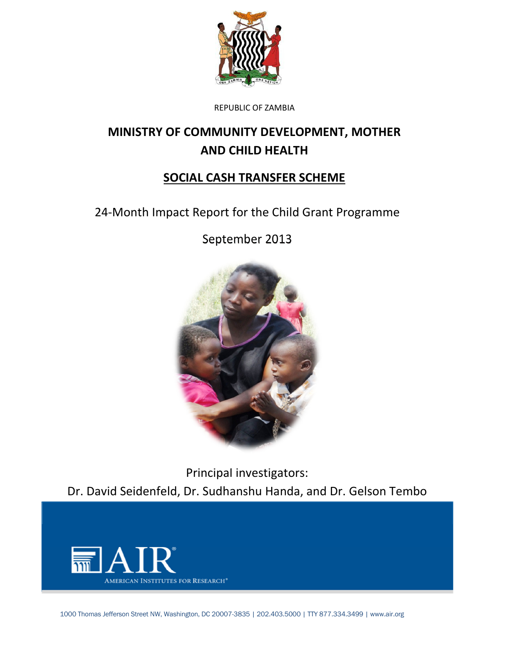

REPUBLIC OF ZAMBIA

# MINISTRY OF COMMUNITY DEVELOPMENT, MOTHER AND CHILD HEALTH

# SOCIAL CASH TRANSFER SCHEME

24-Month Impact Report for the Child Grant Programme

September 2013



Principal investigators: Dr. David Seidenfeld, Dr. Sudhanshu Handa, and Dr. Gelson Tembo

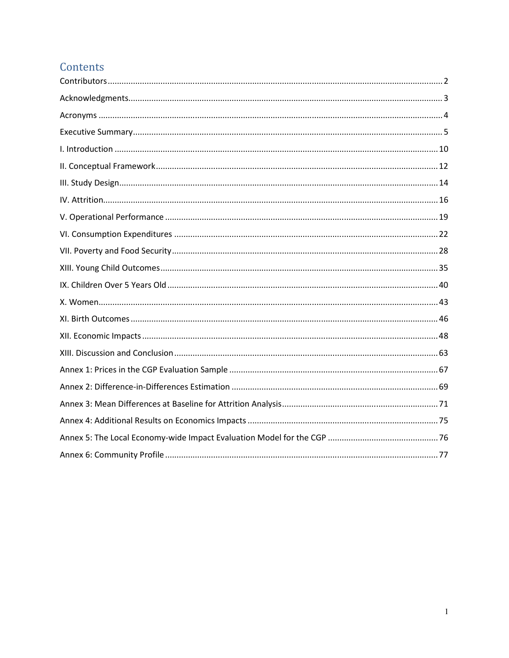# Contents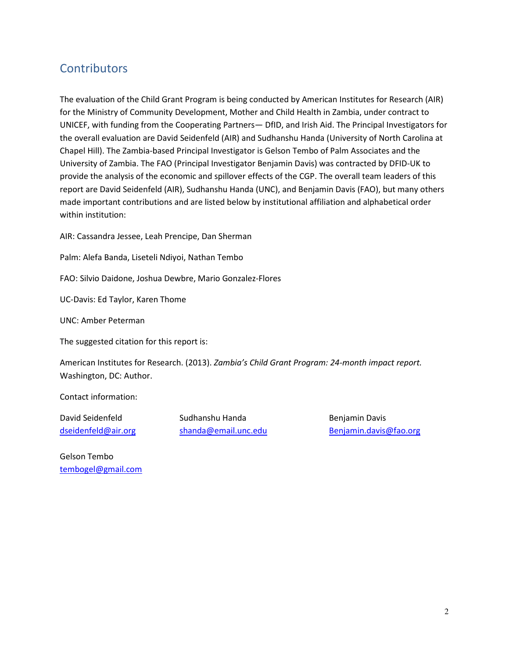# **Contributors**

The evaluation of the Child Grant Program is being conducted by American Institutes for Research (AIR) for the Ministry of Community Development, Mother and Child Health in Zambia, under contract to UNICEF, with funding from the Cooperating Partners— DfID, and Irish Aid. The Principal Investigators for the overall evaluation are David Seidenfeld (AIR) and Sudhanshu Handa (University of North Carolina at Chapel Hill). The Zambia-based Principal Investigator is Gelson Tembo of Palm Associates and the University of Zambia. The FAO (Principal Investigator Benjamin Davis) was contracted by DFID-UK to provide the analysis of the economic and spillover effects of the CGP. The overall team leaders of this report are David Seidenfeld (AIR), Sudhanshu Handa (UNC), and Benjamin Davis (FAO), but many others made important contributions and are listed below by institutional affiliation and alphabetical order within institution:

AIR: Cassandra Jessee, Leah Prencipe, Dan Sherman

Palm: Alefa Banda, Liseteli Ndiyoi, Nathan Tembo

FAO: Silvio Daidone, Joshua Dewbre, Mario Gonzalez-Flores

UC-Davis: Ed Taylor, Karen Thome

UNC: Amber Peterman

The suggested citation for this report is:

American Institutes for Research. (2013). Zambia's Child Grant Program: 24-month impact report. Washington, DC: Author.

Contact information:

David Seidenfeld Sudhanshu Handa Benjamin Davis

dseidenfeld@air.org shanda@email.unc.edu Benjamin.davis@fao.org

Gelson Tembo tembogel@gmail.com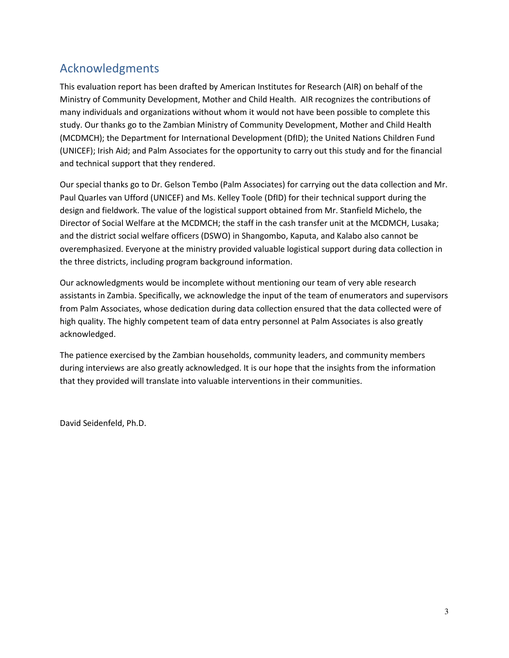# Acknowledgments

This evaluation report has been drafted by American Institutes for Research (AIR) on behalf of the Ministry of Community Development, Mother and Child Health. AIR recognizes the contributions of many individuals and organizations without whom it would not have been possible to complete this study. Our thanks go to the Zambian Ministry of Community Development, Mother and Child Health (MCDMCH); the Department for International Development (DfID); the United Nations Children Fund (UNICEF); Irish Aid; and Palm Associates for the opportunity to carry out this study and for the financial and technical support that they rendered.

Our special thanks go to Dr. Gelson Tembo (Palm Associates) for carrying out the data collection and Mr. Paul Quarles van Ufford (UNICEF) and Ms. Kelley Toole (DfID) for their technical support during the design and fieldwork. The value of the logistical support obtained from Mr. Stanfield Michelo, the Director of Social Welfare at the MCDMCH; the staff in the cash transfer unit at the MCDMCH, Lusaka; and the district social welfare officers (DSWO) in Shangombo, Kaputa, and Kalabo also cannot be overemphasized. Everyone at the ministry provided valuable logistical support during data collection in the three districts, including program background information.

Our acknowledgments would be incomplete without mentioning our team of very able research assistants in Zambia. Specifically, we acknowledge the input of the team of enumerators and supervisors from Palm Associates, whose dedication during data collection ensured that the data collected were of high quality. The highly competent team of data entry personnel at Palm Associates is also greatly acknowledged.

The patience exercised by the Zambian households, community leaders, and community members during interviews are also greatly acknowledged. It is our hope that the insights from the information that they provided will translate into valuable interventions in their communities.

David Seidenfeld, Ph.D.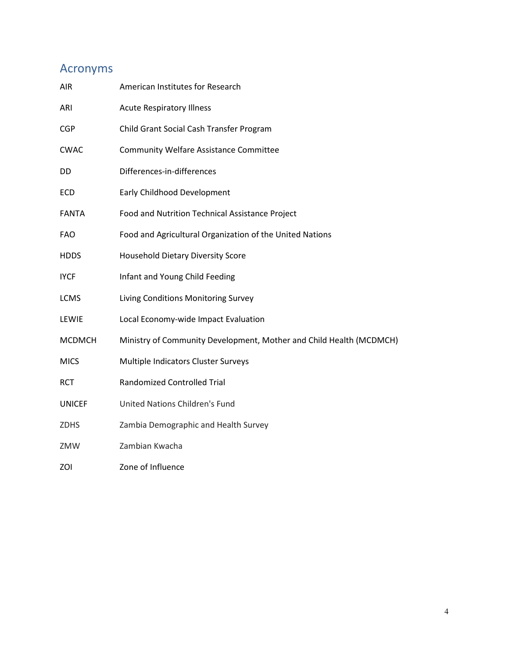# Acronyms

| AIR           | American Institutes for Research                                    |
|---------------|---------------------------------------------------------------------|
| ARI           | <b>Acute Respiratory Illness</b>                                    |
| <b>CGP</b>    | Child Grant Social Cash Transfer Program                            |
| <b>CWAC</b>   | <b>Community Welfare Assistance Committee</b>                       |
| DD            | Differences-in-differences                                          |
| <b>ECD</b>    | Early Childhood Development                                         |
| <b>FANTA</b>  | Food and Nutrition Technical Assistance Project                     |
| <b>FAO</b>    | Food and Agricultural Organization of the United Nations            |
| <b>HDDS</b>   | <b>Household Dietary Diversity Score</b>                            |
| <b>IYCF</b>   | Infant and Young Child Feeding                                      |
| LCMS          | Living Conditions Monitoring Survey                                 |
| LEWIE         | Local Economy-wide Impact Evaluation                                |
| <b>MCDMCH</b> | Ministry of Community Development, Mother and Child Health (MCDMCH) |
| <b>MICS</b>   | Multiple Indicators Cluster Surveys                                 |
| <b>RCT</b>    | <b>Randomized Controlled Trial</b>                                  |
| <b>UNICEF</b> | <b>United Nations Children's Fund</b>                               |
| <b>ZDHS</b>   | Zambia Demographic and Health Survey                                |
| ZMW           | Zambian Kwacha                                                      |
| ZOI           | Zone of Influence                                                   |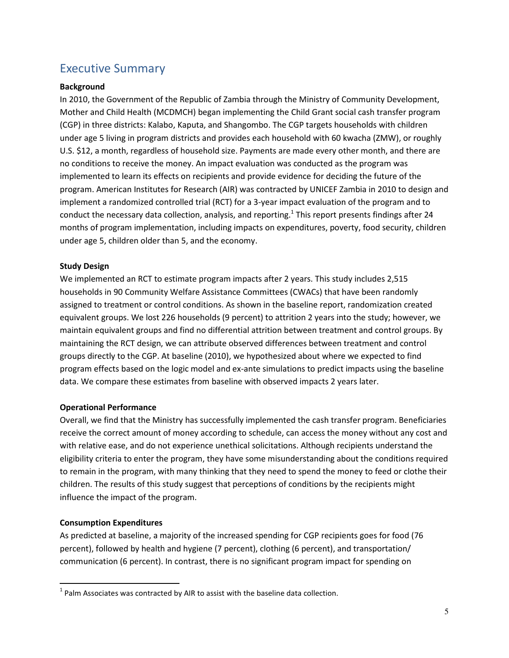# Executive Summary

## Background

In 2010, the Government of the Republic of Zambia through the Ministry of Community Development, Mother and Child Health (MCDMCH) began implementing the Child Grant social cash transfer program (CGP) in three districts: Kalabo, Kaputa, and Shangombo. The CGP targets households with children under age 5 living in program districts and provides each household with 60 kwacha (ZMW), or roughly U.S. \$12, a month, regardless of household size. Payments are made every other month, and there are no conditions to receive the money. An impact evaluation was conducted as the program was implemented to learn its effects on recipients and provide evidence for deciding the future of the program. American Institutes for Research (AIR) was contracted by UNICEF Zambia in 2010 to design and implement a randomized controlled trial (RCT) for a 3-year impact evaluation of the program and to conduct the necessary data collection, analysis, and reporting.<sup>1</sup> This report presents findings after 24 months of program implementation, including impacts on expenditures, poverty, food security, children under age 5, children older than 5, and the economy.

## Study Design

We implemented an RCT to estimate program impacts after 2 years. This study includes 2,515 households in 90 Community Welfare Assistance Committees (CWACs) that have been randomly assigned to treatment or control conditions. As shown in the baseline report, randomization created equivalent groups. We lost 226 households (9 percent) to attrition 2 years into the study; however, we maintain equivalent groups and find no differential attrition between treatment and control groups. By maintaining the RCT design, we can attribute observed differences between treatment and control groups directly to the CGP. At baseline (2010), we hypothesized about where we expected to find program effects based on the logic model and ex-ante simulations to predict impacts using the baseline data. We compare these estimates from baseline with observed impacts 2 years later.

### Operational Performance

Overall, we find that the Ministry has successfully implemented the cash transfer program. Beneficiaries receive the correct amount of money according to schedule, can access the money without any cost and with relative ease, and do not experience unethical solicitations. Although recipients understand the eligibility criteria to enter the program, they have some misunderstanding about the conditions required to remain in the program, with many thinking that they need to spend the money to feed or clothe their children. The results of this study suggest that perceptions of conditions by the recipients might influence the impact of the program.

### Consumption Expenditures

As predicted at baseline, a majority of the increased spending for CGP recipients goes for food (76 percent), followed by health and hygiene (7 percent), clothing (6 percent), and transportation/ communication (6 percent). In contrast, there is no significant program impact for spending on

 $<sup>1</sup>$  Palm Associates was contracted by AIR to assist with the baseline data collection.</sup>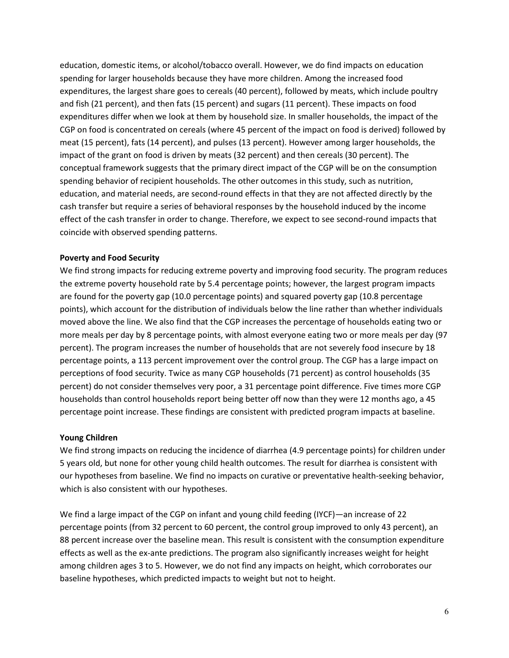education, domestic items, or alcohol/tobacco overall. However, we do find impacts on education spending for larger households because they have more children. Among the increased food expenditures, the largest share goes to cereals (40 percent), followed by meats, which include poultry and fish (21 percent), and then fats (15 percent) and sugars (11 percent). These impacts on food expenditures differ when we look at them by household size. In smaller households, the impact of the CGP on food is concentrated on cereals (where 45 percent of the impact on food is derived) followed by meat (15 percent), fats (14 percent), and pulses (13 percent). However among larger households, the impact of the grant on food is driven by meats (32 percent) and then cereals (30 percent). The conceptual framework suggests that the primary direct impact of the CGP will be on the consumption spending behavior of recipient households. The other outcomes in this study, such as nutrition, education, and material needs, are second-round effects in that they are not affected directly by the cash transfer but require a series of behavioral responses by the household induced by the income effect of the cash transfer in order to change. Therefore, we expect to see second-round impacts that coincide with observed spending patterns.

### Poverty and Food Security

We find strong impacts for reducing extreme poverty and improving food security. The program reduces the extreme poverty household rate by 5.4 percentage points; however, the largest program impacts are found for the poverty gap (10.0 percentage points) and squared poverty gap (10.8 percentage points), which account for the distribution of individuals below the line rather than whether individuals moved above the line. We also find that the CGP increases the percentage of households eating two or more meals per day by 8 percentage points, with almost everyone eating two or more meals per day (97 percent). The program increases the number of households that are not severely food insecure by 18 percentage points, a 113 percent improvement over the control group. The CGP has a large impact on perceptions of food security. Twice as many CGP households (71 percent) as control households (35 percent) do not consider themselves very poor, a 31 percentage point difference. Five times more CGP households than control households report being better off now than they were 12 months ago, a 45 percentage point increase. These findings are consistent with predicted program impacts at baseline.

#### Young Children

We find strong impacts on reducing the incidence of diarrhea (4.9 percentage points) for children under 5 years old, but none for other young child health outcomes. The result for diarrhea is consistent with our hypotheses from baseline. We find no impacts on curative or preventative health-seeking behavior, which is also consistent with our hypotheses.

We find a large impact of the CGP on infant and young child feeding (IYCF)—an increase of 22 percentage points (from 32 percent to 60 percent, the control group improved to only 43 percent), an 88 percent increase over the baseline mean. This result is consistent with the consumption expenditure effects as well as the ex-ante predictions. The program also significantly increases weight for height among children ages 3 to 5. However, we do not find any impacts on height, which corroborates our baseline hypotheses, which predicted impacts to weight but not to height.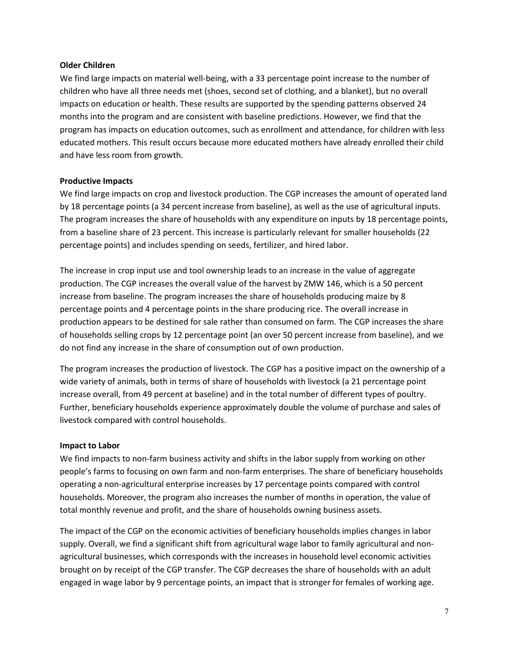### Older Children

We find large impacts on material well-being, with a 33 percentage point increase to the number of children who have all three needs met (shoes, second set of clothing, and a blanket), but no overall impacts on education or health. These results are supported by the spending patterns observed 24 months into the program and are consistent with baseline predictions. However, we find that the program has impacts on education outcomes, such as enrollment and attendance, for children with less educated mothers. This result occurs because more educated mothers have already enrolled their child and have less room from growth.

### Productive Impacts

We find large impacts on crop and livestock production. The CGP increases the amount of operated land by 18 percentage points (a 34 percent increase from baseline), as well as the use of agricultural inputs. The program increases the share of households with any expenditure on inputs by 18 percentage points, from a baseline share of 23 percent. This increase is particularly relevant for smaller households (22 percentage points) and includes spending on seeds, fertilizer, and hired labor.

The increase in crop input use and tool ownership leads to an increase in the value of aggregate production. The CGP increases the overall value of the harvest by ZMW 146, which is a 50 percent increase from baseline. The program increases the share of households producing maize by 8 percentage points and 4 percentage points in the share producing rice. The overall increase in production appears to be destined for sale rather than consumed on farm. The CGP increases the share of households selling crops by 12 percentage point (an over 50 percent increase from baseline), and we do not find any increase in the share of consumption out of own production.

The program increases the production of livestock. The CGP has a positive impact on the ownership of a wide variety of animals, both in terms of share of households with livestock (a 21 percentage point increase overall, from 49 percent at baseline) and in the total number of different types of poultry. Further, beneficiary households experience approximately double the volume of purchase and sales of livestock compared with control households.

#### Impact to Labor

We find impacts to non-farm business activity and shifts in the labor supply from working on other people's farms to focusing on own farm and non-farm enterprises. The share of beneficiary households operating a non-agricultural enterprise increases by 17 percentage points compared with control households. Moreover, the program also increases the number of months in operation, the value of total monthly revenue and profit, and the share of households owning business assets.

The impact of the CGP on the economic activities of beneficiary households implies changes in labor supply. Overall, we find a significant shift from agricultural wage labor to family agricultural and nonagricultural businesses, which corresponds with the increases in household level economic activities brought on by receipt of the CGP transfer. The CGP decreases the share of households with an adult engaged in wage labor by 9 percentage points, an impact that is stronger for females of working age.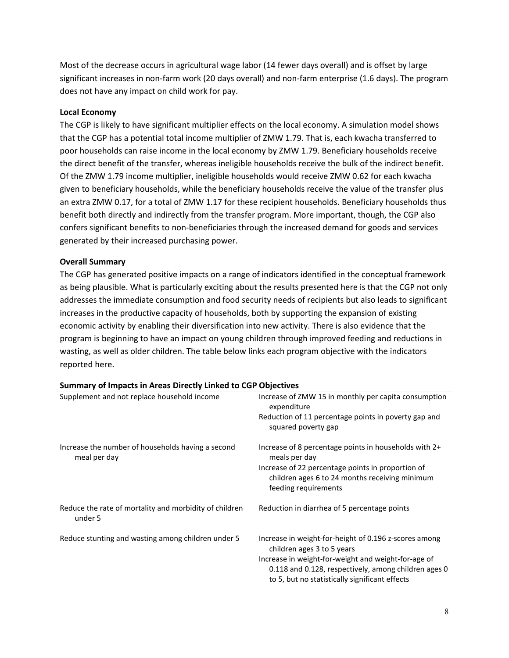Most of the decrease occurs in agricultural wage labor (14 fewer days overall) and is offset by large significant increases in non-farm work (20 days overall) and non-farm enterprise (1.6 days). The program does not have any impact on child work for pay.

## Local Economy

The CGP is likely to have significant multiplier effects on the local economy. A simulation model shows that the CGP has a potential total income multiplier of ZMW 1.79. That is, each kwacha transferred to poor households can raise income in the local economy by ZMW 1.79. Beneficiary households receive the direct benefit of the transfer, whereas ineligible households receive the bulk of the indirect benefit. Of the ZMW 1.79 income multiplier, ineligible households would receive ZMW 0.62 for each kwacha given to beneficiary households, while the beneficiary households receive the value of the transfer plus an extra ZMW 0.17, for a total of ZMW 1.17 for these recipient households. Beneficiary households thus benefit both directly and indirectly from the transfer program. More important, though, the CGP also confers significant benefits to non-beneficiaries through the increased demand for goods and services generated by their increased purchasing power.

### Overall Summary

The CGP has generated positive impacts on a range of indicators identified in the conceptual framework as being plausible. What is particularly exciting about the results presented here is that the CGP not only addresses the immediate consumption and food security needs of recipients but also leads to significant increases in the productive capacity of households, both by supporting the expansion of existing economic activity by enabling their diversification into new activity. There is also evidence that the program is beginning to have an impact on young children through improved feeding and reductions in wasting, as well as older children. The table below links each program objective with the indicators reported here.

| Supplement and not replace household income                       | Increase of ZMW 15 in monthly per capita consumption<br>expenditure                                                                                                                                                                                  |  |  |  |  |
|-------------------------------------------------------------------|------------------------------------------------------------------------------------------------------------------------------------------------------------------------------------------------------------------------------------------------------|--|--|--|--|
|                                                                   | Reduction of 11 percentage points in poverty gap and<br>squared poverty gap                                                                                                                                                                          |  |  |  |  |
| Increase the number of households having a second<br>meal per day | Increase of 8 percentage points in households with $2+$<br>meals per day<br>Increase of 22 percentage points in proportion of<br>children ages 6 to 24 months receiving minimum<br>feeding requirements                                              |  |  |  |  |
| Reduce the rate of mortality and morbidity of children<br>under 5 | Reduction in diarrhea of 5 percentage points                                                                                                                                                                                                         |  |  |  |  |
| Reduce stunting and wasting among children under 5                | Increase in weight-for-height of 0.196 z-scores among<br>children ages 3 to 5 years<br>Increase in weight-for-weight and weight-for-age of<br>0.118 and 0.128, respectively, among children ages 0<br>to 5, but no statistically significant effects |  |  |  |  |

| Summary of Impacts in Areas Directly Linked to CGP Objectives |  |  |  |  |
|---------------------------------------------------------------|--|--|--|--|
|                                                               |  |  |  |  |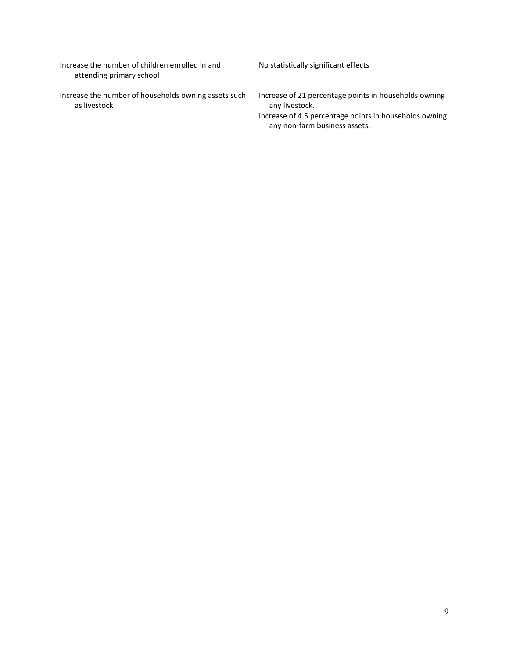| Increase the number of children enrolled in and<br>attending primary school | No statistically significant effects                                                                                                                               |
|-----------------------------------------------------------------------------|--------------------------------------------------------------------------------------------------------------------------------------------------------------------|
| Increase the number of households owning assets such<br>as livestock        | Increase of 21 percentage points in households owning<br>any livestock.<br>Increase of 4.5 percentage points in households owning<br>any non-farm business assets. |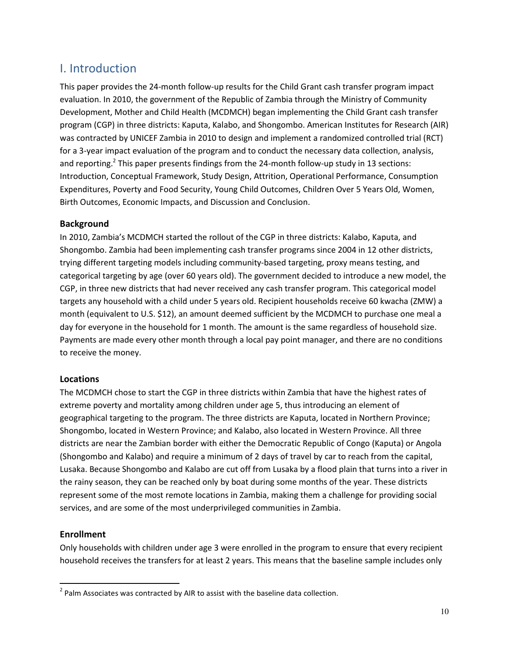# I. Introduction

This paper provides the 24-month follow-up results for the Child Grant cash transfer program impact evaluation. In 2010, the government of the Republic of Zambia through the Ministry of Community Development, Mother and Child Health (MCDMCH) began implementing the Child Grant cash transfer program (CGP) in three districts: Kaputa, Kalabo, and Shongombo. American Institutes for Research (AIR) was contracted by UNICEF Zambia in 2010 to design and implement a randomized controlled trial (RCT) for a 3-year impact evaluation of the program and to conduct the necessary data collection, analysis, and reporting.<sup>2</sup> This paper presents findings from the 24-month follow-up study in 13 sections: Introduction, Conceptual Framework, Study Design, Attrition, Operational Performance, Consumption Expenditures, Poverty and Food Security, Young Child Outcomes, Children Over 5 Years Old, Women, Birth Outcomes, Economic Impacts, and Discussion and Conclusion.

## **Background**

In 2010, Zambia's MCDMCH started the rollout of the CGP in three districts: Kalabo, Kaputa, and Shongombo. Zambia had been implementing cash transfer programs since 2004 in 12 other districts, trying different targeting models including community-based targeting, proxy means testing, and categorical targeting by age (over 60 years old). The government decided to introduce a new model, the CGP, in three new districts that had never received any cash transfer program. This categorical model targets any household with a child under 5 years old. Recipient households receive 60 kwacha (ZMW) a month (equivalent to U.S. \$12), an amount deemed sufficient by the MCDMCH to purchase one meal a day for everyone in the household for 1 month. The amount is the same regardless of household size. Payments are made every other month through a local pay point manager, and there are no conditions to receive the money.

## Locations

The MCDMCH chose to start the CGP in three districts within Zambia that have the highest rates of extreme poverty and mortality among children under age 5, thus introducing an element of geographical targeting to the program. The three districts are Kaputa, located in Northern Province; Shongombo, located in Western Province; and Kalabo, also located in Western Province. All three districts are near the Zambian border with either the Democratic Republic of Congo (Kaputa) or Angola (Shongombo and Kalabo) and require a minimum of 2 days of travel by car to reach from the capital, Lusaka. Because Shongombo and Kalabo are cut off from Lusaka by a flood plain that turns into a river in the rainy season, they can be reached only by boat during some months of the year. These districts represent some of the most remote locations in Zambia, making them a challenge for providing social services, and are some of the most underprivileged communities in Zambia.

# Enrollment

 $\overline{\phantom{0}}$ 

Only households with children under age 3 were enrolled in the program to ensure that every recipient household receives the transfers for at least 2 years. This means that the baseline sample includes only

 $2$  Palm Associates was contracted by AIR to assist with the baseline data collection.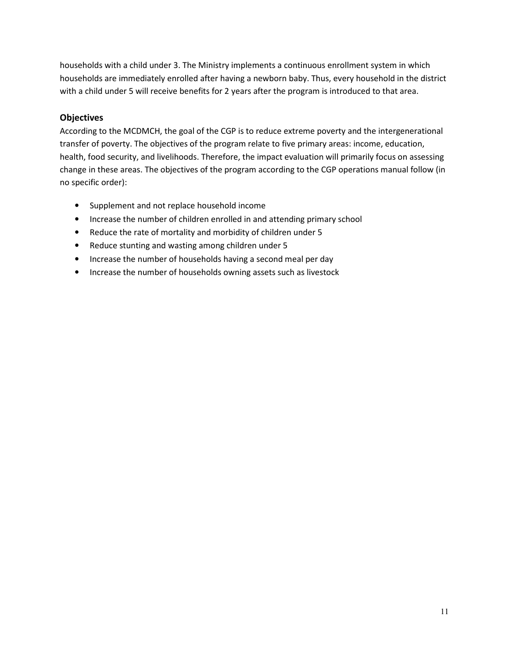households with a child under 3. The Ministry implements a continuous enrollment system in which households are immediately enrolled after having a newborn baby. Thus, every household in the district with a child under 5 will receive benefits for 2 years after the program is introduced to that area.

## **Objectives**

According to the MCDMCH, the goal of the CGP is to reduce extreme poverty and the intergenerational transfer of poverty. The objectives of the program relate to five primary areas: income, education, health, food security, and livelihoods. Therefore, the impact evaluation will primarily focus on assessing change in these areas. The objectives of the program according to the CGP operations manual follow (in no specific order):

- Supplement and not replace household income
- Increase the number of children enrolled in and attending primary school
- Reduce the rate of mortality and morbidity of children under 5
- Reduce stunting and wasting among children under 5
- Increase the number of households having a second meal per day
- Increase the number of households owning assets such as livestock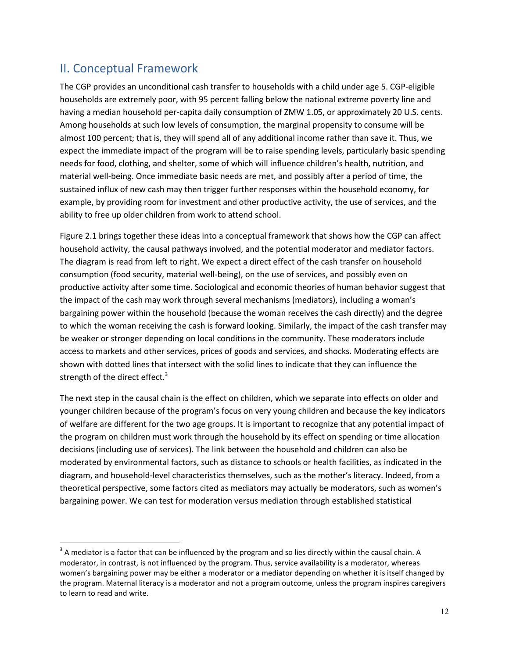# II. Conceptual Framework

 $\overline{a}$ 

The CGP provides an unconditional cash transfer to households with a child under age 5. CGP-eligible households are extremely poor, with 95 percent falling below the national extreme poverty line and having a median household per-capita daily consumption of ZMW 1.05, or approximately 20 U.S. cents. Among households at such low levels of consumption, the marginal propensity to consume will be almost 100 percent; that is, they will spend all of any additional income rather than save it. Thus, we expect the immediate impact of the program will be to raise spending levels, particularly basic spending needs for food, clothing, and shelter, some of which will influence children's health, nutrition, and material well-being. Once immediate basic needs are met, and possibly after a period of time, the sustained influx of new cash may then trigger further responses within the household economy, for example, by providing room for investment and other productive activity, the use of services, and the ability to free up older children from work to attend school.

Figure 2.1 brings together these ideas into a conceptual framework that shows how the CGP can affect household activity, the causal pathways involved, and the potential moderator and mediator factors. The diagram is read from left to right. We expect a direct effect of the cash transfer on household consumption (food security, material well-being), on the use of services, and possibly even on productive activity after some time. Sociological and economic theories of human behavior suggest that the impact of the cash may work through several mechanisms (mediators), including a woman's bargaining power within the household (because the woman receives the cash directly) and the degree to which the woman receiving the cash is forward looking. Similarly, the impact of the cash transfer may be weaker or stronger depending on local conditions in the community. These moderators include access to markets and other services, prices of goods and services, and shocks. Moderating effects are shown with dotted lines that intersect with the solid lines to indicate that they can influence the strength of the direct effect. $3$ 

The next step in the causal chain is the effect on children, which we separate into effects on older and younger children because of the program's focus on very young children and because the key indicators of welfare are different for the two age groups. It is important to recognize that any potential impact of the program on children must work through the household by its effect on spending or time allocation decisions (including use of services). The link between the household and children can also be moderated by environmental factors, such as distance to schools or health facilities, as indicated in the diagram, and household-level characteristics themselves, such as the mother's literacy. Indeed, from a theoretical perspective, some factors cited as mediators may actually be moderators, such as women's bargaining power. We can test for moderation versus mediation through established statistical

 $3$  A mediator is a factor that can be influenced by the program and so lies directly within the causal chain. A moderator, in contrast, is not influenced by the program. Thus, service availability is a moderator, whereas women's bargaining power may be either a moderator or a mediator depending on whether it is itself changed by the program. Maternal literacy is a moderator and not a program outcome, unless the program inspires caregivers to learn to read and write.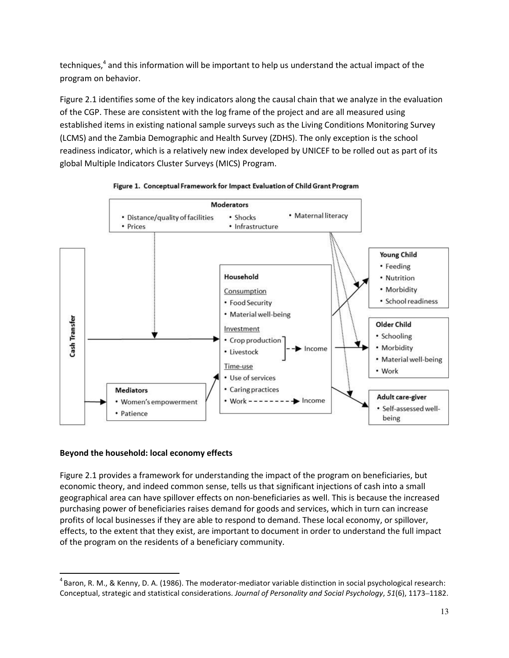techniques,<sup>4</sup> and this information will be important to help us understand the actual impact of the program on behavior.

Figure 2.1 identifies some of the key indicators along the causal chain that we analyze in the evaluation of the CGP. These are consistent with the log frame of the project and are all measured using established items in existing national sample surveys such as the Living Conditions Monitoring Survey (LCMS) and the Zambia Demographic and Health Survey (ZDHS). The only exception is the school readiness indicator, which is a relatively new index developed by UNICEF to be rolled out as part of its global Multiple Indicators Cluster Surveys (MICS) Program.





## Beyond the household: local economy effects

 $\overline{a}$ 

Figure 2.1 provides a framework for understanding the impact of the program on beneficiaries, but economic theory, and indeed common sense, tells us that significant injections of cash into a small geographical area can have spillover effects on non-beneficiaries as well. This is because the increased purchasing power of beneficiaries raises demand for goods and services, which in turn can increase profits of local businesses if they are able to respond to demand. These local economy, or spillover, effects, to the extent that they exist, are important to document in order to understand the full impact of the program on the residents of a beneficiary community.

 $4$ Baron, R. M., & Kenny, D. A. (1986). The moderator-mediator variable distinction in social psychological research: Conceptual, strategic and statistical considerations. Journal of Personality and Social Psychology, 51(6), 1173–1182.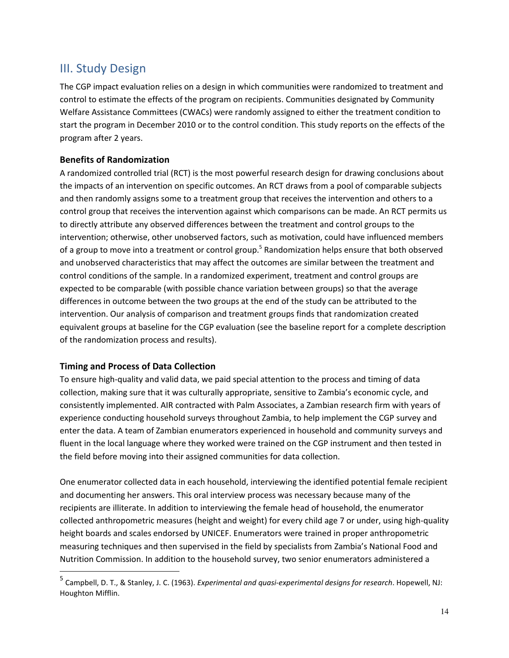# III. Study Design

The CGP impact evaluation relies on a design in which communities were randomized to treatment and control to estimate the effects of the program on recipients. Communities designated by Community Welfare Assistance Committees (CWACs) were randomly assigned to either the treatment condition to start the program in December 2010 or to the control condition. This study reports on the effects of the program after 2 years.

## Benefits of Randomization

A randomized controlled trial (RCT) is the most powerful research design for drawing conclusions about the impacts of an intervention on specific outcomes. An RCT draws from a pool of comparable subjects and then randomly assigns some to a treatment group that receives the intervention and others to a control group that receives the intervention against which comparisons can be made. An RCT permits us to directly attribute any observed differences between the treatment and control groups to the intervention; otherwise, other unobserved factors, such as motivation, could have influenced members of a group to move into a treatment or control group.<sup>5</sup> Randomization helps ensure that both observed and unobserved characteristics that may affect the outcomes are similar between the treatment and control conditions of the sample. In a randomized experiment, treatment and control groups are expected to be comparable (with possible chance variation between groups) so that the average differences in outcome between the two groups at the end of the study can be attributed to the intervention. Our analysis of comparison and treatment groups finds that randomization created equivalent groups at baseline for the CGP evaluation (see the baseline report for a complete description of the randomization process and results).

## Timing and Process of Data Collection

 $\overline{\phantom{0}}$ 

To ensure high-quality and valid data, we paid special attention to the process and timing of data collection, making sure that it was culturally appropriate, sensitive to Zambia's economic cycle, and consistently implemented. AIR contracted with Palm Associates, a Zambian research firm with years of experience conducting household surveys throughout Zambia, to help implement the CGP survey and enter the data. A team of Zambian enumerators experienced in household and community surveys and fluent in the local language where they worked were trained on the CGP instrument and then tested in the field before moving into their assigned communities for data collection.

One enumerator collected data in each household, interviewing the identified potential female recipient and documenting her answers. This oral interview process was necessary because many of the recipients are illiterate. In addition to interviewing the female head of household, the enumerator collected anthropometric measures (height and weight) for every child age 7 or under, using high-quality height boards and scales endorsed by UNICEF. Enumerators were trained in proper anthropometric measuring techniques and then supervised in the field by specialists from Zambia's National Food and Nutrition Commission. In addition to the household survey, two senior enumerators administered a

<sup>&</sup>lt;sup>5</sup> Campbell, D. T., & Stanley, J. C. (1963). Experimental and quasi-experimental designs for research. Hopewell, NJ: Houghton Mifflin.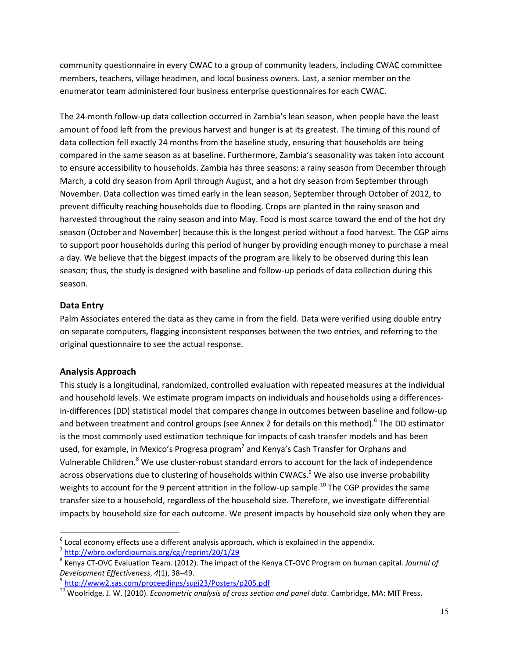community questionnaire in every CWAC to a group of community leaders, including CWAC committee members, teachers, village headmen, and local business owners. Last, a senior member on the enumerator team administered four business enterprise questionnaires for each CWAC.

The 24-month follow-up data collection occurred in Zambia's lean season, when people have the least amount of food left from the previous harvest and hunger is at its greatest. The timing of this round of data collection fell exactly 24 months from the baseline study, ensuring that households are being compared in the same season as at baseline. Furthermore, Zambia's seasonality was taken into account to ensure accessibility to households. Zambia has three seasons: a rainy season from December through March, a cold dry season from April through August, and a hot dry season from September through November. Data collection was timed early in the lean season, September through October of 2012, to prevent difficulty reaching households due to flooding. Crops are planted in the rainy season and harvested throughout the rainy season and into May. Food is most scarce toward the end of the hot dry season (October and November) because this is the longest period without a food harvest. The CGP aims to support poor households during this period of hunger by providing enough money to purchase a meal a day. We believe that the biggest impacts of the program are likely to be observed during this lean season; thus, the study is designed with baseline and follow-up periods of data collection during this season.

## Data Entry

 $\overline{\phantom{a}}$ 

Palm Associates entered the data as they came in from the field. Data were verified using double entry on separate computers, flagging inconsistent responses between the two entries, and referring to the original questionnaire to see the actual response.

# Analysis Approach

This study is a longitudinal, randomized, controlled evaluation with repeated measures at the individual and household levels. We estimate program impacts on individuals and households using a differencesin-differences (DD) statistical model that compares change in outcomes between baseline and follow-up and between treatment and control groups (see Annex 2 for details on this method).<sup>6</sup> The DD estimator is the most commonly used estimation technique for impacts of cash transfer models and has been used, for example, in Mexico's Progresa program<sup>7</sup> and Kenya's Cash Transfer for Orphans and Vulnerable Children.<sup>8</sup> We use cluster-robust standard errors to account for the lack of independence across observations due to clustering of households within CWACs.<sup>9</sup> We also use inverse probability weights to account for the 9 percent attrition in the follow-up sample.<sup>10</sup> The CGP provides the same transfer size to a household, regardless of the household size. Therefore, we investigate differential impacts by household size for each outcome. We present impacts by household size only when they are

 $<sup>6</sup>$  Local economy effects use a different analysis approach, which is explained in the appendix.</sup>

<sup>7</sup> http://wbro.oxfordjournals.org/cgi/reprint/20/1/29

<sup>&</sup>lt;sup>8</sup> Kenya CT-OVC Evaluation Team. (2012). The impact of the Kenya CT-OVC Program on human capital. Journal of Development Effectiveness, 4(1), 38–49.

<sup>9</sup> http://www2.sas.com/proceedings/sugi23/Posters/p205.pdf

 $^{10}$  Woolridge, J. W. (2010). Econometric analysis of cross section and panel data. Cambridge, MA: MIT Press.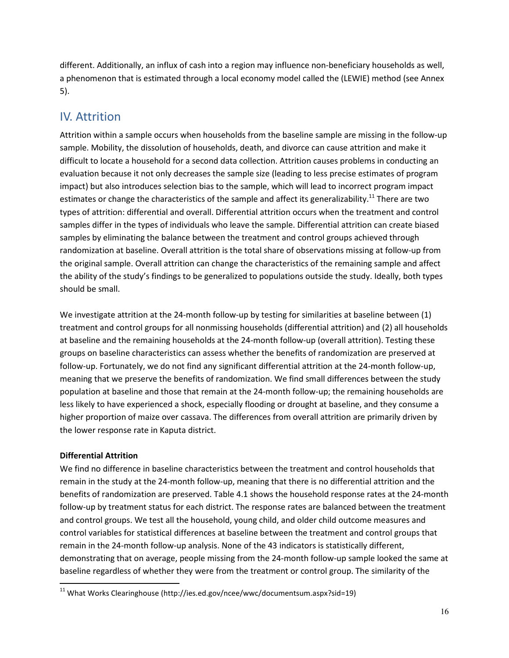different. Additionally, an influx of cash into a region may influence non-beneficiary households as well, a phenomenon that is estimated through a local economy model called the (LEWIE) method (see Annex 5).

# IV. Attrition

Attrition within a sample occurs when households from the baseline sample are missing in the follow-up sample. Mobility, the dissolution of households, death, and divorce can cause attrition and make it difficult to locate a household for a second data collection. Attrition causes problems in conducting an evaluation because it not only decreases the sample size (leading to less precise estimates of program impact) but also introduces selection bias to the sample, which will lead to incorrect program impact estimates or change the characteristics of the sample and affect its generalizability.<sup>11</sup> There are two types of attrition: differential and overall. Differential attrition occurs when the treatment and control samples differ in the types of individuals who leave the sample. Differential attrition can create biased samples by eliminating the balance between the treatment and control groups achieved through randomization at baseline. Overall attrition is the total share of observations missing at follow-up from the original sample. Overall attrition can change the characteristics of the remaining sample and affect the ability of the study's findings to be generalized to populations outside the study. Ideally, both types should be small.

We investigate attrition at the 24-month follow-up by testing for similarities at baseline between (1) treatment and control groups for all nonmissing households (differential attrition) and (2) all households at baseline and the remaining households at the 24-month follow-up (overall attrition). Testing these groups on baseline characteristics can assess whether the benefits of randomization are preserved at follow-up. Fortunately, we do not find any significant differential attrition at the 24-month follow-up, meaning that we preserve the benefits of randomization. We find small differences between the study population at baseline and those that remain at the 24-month follow-up; the remaining households are less likely to have experienced a shock, especially flooding or drought at baseline, and they consume a higher proportion of maize over cassava. The differences from overall attrition are primarily driven by the lower response rate in Kaputa district.

## Differential Attrition

We find no difference in baseline characteristics between the treatment and control households that remain in the study at the 24-month follow-up, meaning that there is no differential attrition and the benefits of randomization are preserved. Table 4.1 shows the household response rates at the 24-month follow-up by treatment status for each district. The response rates are balanced between the treatment and control groups. We test all the household, young child, and older child outcome measures and control variables for statistical differences at baseline between the treatment and control groups that remain in the 24-month follow-up analysis. None of the 43 indicators is statistically different, demonstrating that on average, people missing from the 24-month follow-up sample looked the same at baseline regardless of whether they were from the treatment or control group. The similarity of the

<sup>&</sup>lt;sup>11</sup> What Works Clearinghouse (http://ies.ed.gov/ncee/wwc/documentsum.aspx?sid=19)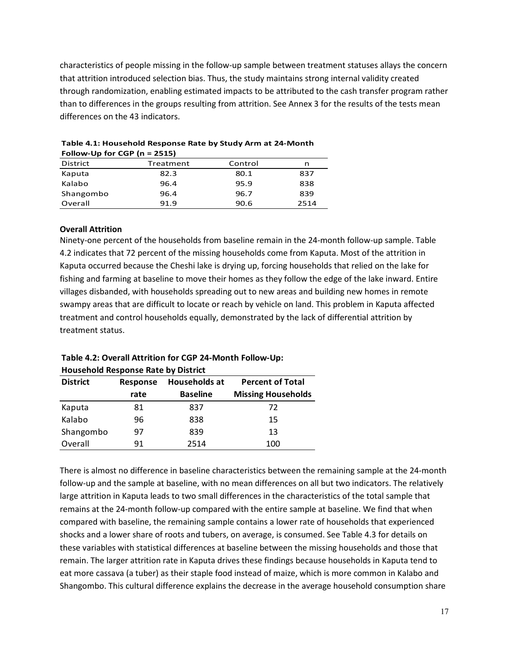characteristics of people missing in the follow-up sample between treatment statuses allays the concern that attrition introduced selection bias. Thus, the study maintains strong internal validity created through randomization, enabling estimated impacts to be attributed to the cash transfer program rather than to differences in the groups resulting from attrition. See Annex 3 for the results of the tests mean differences on the 43 indicators.

|                 | $1.910W$ op tot cor $H = 2.515$ |         |      |  |  |  |
|-----------------|---------------------------------|---------|------|--|--|--|
| <b>District</b> | Treatment                       | Control | n    |  |  |  |
| Kaputa          | 82.3                            | 80.1    | 837  |  |  |  |
| Kalabo          | 96.4                            | 95.9    | 838  |  |  |  |
| Shangombo       | 96.4                            | 96.7    | 839  |  |  |  |
| Overall         | 91.9                            | 90.6    | 2514 |  |  |  |

| Table 4.1: Household Response Rate by Study Arm at 24-Month |
|-------------------------------------------------------------|
| Follow-Up for CGP ( $n = 2515$ )                            |

## Overall Attrition

Ninety-one percent of the households from baseline remain in the 24-month follow-up sample. Table 4.2 indicates that 72 percent of the missing households come from Kaputa. Most of the attrition in Kaputa occurred because the Cheshi lake is drying up, forcing households that relied on the lake for fishing and farming at baseline to move their homes as they follow the edge of the lake inward. Entire villages disbanded, with households spreading out to new areas and building new homes in remote swampy areas that are difficult to locate or reach by vehicle on land. This problem in Kaputa affected treatment and control households equally, demonstrated by the lack of differential attrition by treatment status.

| Household Response Rate by District |                 |                 |                           |  |  |  |
|-------------------------------------|-----------------|-----------------|---------------------------|--|--|--|
| <b>District</b>                     | <b>Response</b> | Households at   | <b>Percent of Total</b>   |  |  |  |
|                                     | rate            | <b>Baseline</b> | <b>Missing Households</b> |  |  |  |
| Kaputa                              | 81              | 837             | 72                        |  |  |  |
| Kalabo                              | 96              | 838             | 15                        |  |  |  |
| Shangombo                           | 97              | 839             | 13                        |  |  |  |
| Overall                             | 91              | 2514            | 100                       |  |  |  |

Table 4.2: Overall Attrition for CGP 24-Month Follow-Up: Household Response Rate by District

There is almost no difference in baseline characteristics between the remaining sample at the 24-month follow-up and the sample at baseline, with no mean differences on all but two indicators. The relatively large attrition in Kaputa leads to two small differences in the characteristics of the total sample that remains at the 24-month follow-up compared with the entire sample at baseline. We find that when compared with baseline, the remaining sample contains a lower rate of households that experienced shocks and a lower share of roots and tubers, on average, is consumed. See Table 4.3 for details on these variables with statistical differences at baseline between the missing households and those that remain. The larger attrition rate in Kaputa drives these findings because households in Kaputa tend to eat more cassava (a tuber) as their staple food instead of maize, which is more common in Kalabo and Shangombo. This cultural difference explains the decrease in the average household consumption share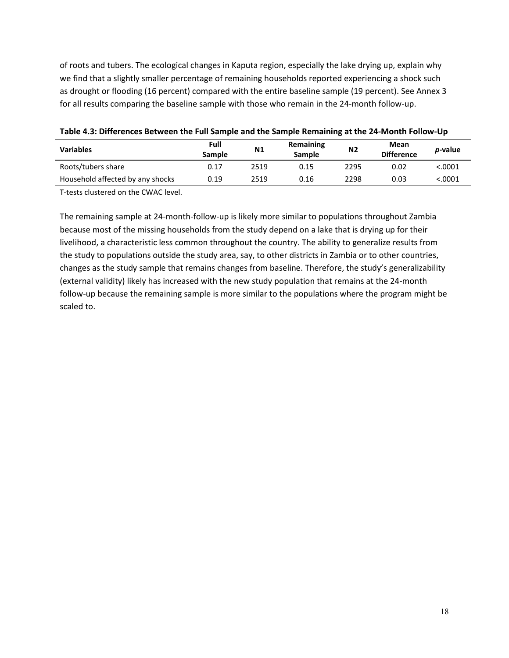of roots and tubers. The ecological changes in Kaputa region, especially the lake drying up, explain why we find that a slightly smaller percentage of remaining households reported experiencing a shock such as drought or flooding (16 percent) compared with the entire baseline sample (19 percent). See Annex 3 for all results comparing the baseline sample with those who remain in the 24-month follow-up.

| <b>Variables</b>                 | Full<br><b>Sample</b> | N <sub>1</sub> | Remaining<br><b>Sample</b> | <b>N2</b> | Mean<br><b>Difference</b> | <i>p</i> -value |
|----------------------------------|-----------------------|----------------|----------------------------|-----------|---------------------------|-----------------|
| Roots/tubers share               | 0.17                  | 2519           | 0.15                       | 2295      | 0.02                      | < .0001         |
| Household affected by any shocks | 0.19                  | 2519           | 0.16                       | 2298      | 0.03                      | <.0001          |

#### Table 4.3: Differences Between the Full Sample and the Sample Remaining at the 24-Month Follow-Up

T-tests clustered on the CWAC level.

The remaining sample at 24-month-follow-up is likely more similar to populations throughout Zambia because most of the missing households from the study depend on a lake that is drying up for their livelihood, a characteristic less common throughout the country. The ability to generalize results from the study to populations outside the study area, say, to other districts in Zambia or to other countries, changes as the study sample that remains changes from baseline. Therefore, the study's generalizability (external validity) likely has increased with the new study population that remains at the 24-month follow-up because the remaining sample is more similar to the populations where the program might be scaled to.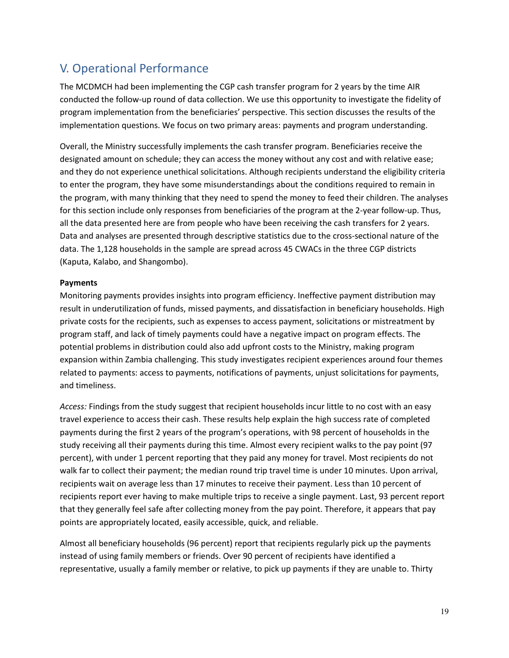# V. Operational Performance

The MCDMCH had been implementing the CGP cash transfer program for 2 years by the time AIR conducted the follow-up round of data collection. We use this opportunity to investigate the fidelity of program implementation from the beneficiaries' perspective. This section discusses the results of the implementation questions. We focus on two primary areas: payments and program understanding.

Overall, the Ministry successfully implements the cash transfer program. Beneficiaries receive the designated amount on schedule; they can access the money without any cost and with relative ease; and they do not experience unethical solicitations. Although recipients understand the eligibility criteria to enter the program, they have some misunderstandings about the conditions required to remain in the program, with many thinking that they need to spend the money to feed their children. The analyses for this section include only responses from beneficiaries of the program at the 2-year follow-up. Thus, all the data presented here are from people who have been receiving the cash transfers for 2 years. Data and analyses are presented through descriptive statistics due to the cross-sectional nature of the data. The 1,128 households in the sample are spread across 45 CWACs in the three CGP districts (Kaputa, Kalabo, and Shangombo).

## Payments

Monitoring payments provides insights into program efficiency. Ineffective payment distribution may result in underutilization of funds, missed payments, and dissatisfaction in beneficiary households. High private costs for the recipients, such as expenses to access payment, solicitations or mistreatment by program staff, and lack of timely payments could have a negative impact on program effects. The potential problems in distribution could also add upfront costs to the Ministry, making program expansion within Zambia challenging. This study investigates recipient experiences around four themes related to payments: access to payments, notifications of payments, unjust solicitations for payments, and timeliness.

Access: Findings from the study suggest that recipient households incur little to no cost with an easy travel experience to access their cash. These results help explain the high success rate of completed payments during the first 2 years of the program's operations, with 98 percent of households in the study receiving all their payments during this time. Almost every recipient walks to the pay point (97 percent), with under 1 percent reporting that they paid any money for travel. Most recipients do not walk far to collect their payment; the median round trip travel time is under 10 minutes. Upon arrival, recipients wait on average less than 17 minutes to receive their payment. Less than 10 percent of recipients report ever having to make multiple trips to receive a single payment. Last, 93 percent report that they generally feel safe after collecting money from the pay point. Therefore, it appears that pay points are appropriately located, easily accessible, quick, and reliable.

Almost all beneficiary households (96 percent) report that recipients regularly pick up the payments instead of using family members or friends. Over 90 percent of recipients have identified a representative, usually a family member or relative, to pick up payments if they are unable to. Thirty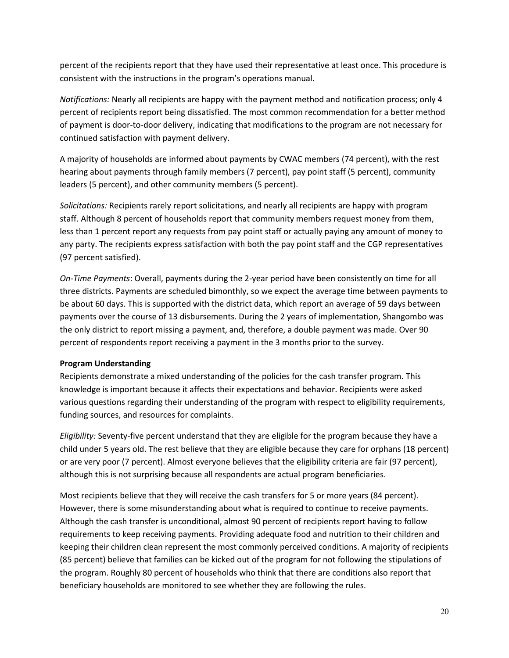percent of the recipients report that they have used their representative at least once. This procedure is consistent with the instructions in the program's operations manual.

Notifications: Nearly all recipients are happy with the payment method and notification process; only 4 percent of recipients report being dissatisfied. The most common recommendation for a better method of payment is door-to-door delivery, indicating that modifications to the program are not necessary for continued satisfaction with payment delivery.

A majority of households are informed about payments by CWAC members (74 percent), with the rest hearing about payments through family members (7 percent), pay point staff (5 percent), community leaders (5 percent), and other community members (5 percent).

Solicitations: Recipients rarely report solicitations, and nearly all recipients are happy with program staff. Although 8 percent of households report that community members request money from them, less than 1 percent report any requests from pay point staff or actually paying any amount of money to any party. The recipients express satisfaction with both the pay point staff and the CGP representatives (97 percent satisfied).

On-Time Payments: Overall, payments during the 2-year period have been consistently on time for all three districts. Payments are scheduled bimonthly, so we expect the average time between payments to be about 60 days. This is supported with the district data, which report an average of 59 days between payments over the course of 13 disbursements. During the 2 years of implementation, Shangombo was the only district to report missing a payment, and, therefore, a double payment was made. Over 90 percent of respondents report receiving a payment in the 3 months prior to the survey.

### Program Understanding

Recipients demonstrate a mixed understanding of the policies for the cash transfer program. This knowledge is important because it affects their expectations and behavior. Recipients were asked various questions regarding their understanding of the program with respect to eligibility requirements, funding sources, and resources for complaints.

Eligibility: Seventy-five percent understand that they are eligible for the program because they have a child under 5 years old. The rest believe that they are eligible because they care for orphans (18 percent) or are very poor (7 percent). Almost everyone believes that the eligibility criteria are fair (97 percent), although this is not surprising because all respondents are actual program beneficiaries.

Most recipients believe that they will receive the cash transfers for 5 or more years (84 percent). However, there is some misunderstanding about what is required to continue to receive payments. Although the cash transfer is unconditional, almost 90 percent of recipients report having to follow requirements to keep receiving payments. Providing adequate food and nutrition to their children and keeping their children clean represent the most commonly perceived conditions. A majority of recipients (85 percent) believe that families can be kicked out of the program for not following the stipulations of the program. Roughly 80 percent of households who think that there are conditions also report that beneficiary households are monitored to see whether they are following the rules.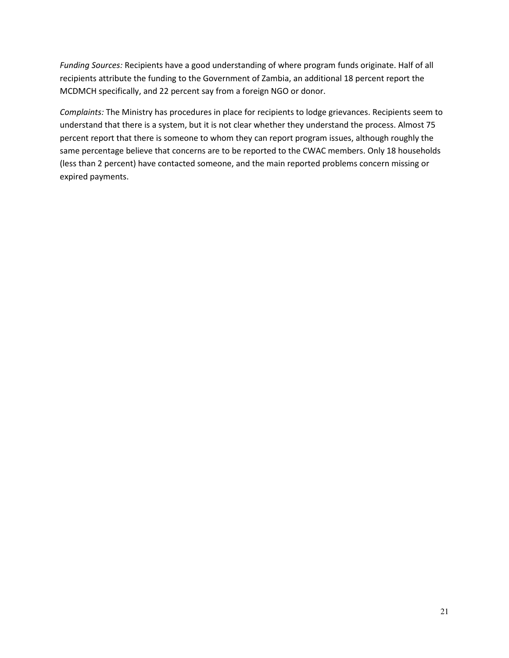Funding Sources: Recipients have a good understanding of where program funds originate. Half of all recipients attribute the funding to the Government of Zambia, an additional 18 percent report the MCDMCH specifically, and 22 percent say from a foreign NGO or donor.

Complaints: The Ministry has procedures in place for recipients to lodge grievances. Recipients seem to understand that there is a system, but it is not clear whether they understand the process. Almost 75 percent report that there is someone to whom they can report program issues, although roughly the same percentage believe that concerns are to be reported to the CWAC members. Only 18 households (less than 2 percent) have contacted someone, and the main reported problems concern missing or expired payments.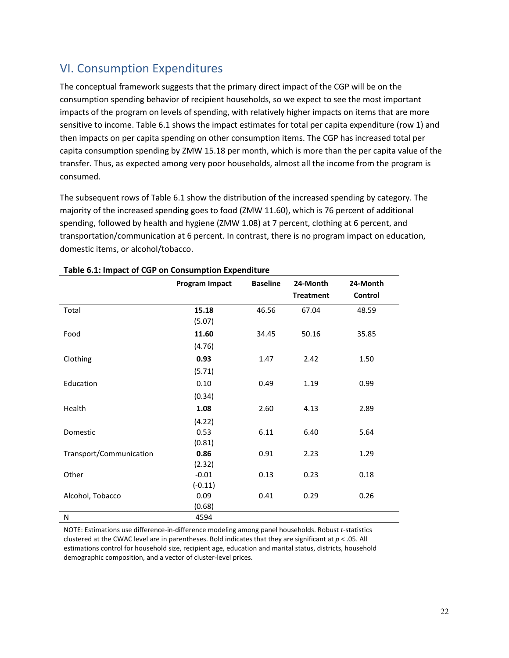# VI. Consumption Expenditures

The conceptual framework suggests that the primary direct impact of the CGP will be on the consumption spending behavior of recipient households, so we expect to see the most important impacts of the program on levels of spending, with relatively higher impacts on items that are more sensitive to income. Table 6.1 shows the impact estimates for total per capita expenditure (row 1) and then impacts on per capita spending on other consumption items. The CGP has increased total per capita consumption spending by ZMW 15.18 per month, which is more than the per capita value of the transfer. Thus, as expected among very poor households, almost all the income from the program is consumed.

The subsequent rows of Table 6.1 show the distribution of the increased spending by category. The majority of the increased spending goes to food (ZMW 11.60), which is 76 percent of additional spending, followed by health and hygiene (ZMW 1.08) at 7 percent, clothing at 6 percent, and transportation/communication at 6 percent. In contrast, there is no program impact on education, domestic items, or alcohol/tobacco.

|                         | Program Impact | <b>Baseline</b> | 24-Month<br><b>Treatment</b> | 24-Month<br>Control |
|-------------------------|----------------|-----------------|------------------------------|---------------------|
| Total                   | 15.18          | 46.56           | 67.04                        | 48.59               |
|                         | (5.07)         |                 |                              |                     |
| Food                    | 11.60          | 34.45           | 50.16                        | 35.85               |
|                         | (4.76)         |                 |                              |                     |
| Clothing                | 0.93           | 1.47            | 2.42                         | 1.50                |
|                         | (5.71)         |                 |                              |                     |
| Education               | 0.10           | 0.49            | 1.19                         | 0.99                |
|                         | (0.34)         |                 |                              |                     |
| Health                  | 1.08           | 2.60            | 4.13                         | 2.89                |
|                         | (4.22)         |                 |                              |                     |
| Domestic                | 0.53           | 6.11            | 6.40                         | 5.64                |
|                         | (0.81)         |                 |                              |                     |
| Transport/Communication | 0.86           | 0.91            | 2.23                         | 1.29                |
|                         | (2.32)         |                 |                              |                     |
| Other                   | $-0.01$        | 0.13            | 0.23                         | 0.18                |
|                         | $(-0.11)$      |                 |                              |                     |
| Alcohol, Tobacco        | 0.09           | 0.41            | 0.29                         | 0.26                |
|                         | (0.68)         |                 |                              |                     |
| N                       | 4594           |                 |                              |                     |

### Table 6.1: Impact of CGP on Consumption Expenditure

NOTE: Estimations use difference-in-difference modeling among panel households. Robust t-statistics clustered at the CWAC level are in parentheses. Bold indicates that they are significant at p < .05. All estimations control for household size, recipient age, education and marital status, districts, household demographic composition, and a vector of cluster-level prices.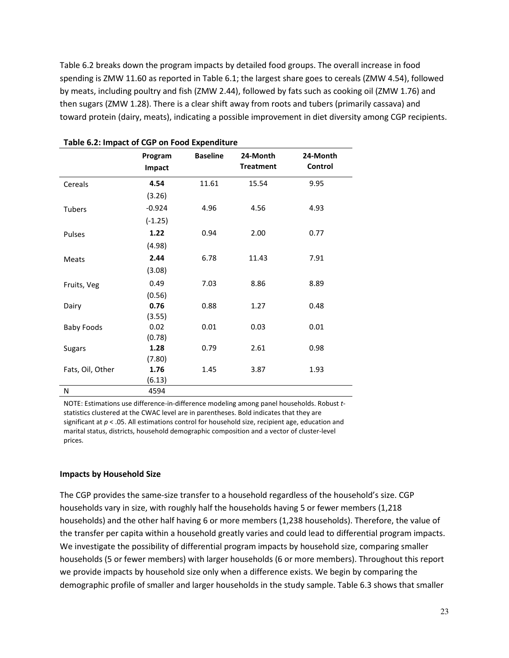Table 6.2 breaks down the program impacts by detailed food groups. The overall increase in food spending is ZMW 11.60 as reported in Table 6.1; the largest share goes to cereals (ZMW 4.54), followed by meats, including poultry and fish (ZMW 2.44), followed by fats such as cooking oil (ZMW 1.76) and then sugars (ZMW 1.28). There is a clear shift away from roots and tubers (primarily cassava) and toward protein (dairy, meats), indicating a possible improvement in diet diversity among CGP recipients.

|                   | Program<br>Impact | <b>Baseline</b> | 24-Month<br><b>Treatment</b> | 24-Month<br>Control |
|-------------------|-------------------|-----------------|------------------------------|---------------------|
| Cereals           | 4.54              | 11.61           | 15.54                        | 9.95                |
|                   | (3.26)            |                 |                              |                     |
| Tubers            | $-0.924$          | 4.96            | 4.56                         | 4.93                |
|                   | $(-1.25)$         |                 |                              |                     |
| Pulses            | 1.22              | 0.94            | 2.00                         | 0.77                |
|                   | (4.98)            |                 |                              |                     |
| Meats             | 2.44              | 6.78            | 11.43                        | 7.91                |
|                   | (3.08)            |                 |                              |                     |
| Fruits, Veg       | 0.49              | 7.03            | 8.86                         | 8.89                |
|                   | (0.56)            |                 |                              |                     |
| Dairy             | 0.76              | 0.88            | 1.27                         | 0.48                |
|                   | (3.55)            |                 |                              |                     |
| <b>Baby Foods</b> | 0.02              | 0.01            | 0.03                         | 0.01                |
|                   | (0.78)            |                 |                              |                     |
| <b>Sugars</b>     | 1.28              | 0.79            | 2.61                         | 0.98                |
|                   | (7.80)            |                 |                              |                     |
| Fats, Oil, Other  | 1.76              | 1.45            | 3.87                         | 1.93                |
|                   | (6.13)            |                 |                              |                     |
| N                 | 4594              |                 |                              |                     |

| Table 6.2: Impact of CGP on Food Expenditure |  |  |
|----------------------------------------------|--|--|
|                                              |  |  |

NOTE: Estimations use difference-in-difference modeling among panel households. Robust tstatistics clustered at the CWAC level are in parentheses. Bold indicates that they are significant at  $p < 0.05$ . All estimations control for household size, recipient age, education and marital status, districts, household demographic composition and a vector of cluster-level prices.

#### Impacts by Household Size

The CGP provides the same-size transfer to a household regardless of the household's size. CGP households vary in size, with roughly half the households having 5 or fewer members (1,218 households) and the other half having 6 or more members (1,238 households). Therefore, the value of the transfer per capita within a household greatly varies and could lead to differential program impacts. We investigate the possibility of differential program impacts by household size, comparing smaller households (5 or fewer members) with larger households (6 or more members). Throughout this report we provide impacts by household size only when a difference exists. We begin by comparing the demographic profile of smaller and larger households in the study sample. Table 6.3 shows that smaller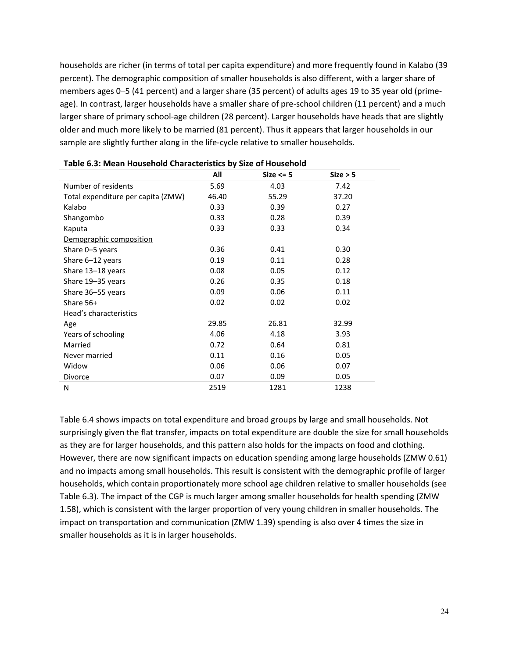households are richer (in terms of total per capita expenditure) and more frequently found in Kalabo (39 percent). The demographic composition of smaller households is also different, with a larger share of members ages 0–5 (41 percent) and a larger share (35 percent) of adults ages 19 to 35 year old (primeage). In contrast, larger households have a smaller share of pre-school children (11 percent) and a much larger share of primary school-age children (28 percent). Larger households have heads that are slightly older and much more likely to be married (81 percent). Thus it appears that larger households in our sample are slightly further along in the life-cycle relative to smaller households.

|                                    | All   | Size $\le$ 5 | Size > 5 |
|------------------------------------|-------|--------------|----------|
| Number of residents                | 5.69  | 4.03         | 7.42     |
| Total expenditure per capita (ZMW) | 46.40 | 55.29        | 37.20    |
| Kalabo                             | 0.33  | 0.39         | 0.27     |
| Shangombo                          | 0.33  | 0.28         | 0.39     |
| Kaputa                             | 0.33  | 0.33         | 0.34     |
| Demographic composition            |       |              |          |
| Share 0–5 years                    | 0.36  | 0.41         | 0.30     |
| Share 6-12 years                   | 0.19  | 0.11         | 0.28     |
| Share 13-18 years                  | 0.08  | 0.05         | 0.12     |
| Share 19-35 years                  | 0.26  | 0.35         | 0.18     |
| Share 36-55 years                  | 0.09  | 0.06         | 0.11     |
| Share 56+                          | 0.02  | 0.02         | 0.02     |
| Head's characteristics             |       |              |          |
| Age                                | 29.85 | 26.81        | 32.99    |
| Years of schooling                 | 4.06  | 4.18         | 3.93     |
| Married                            | 0.72  | 0.64         | 0.81     |
| Never married                      | 0.11  | 0.16         | 0.05     |
| Widow                              | 0.06  | 0.06         | 0.07     |
| Divorce                            | 0.07  | 0.09         | 0.05     |
| N                                  | 2519  | 1281         | 1238     |

| Table 6.3: Mean Household Characteristics by Size of Household |  |  |
|----------------------------------------------------------------|--|--|
|----------------------------------------------------------------|--|--|

Table 6.4 shows impacts on total expenditure and broad groups by large and small households. Not surprisingly given the flat transfer, impacts on total expenditure are double the size for small households as they are for larger households, and this pattern also holds for the impacts on food and clothing. However, there are now significant impacts on education spending among large households (ZMW 0.61) and no impacts among small households. This result is consistent with the demographic profile of larger households, which contain proportionately more school age children relative to smaller households (see Table 6.3). The impact of the CGP is much larger among smaller households for health spending (ZMW 1.58), which is consistent with the larger proportion of very young children in smaller households. The impact on transportation and communication (ZMW 1.39) spending is also over 4 times the size in smaller households as it is in larger households.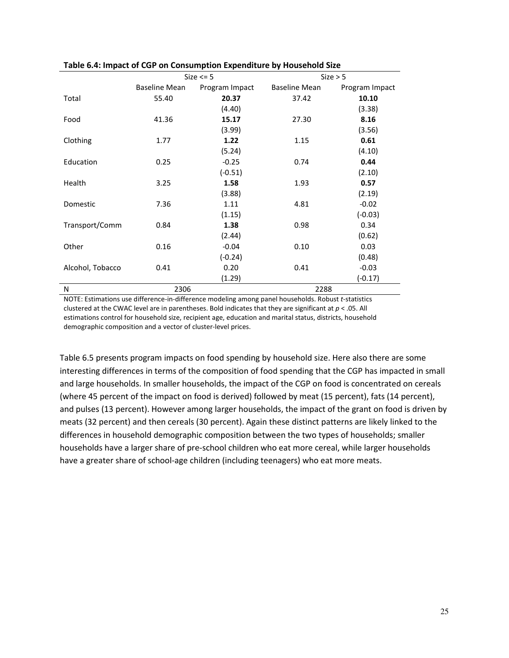|                  | Size $\le$ = 5       |                |                      | Size > 5       |
|------------------|----------------------|----------------|----------------------|----------------|
|                  | <b>Baseline Mean</b> | Program Impact | <b>Baseline Mean</b> | Program Impact |
| Total            | 55.40                | 20.37          | 37.42                | 10.10          |
|                  |                      | (4.40)         |                      | (3.38)         |
| Food             | 41.36                | 15.17          | 27.30                | 8.16           |
|                  |                      | (3.99)         |                      | (3.56)         |
| Clothing         | 1.77                 | 1.22           | 1.15                 | 0.61           |
|                  |                      | (5.24)         |                      | (4.10)         |
| Education        | 0.25                 | $-0.25$        | 0.74                 | 0.44           |
|                  |                      | $(-0.51)$      |                      | (2.10)         |
| Health           | 3.25                 | 1.58           | 1.93                 | 0.57           |
|                  |                      | (3.88)         |                      | (2.19)         |
| Domestic         | 7.36                 | 1.11           | 4.81                 | $-0.02$        |
|                  |                      | (1.15)         |                      | $(-0.03)$      |
| Transport/Comm   | 0.84                 | 1.38           | 0.98                 | 0.34           |
|                  |                      | (2.44)         |                      | (0.62)         |
| Other            | 0.16                 | $-0.04$        | 0.10                 | 0.03           |
|                  |                      | $(-0.24)$      |                      | (0.48)         |
| Alcohol, Tobacco | 0.41                 | 0.20           | 0.41                 | $-0.03$        |
|                  |                      | (1.29)         |                      | $(-0.17)$      |
| N                | 2306                 |                | 2288                 |                |

#### Table 6.4: Impact of CGP on Consumption Expenditure by Household Size

NOTE: Estimations use difference-in-difference modeling among panel households. Robust t-statistics clustered at the CWAC level are in parentheses. Bold indicates that they are significant at  $p < .05$ . All estimations control for household size, recipient age, education and marital status, districts, household demographic composition and a vector of cluster-level prices.

Table 6.5 presents program impacts on food spending by household size. Here also there are some interesting differences in terms of the composition of food spending that the CGP has impacted in small and large households. In smaller households, the impact of the CGP on food is concentrated on cereals (where 45 percent of the impact on food is derived) followed by meat (15 percent), fats (14 percent), and pulses (13 percent). However among larger households, the impact of the grant on food is driven by meats (32 percent) and then cereals (30 percent). Again these distinct patterns are likely linked to the differences in household demographic composition between the two types of households; smaller households have a larger share of pre-school children who eat more cereal, while larger households have a greater share of school-age children (including teenagers) who eat more meats.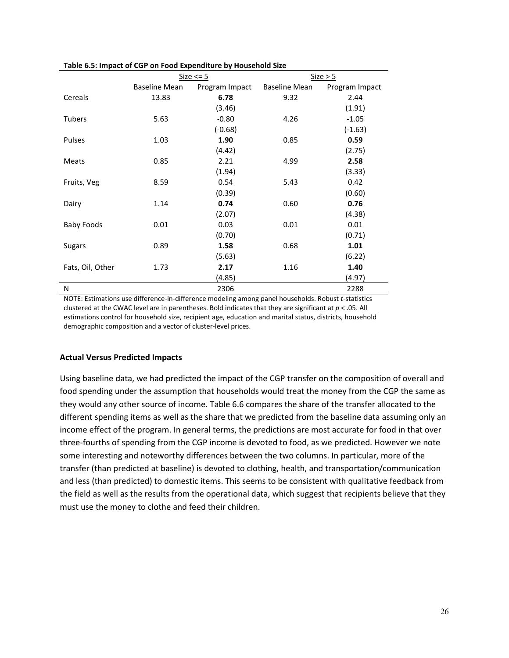|                   |                      | $Size \leq 5$  | Size > 5             |                |  |  |
|-------------------|----------------------|----------------|----------------------|----------------|--|--|
|                   | <b>Baseline Mean</b> | Program Impact | <b>Baseline Mean</b> | Program Impact |  |  |
| Cereals           | 13.83                | 6.78           | 9.32                 | 2.44           |  |  |
|                   |                      | (3.46)         |                      | (1.91)         |  |  |
| <b>Tubers</b>     | 5.63                 | $-0.80$        | 4.26                 | $-1.05$        |  |  |
|                   |                      | $(-0.68)$      |                      | $(-1.63)$      |  |  |
| Pulses            | 1.03                 | 1.90           | 0.85                 | 0.59           |  |  |
|                   |                      | (4.42)         |                      | (2.75)         |  |  |
| Meats             | 0.85                 | 2.21           | 4.99                 | 2.58           |  |  |
|                   |                      | (1.94)         |                      | (3.33)         |  |  |
| Fruits, Veg       | 8.59                 | 0.54           | 5.43                 | 0.42           |  |  |
|                   |                      | (0.39)         |                      | (0.60)         |  |  |
| Dairy             | 1.14                 | 0.74           | 0.60                 | 0.76           |  |  |
|                   |                      | (2.07)         |                      | (4.38)         |  |  |
| <b>Baby Foods</b> | 0.01                 | 0.03           | 0.01                 | 0.01           |  |  |
|                   |                      | (0.70)         |                      | (0.71)         |  |  |
| <b>Sugars</b>     | 0.89                 | 1.58           | 0.68                 | 1.01           |  |  |
|                   |                      | (5.63)         |                      | (6.22)         |  |  |
| Fats, Oil, Other  | 1.73                 | 2.17           | 1.16                 | 1.40           |  |  |
|                   |                      | (4.85)         |                      | (4.97)         |  |  |
| N                 |                      | 2306           |                      | 2288           |  |  |

Table 6.5: Impact of CGP on Food Expenditure by Household Size

NOTE: Estimations use difference-in-difference modeling among panel households. Robust t-statistics clustered at the CWAC level are in parentheses. Bold indicates that they are significant at  $p < .05$ . All estimations control for household size, recipient age, education and marital status, districts, household demographic composition and a vector of cluster-level prices.

#### Actual Versus Predicted Impacts

Using baseline data, we had predicted the impact of the CGP transfer on the composition of overall and food spending under the assumption that households would treat the money from the CGP the same as they would any other source of income. Table 6.6 compares the share of the transfer allocated to the different spending items as well as the share that we predicted from the baseline data assuming only an income effect of the program. In general terms, the predictions are most accurate for food in that over three-fourths of spending from the CGP income is devoted to food, as we predicted. However we note some interesting and noteworthy differences between the two columns. In particular, more of the transfer (than predicted at baseline) is devoted to clothing, health, and transportation/communication and less (than predicted) to domestic items. This seems to be consistent with qualitative feedback from the field as well as the results from the operational data, which suggest that recipients believe that they must use the money to clothe and feed their children.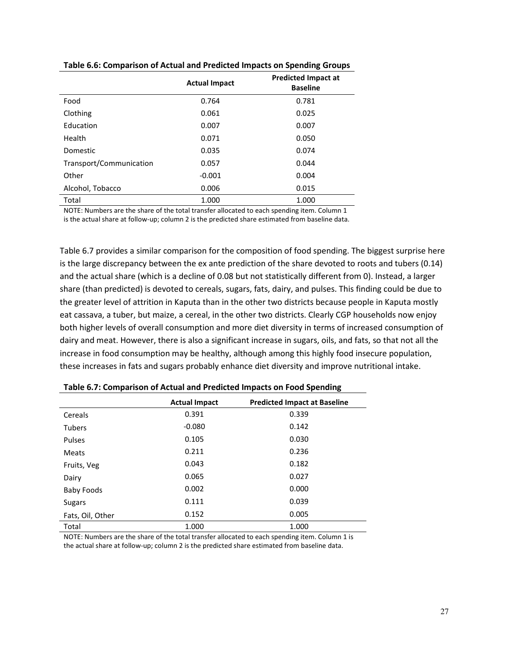|                         | <b>Actual Impact</b> | <b>Predicted Impact at</b><br><b>Baseline</b> |
|-------------------------|----------------------|-----------------------------------------------|
| Food                    | 0.764                | 0.781                                         |
| Clothing                | 0.061                | 0.025                                         |
| Education               | 0.007                | 0.007                                         |
| Health                  | 0.071                | 0.050                                         |
| Domestic                | 0.035                | 0.074                                         |
| Transport/Communication | 0.057                | 0.044                                         |
| Other                   | $-0.001$             | 0.004                                         |
| Alcohol, Tobacco        | 0.006                | 0.015                                         |
| Total                   | 1.000                | 1.000                                         |

Table 6.6: Comparison of Actual and Predicted Impacts on Spending Groups

NOTE: Numbers are the share of the total transfer allocated to each spending item. Column 1 is the actual share at follow-up; column 2 is the predicted share estimated from baseline data.

Table 6.7 provides a similar comparison for the composition of food spending. The biggest surprise here is the large discrepancy between the ex ante prediction of the share devoted to roots and tubers (0.14) and the actual share (which is a decline of 0.08 but not statistically different from 0). Instead, a larger share (than predicted) is devoted to cereals, sugars, fats, dairy, and pulses. This finding could be due to the greater level of attrition in Kaputa than in the other two districts because people in Kaputa mostly eat cassava, a tuber, but maize, a cereal, in the other two districts. Clearly CGP households now enjoy both higher levels of overall consumption and more diet diversity in terms of increased consumption of dairy and meat. However, there is also a significant increase in sugars, oils, and fats, so that not all the increase in food consumption may be healthy, although among this highly food insecure population, these increases in fats and sugars probably enhance diet diversity and improve nutritional intake.

|                  | <b>Actual Impact</b> | <b>Predicted Impact at Baseline</b> |
|------------------|----------------------|-------------------------------------|
| Cereals          | 0.391                | 0.339                               |
| <b>Tubers</b>    | $-0.080$             | 0.142                               |
| Pulses           | 0.105                | 0.030                               |
| <b>Meats</b>     | 0.211                | 0.236                               |
| Fruits, Veg      | 0.043                | 0.182                               |
| Dairy            | 0.065                | 0.027                               |
| Baby Foods       | 0.002                | 0.000                               |
| <b>Sugars</b>    | 0.111                | 0.039                               |
| Fats, Oil, Other | 0.152                | 0.005                               |
| Total            | 1.000                | 1.000                               |

Table 6.7: Comparison of Actual and Predicted Impacts on Food Spending

NOTE: Numbers are the share of the total transfer allocated to each spending item. Column 1 is the actual share at follow-up; column 2 is the predicted share estimated from baseline data.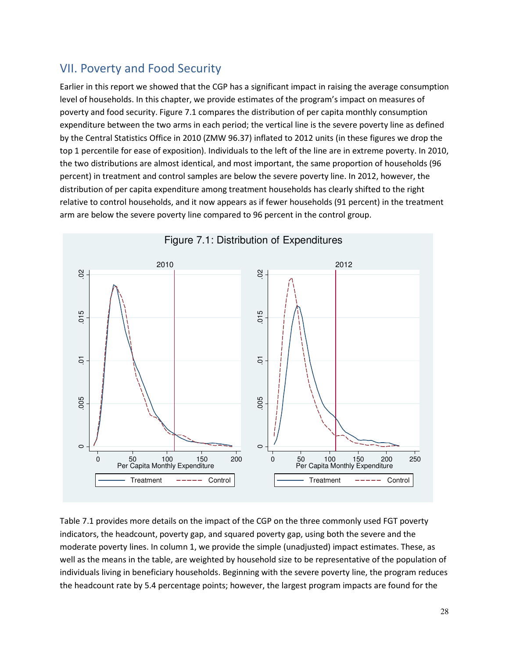# VII. Poverty and Food Security

Earlier in this report we showed that the CGP has a significant impact in raising the average consumption level of households. In this chapter, we provide estimates of the program's impact on measures of poverty and food security. Figure 7.1 compares the distribution of per capita monthly consumption expenditure between the two arms in each period; the vertical line is the severe poverty line as defined by the Central Statistics Office in 2010 (ZMW 96.37) inflated to 2012 units (in these figures we drop the top 1 percentile for ease of exposition). Individuals to the left of the line are in extreme poverty. In 2010, the two distributions are almost identical, and most important, the same proportion of households (96 percent) in treatment and control samples are below the severe poverty line. In 2012, however, the distribution of per capita expenditure among treatment households has clearly shifted to the right relative to control households, and it now appears as if fewer households (91 percent) in the treatment arm are below the severe poverty line compared to 96 percent in the control group.



Table 7.1 provides more details on the impact of the CGP on the three commonly used FGT poverty indicators, the headcount, poverty gap, and squared poverty gap, using both the severe and the moderate poverty lines. In column 1, we provide the simple (unadjusted) impact estimates. These, as well as the means in the table, are weighted by household size to be representative of the population of individuals living in beneficiary households. Beginning with the severe poverty line, the program reduces the headcount rate by 5.4 percentage points; however, the largest program impacts are found for the

Figure 7.1: Distribution of Expenditures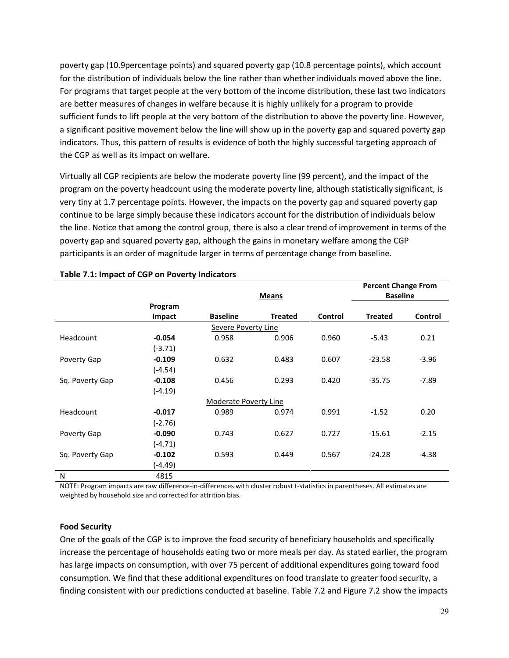poverty gap (10.9percentage points) and squared poverty gap (10.8 percentage points), which account for the distribution of individuals below the line rather than whether individuals moved above the line. For programs that target people at the very bottom of the income distribution, these last two indicators are better measures of changes in welfare because it is highly unlikely for a program to provide sufficient funds to lift people at the very bottom of the distribution to above the poverty line. However, a significant positive movement below the line will show up in the poverty gap and squared poverty gap indicators. Thus, this pattern of results is evidence of both the highly successful targeting approach of the CGP as well as its impact on welfare.

Virtually all CGP recipients are below the moderate poverty line (99 percent), and the impact of the program on the poverty headcount using the moderate poverty line, although statistically significant, is very tiny at 1.7 percentage points. However, the impacts on the poverty gap and squared poverty gap continue to be large simply because these indicators account for the distribution of individuals below the line. Notice that among the control group, there is also a clear trend of improvement in terms of the poverty gap and squared poverty gap, although the gains in monetary welfare among the CGP participants is an order of magnitude larger in terms of percentage change from baseline.

|                 |                       |                              | <b>Means</b>   |         | <b>Percent Change From</b><br><b>Baseline</b> |         |
|-----------------|-----------------------|------------------------------|----------------|---------|-----------------------------------------------|---------|
|                 | Program<br>Impact     | <b>Baseline</b>              | <b>Treated</b> | Control | <b>Treated</b>                                | Control |
|                 |                       | Severe Poverty Line          |                |         |                                               |         |
| Headcount       | $-0.054$<br>$(-3.71)$ | 0.958                        | 0.906          | 0.960   | $-5.43$                                       | 0.21    |
| Poverty Gap     | $-0.109$              | 0.632                        | 0.483          | 0.607   | $-23.58$                                      | $-3.96$ |
| Sq. Poverty Gap | $(-4.54)$<br>$-0.108$ | 0.456                        | 0.293          | 0.420   | $-35.75$                                      | $-7.89$ |
|                 | $(-4.19)$             | <b>Moderate Poverty Line</b> |                |         |                                               |         |
| Headcount       | $-0.017$              | 0.989                        | 0.974          | 0.991   | $-1.52$                                       | 0.20    |
|                 | $(-2.76)$             |                              |                |         |                                               |         |
| Poverty Gap     | $-0.090$              | 0.743                        | 0.627          | 0.727   | $-15.61$                                      | $-2.15$ |
|                 | $(-4.71)$             |                              |                |         |                                               |         |
| Sq. Poverty Gap | $-0.102$              | 0.593                        | 0.449          | 0.567   | $-24.28$                                      | -4.38   |
|                 | (-4.49)               |                              |                |         |                                               |         |
| N               | 4815                  |                              |                |         |                                               |         |

### Table 7.1: Impact of CGP on Poverty Indicators

NOTE: Program impacts are raw difference-in-differences with cluster robust t-statistics in parentheses. All estimates are weighted by household size and corrected for attrition bias.

#### Food Security

One of the goals of the CGP is to improve the food security of beneficiary households and specifically increase the percentage of households eating two or more meals per day. As stated earlier, the program has large impacts on consumption, with over 75 percent of additional expenditures going toward food consumption. We find that these additional expenditures on food translate to greater food security, a finding consistent with our predictions conducted at baseline. Table 7.2 and Figure 7.2 show the impacts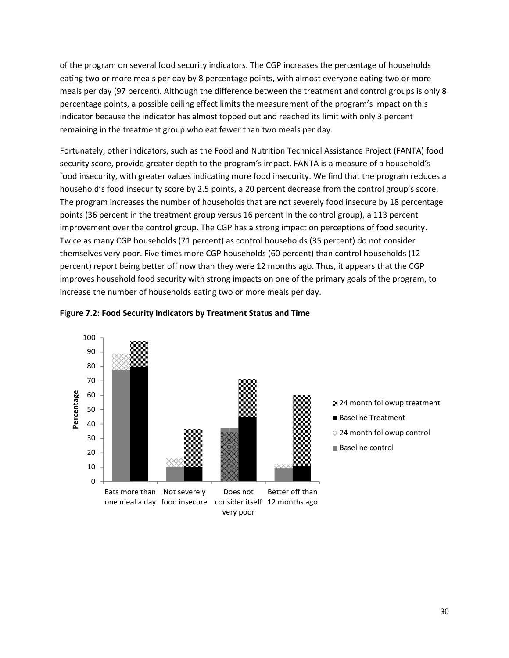of the program on several food security indicators. The CGP increases the percentage of households eating two or more meals per day by 8 percentage points, with almost everyone eating two or more meals per day (97 percent). Although the difference between the treatment and control groups is only 8 percentage points, a possible ceiling effect limits the measurement of the program's impact on this indicator because the indicator has almost topped out and reached its limit with only 3 percent remaining in the treatment group who eat fewer than two meals per day.

Fortunately, other indicators, such as the Food and Nutrition Technical Assistance Project (FANTA) food security score, provide greater depth to the program's impact. FANTA is a measure of a household's food insecurity, with greater values indicating more food insecurity. We find that the program reduces a household's food insecurity score by 2.5 points, a 20 percent decrease from the control group's score. The program increases the number of households that are not severely food insecure by 18 percentage points (36 percent in the treatment group versus 16 percent in the control group), a 113 percent improvement over the control group. The CGP has a strong impact on perceptions of food security. Twice as many CGP households (71 percent) as control households (35 percent) do not consider themselves very poor. Five times more CGP households (60 percent) than control households (12 percent) report being better off now than they were 12 months ago. Thus, it appears that the CGP improves household food security with strong impacts on one of the primary goals of the program, to increase the number of households eating two or more meals per day.



### Figure 7.2: Food Security Indicators by Treatment Status and Time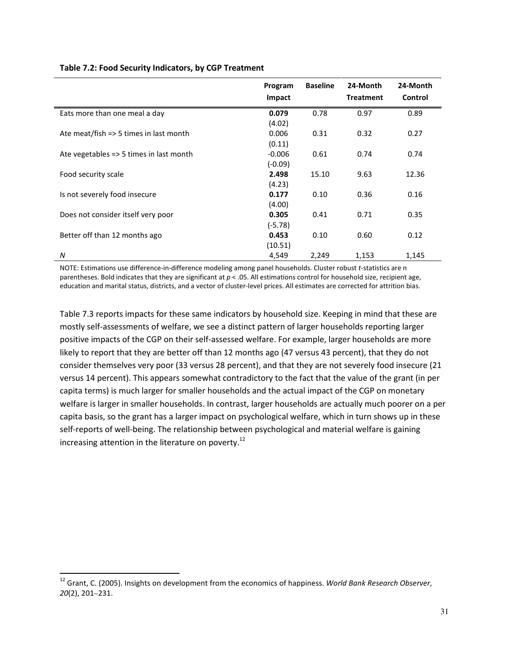| Table 7.2: Food Security Indicators, by CGP Treatment |  |
|-------------------------------------------------------|--|
|-------------------------------------------------------|--|

|                                                   | Program<br>Impact  | <b>Baseline</b> | 24-Month<br><b>Treatment</b> | 24-Month<br>Control |
|---------------------------------------------------|--------------------|-----------------|------------------------------|---------------------|
| Eats more than one meal a day                     | 0.079              | 0.78            | 0.97                         | 0.89                |
| Ate meat/fish $\Rightarrow$ 5 times in last month | (4.02)<br>0.006    | 0.31            | 0.32                         | 0.27                |
| Ate vegetables => 5 times in last month           | (0.11)<br>$-0.006$ | 0.61            | 0.74                         | 0.74                |
|                                                   | $(-0.09)$          |                 |                              |                     |
| Food security scale                               | 2.498<br>(4.23)    | 15.10           | 9.63                         | 12.36               |
| Is not severely food insecure                     | 0.177<br>(4.00)    | 0.10            | 0.36                         | 0.16                |
| Does not consider itself very poor                | 0.305              | 0.41            | 0.71                         | 0.35                |
| Better off than 12 months ago                     | $(-5.78)$<br>0.453 | 0.10            | 0.60                         | 0.12                |
| $\boldsymbol{N}$                                  | (10.51)<br>4,549   | 2,249           | 1,153                        | 1,145               |

NOTE: Estimations use difference-in-difference modeling among panel households. Cluster robust t-statistics are n parentheses. Bold indicates that they are significant at  $p < 0.05$ . All estimations control for household size, recipient age, education and marital status, districts, and a vector of cluster-level prices. All estimates are corrected for attrition bias.

Table 7.3 reports impacts for these same indicators by household size. Keeping in mind that these are mostly self-assessments of welfare, we see a distinct pattern of larger households reporting larger positive impacts of the CGP on their self-assessed welfare. For example, larger households are more likely to report that they are better off than 12 months ago (47 versus 43 percent), that they do not consider themselves very poor (33 versus 28 percent), and that they are not severely food insecure (21 versus 14 percent). This appears somewhat contradictory to the fact that the value of the grant (in per capita terms) is much larger for smaller households and the actual impact of the CGP on monetary welfare is larger in smaller households. In contrast, larger households are actually much poorer on a per capita basis, so the grant has a larger impact on psychological welfare, which in turn shows up in these self-reports of well-being. The relationship between psychological and material welfare is gaining increasing attention in the literature on poverty. $^{12}$ 

l

<sup>&</sup>lt;sup>12</sup> Grant, C. (2005). Insights on development from the economics of happiness. World Bank Research Observer, 20(2), 201–231.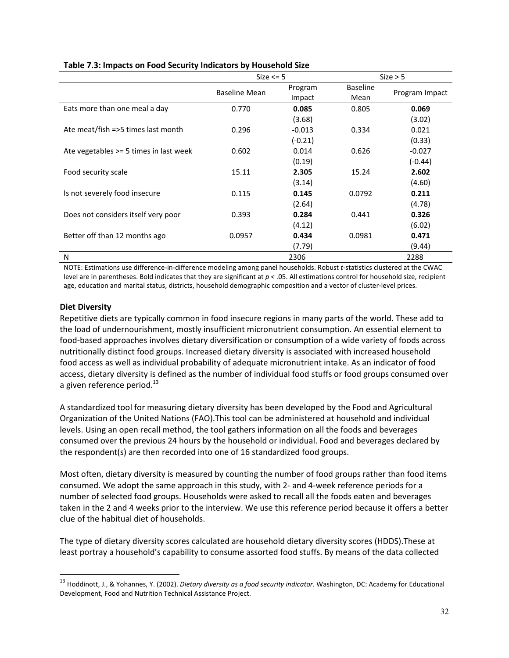|                                        | Size $\le$ 5         |                   | Size > 5                |                |  |
|----------------------------------------|----------------------|-------------------|-------------------------|----------------|--|
|                                        | <b>Baseline Mean</b> | Program<br>Impact | <b>Baseline</b><br>Mean | Program Impact |  |
| Eats more than one meal a day          | 0.770                | 0.085             | 0.805                   | 0.069          |  |
|                                        |                      | (3.68)            |                         | (3.02)         |  |
| Ate meat/fish =>5 times last month     | 0.296                | $-0.013$          | 0.334                   | 0.021          |  |
|                                        |                      | $(-0.21)$         |                         | (0.33)         |  |
| Ate vegetables >= 5 times in last week | 0.602                | 0.014             | 0.626                   | $-0.027$       |  |
|                                        |                      | (0.19)            |                         | $(-0.44)$      |  |
| Food security scale                    | 15.11                | 2.305             | 15.24                   | 2.602          |  |
|                                        |                      | (3.14)            |                         | (4.60)         |  |
| Is not severely food insecure          | 0.115                | 0.145             | 0.0792                  | 0.211          |  |
|                                        |                      | (2.64)            |                         | (4.78)         |  |
| Does not considers itself very poor    | 0.393                | 0.284             | 0.441                   | 0.326          |  |
|                                        |                      | (4.12)            |                         | (6.02)         |  |
| Better off than 12 months ago          | 0.0957               | 0.434             | 0.0981                  | 0.471          |  |
|                                        |                      | (7.79)            |                         | (9.44)         |  |
| N                                      |                      | 2306              |                         | 2288           |  |

### Table 7.3: Impacts on Food Security Indicators by Household Size

NOTE: Estimations use difference-in-difference modeling among panel households. Robust t-statistics clustered at the CWAC level are in parentheses. Bold indicates that they are significant at  $p < .05$ . All estimations control for household size, recipient age, education and marital status, districts, household demographic composition and a vector of cluster-level prices.

### Diet Diversity

Repetitive diets are typically common in food insecure regions in many parts of the world. These add to the load of undernourishment, mostly insufficient micronutrient consumption. An essential element to food-based approaches involves dietary diversification or consumption of a wide variety of foods across nutritionally distinct food groups. Increased dietary diversity is associated with increased household food access as well as individual probability of adequate micronutrient intake. As an indicator of food access, dietary diversity is defined as the number of individual food stuffs or food groups consumed over a given reference period.<sup>13</sup>

A standardized tool for measuring dietary diversity has been developed by the Food and Agricultural Organization of the United Nations (FAO).This tool can be administered at household and individual levels. Using an open recall method, the tool gathers information on all the foods and beverages consumed over the previous 24 hours by the household or individual. Food and beverages declared by the respondent(s) are then recorded into one of 16 standardized food groups.

Most often, dietary diversity is measured by counting the number of food groups rather than food items consumed. We adopt the same approach in this study, with 2- and 4-week reference periods for a number of selected food groups. Households were asked to recall all the foods eaten and beverages taken in the 2 and 4 weeks prior to the interview. We use this reference period because it offers a better clue of the habitual diet of households.

The type of dietary diversity scores calculated are household dietary diversity scores (HDDS).These at least portray a household's capability to consume assorted food stuffs. By means of the data collected

<sup>&</sup>lt;sup>13</sup> Hoddinott, J., & Yohannes, Y. (2002). *Dietary diversity as a food security indicator*. Washington, DC: Academy for Educational Development, Food and Nutrition Technical Assistance Project.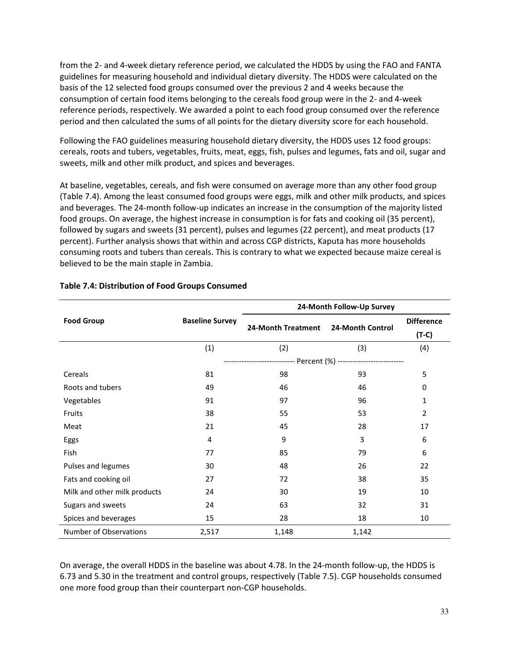from the 2- and 4-week dietary reference period, we calculated the HDDS by using the FAO and FANTA guidelines for measuring household and individual dietary diversity. The HDDS were calculated on the basis of the 12 selected food groups consumed over the previous 2 and 4 weeks because the consumption of certain food items belonging to the cereals food group were in the 2- and 4-week reference periods, respectively. We awarded a point to each food group consumed over the reference period and then calculated the sums of all points for the dietary diversity score for each household.

Following the FAO guidelines measuring household dietary diversity, the HDDS uses 12 food groups: cereals, roots and tubers, vegetables, fruits, meat, eggs, fish, pulses and legumes, fats and oil, sugar and sweets, milk and other milk product, and spices and beverages.

At baseline, vegetables, cereals, and fish were consumed on average more than any other food group (Table 7.4). Among the least consumed food groups were eggs, milk and other milk products, and spices and beverages. The 24-month follow-up indicates an increase in the consumption of the majority listed food groups. On average, the highest increase in consumption is for fats and cooking oil (35 percent), followed by sugars and sweets (31 percent), pulses and legumes (22 percent), and meat products (17 percent). Further analysis shows that within and across CGP districts, Kaputa has more households consuming roots and tubers than cereals. This is contrary to what we expected because maize cereal is believed to be the main staple in Zambia.

|                               |                        | 24-Month Follow-Up Survey |                  |                   |  |
|-------------------------------|------------------------|---------------------------|------------------|-------------------|--|
| <b>Food Group</b>             | <b>Baseline Survey</b> | 24-Month Treatment        | 24-Month Control | <b>Difference</b> |  |
|                               |                        |                           |                  | $(T-C)$           |  |
|                               | (1)                    | (2)                       | (3)              | (4)               |  |
|                               |                        |                           |                  |                   |  |
| Cereals                       | 81                     | 98                        | 93               | 5                 |  |
| Roots and tubers              | 49                     | 46                        | 46               | $\Omega$          |  |
| Vegetables                    | 91                     | 97                        | 96               | 1                 |  |
| Fruits                        | 38                     | 55                        | 53               | $\overline{2}$    |  |
| Meat                          | 21                     | 45                        | 28               | 17                |  |
| Eggs                          | 4                      | 9                         | 3                | 6                 |  |
| Fish                          | 77                     | 85                        | 79               | 6                 |  |
| Pulses and legumes            | 30                     | 48                        | 26               | 22                |  |
| Fats and cooking oil          | 27                     | 72                        | 38               | 35                |  |
| Milk and other milk products  | 24                     | 30                        | 19               | 10                |  |
| Sugars and sweets             | 24                     | 63                        | 32               | 31                |  |
| Spices and beverages          | 15                     | 28                        | 18               | 10                |  |
| <b>Number of Observations</b> | 2,517                  | 1,148                     | 1,142            |                   |  |

### Table 7.4: Distribution of Food Groups Consumed

On average, the overall HDDS in the baseline was about 4.78. In the 24-month follow-up, the HDDS is 6.73 and 5.30 in the treatment and control groups, respectively (Table 7.5). CGP households consumed one more food group than their counterpart non-CGP households.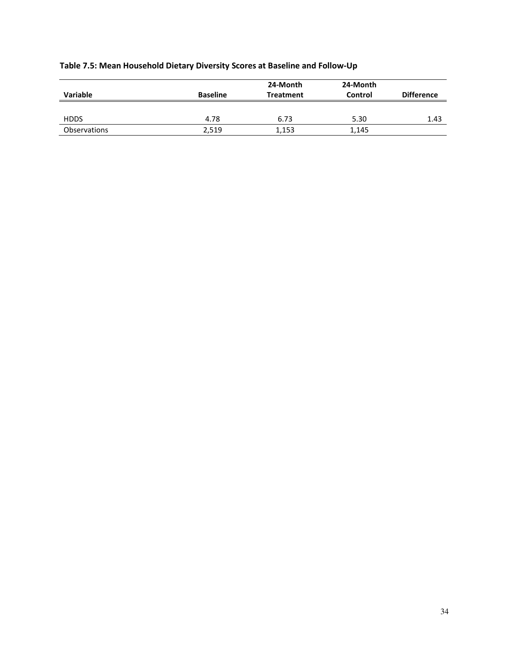|                     |                 | 24-Month         | 24-Month |                   |
|---------------------|-----------------|------------------|----------|-------------------|
| <b>Variable</b>     | <b>Baseline</b> | <b>Treatment</b> | Control  | <b>Difference</b> |
|                     |                 |                  |          |                   |
| <b>HDDS</b>         | 4.78            | 6.73             | 5.30     | 1.43              |
| <b>Observations</b> | 2,519           | 1,153            | 1,145    |                   |

# Table 7.5: Mean Household Dietary Diversity Scores at Baseline and Follow-Up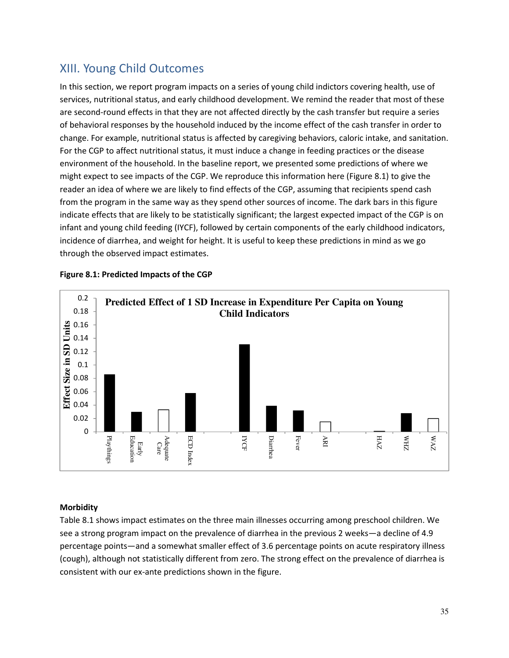# XIII. Young Child Outcomes

In this section, we report program impacts on a series of young child indictors covering health, use of services, nutritional status, and early childhood development. We remind the reader that most of these are second-round effects in that they are not affected directly by the cash transfer but require a series of behavioral responses by the household induced by the income effect of the cash transfer in order to change. For example, nutritional status is affected by caregiving behaviors, caloric intake, and sanitation. For the CGP to affect nutritional status, it must induce a change in feeding practices or the disease environment of the household. In the baseline report, we presented some predictions of where we might expect to see impacts of the CGP. We reproduce this information here (Figure 8.1) to give the reader an idea of where we are likely to find effects of the CGP, assuming that recipients spend cash from the program in the same way as they spend other sources of income. The dark bars in this figure indicate effects that are likely to be statistically significant; the largest expected impact of the CGP is on infant and young child feeding (IYCF), followed by certain components of the early childhood indicators, incidence of diarrhea, and weight for height. It is useful to keep these predictions in mind as we go through the observed impact estimates.



## Figure 8.1: Predicted Impacts of the CGP

# **Morbidity**

Table 8.1 shows impact estimates on the three main illnesses occurring among preschool children. We see a strong program impact on the prevalence of diarrhea in the previous 2 weeks—a decline of 4.9 percentage points—and a somewhat smaller effect of 3.6 percentage points on acute respiratory illness (cough), although not statistically different from zero. The strong effect on the prevalence of diarrhea is consistent with our ex-ante predictions shown in the figure.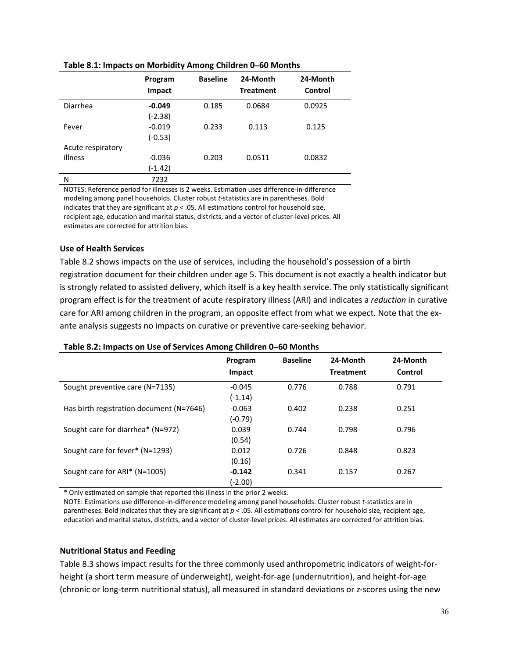|                   | Program<br>Impact | <b>Baseline</b> | 24-Month<br><b>Treatment</b> | 24-Month<br>Control |
|-------------------|-------------------|-----------------|------------------------------|---------------------|
| Diarrhea          | $-0.049$          | 0.185           | 0.0684                       | 0.0925              |
|                   | $(-2.38)$         |                 |                              |                     |
| Fever             | $-0.019$          | 0.233           | 0.113                        | 0.125               |
|                   | $(-0.53)$         |                 |                              |                     |
| Acute respiratory |                   |                 |                              |                     |
| illness           | $-0.036$          | 0.203           | 0.0511                       | 0.0832              |
|                   | (-1.42)           |                 |                              |                     |
| N                 | 7232              |                 |                              |                     |

#### Table 8.1: Impacts on Morbidity Among Children 0**–**60 Months

NOTES: Reference period for illnesses is 2 weeks. Estimation uses difference-in-difference modeling among panel households. Cluster robust t-statistics are in parentheses. Bold indicates that they are significant at  $p < 0.05$ . All estimations control for household size, recipient age, education and marital status, districts, and a vector of cluster-level prices. All estimates are corrected for attrition bias.

#### Use of Health Services

Table 8.2 shows impacts on the use of services, including the household's possession of a birth registration document for their children under age 5. This document is not exactly a health indicator but is strongly related to assisted delivery, which itself is a key health service. The only statistically significant program effect is for the treatment of acute respiratory illness (ARI) and indicates a reduction in curative care for ARI among children in the program, an opposite effect from what we expect. Note that the exante analysis suggests no impacts on curative or preventive care-seeking behavior.

## Table 8.2: Impacts on Use of Services Among Children 0**–**60 Months

|                                          | Program<br>Impact | <b>Baseline</b> | 24-Month<br><b>Treatment</b> | 24-Month<br>Control |
|------------------------------------------|-------------------|-----------------|------------------------------|---------------------|
| Sought preventive care (N=7135)          | $-0.045$          | 0.776           | 0.788                        | 0.791               |
|                                          | $(-1.14)$         |                 |                              |                     |
| Has birth registration document (N=7646) | $-0.063$          | 0.402           | 0.238                        | 0.251               |
|                                          | $(-0.79)$         |                 |                              |                     |
| Sought care for diarrhea* (N=972)        | 0.039             | 0.744           | 0.798                        | 0.796               |
|                                          | (0.54)            |                 |                              |                     |
| Sought care for fever* (N=1293)          | 0.012             | 0.726           | 0.848                        | 0.823               |
|                                          | (0.16)            |                 |                              |                     |
| Sought care for ARI* (N=1005)            | $-0.142$          | 0.341           | 0.157                        | 0.267               |
|                                          | (-2.00)           |                 |                              |                     |

\* Only estimated on sample that reported this illness in the prior 2 weeks.

NOTE: Estimations use difference-in-difference modeling among panel households. Cluster robust t-statistics are in parentheses. Bold indicates that they are significant at  $p < 0.05$ . All estimations control for household size, recipient age, education and marital status, districts, and a vector of cluster-level prices. All estimates are corrected for attrition bias.

#### Nutritional Status and Feeding

Table 8.3 shows impact results for the three commonly used anthropometric indicators of weight-forheight (a short term measure of underweight), weight-for-age (undernutrition), and height-for-age (chronic or long-term nutritional status), all measured in standard deviations or z-scores using the new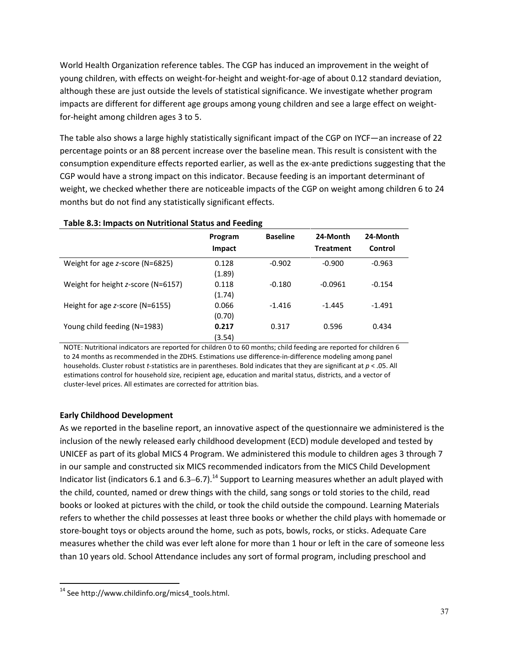World Health Organization reference tables. The CGP has induced an improvement in the weight of young children, with effects on weight-for-height and weight-for-age of about 0.12 standard deviation, although these are just outside the levels of statistical significance. We investigate whether program impacts are different for different age groups among young children and see a large effect on weightfor-height among children ages 3 to 5.

The table also shows a large highly statistically significant impact of the CGP on IYCF—an increase of 22 percentage points or an 88 percent increase over the baseline mean. This result is consistent with the consumption expenditure effects reported earlier, as well as the ex-ante predictions suggesting that the CGP would have a strong impact on this indicator. Because feeding is an important determinant of weight, we checked whether there are noticeable impacts of the CGP on weight among children 6 to 24 months but do not find any statistically significant effects.

|                                        | Program | <b>Baseline</b> |                  | 24-Month |  |  |  |  |
|----------------------------------------|---------|-----------------|------------------|----------|--|--|--|--|
|                                        | Impact  |                 | <b>Treatment</b> | Control  |  |  |  |  |
| Weight for age $z$ -score (N=6825)     | 0.128   | $-0.902$        | $-0.900$         | $-0.963$ |  |  |  |  |
|                                        | (1.89)  |                 |                  |          |  |  |  |  |
| Weight for height z-score ( $N=6157$ ) | 0.118   | $-0.180$        | $-0.0961$        | $-0.154$ |  |  |  |  |
|                                        | (1.74)  |                 |                  |          |  |  |  |  |
| Height for age z-score (N=6155)        | 0.066   | $-1.416$        | $-1.445$         | $-1.491$ |  |  |  |  |
|                                        | (0.70)  |                 |                  |          |  |  |  |  |
| Young child feeding (N=1983)           | 0.217   | 0.317           | 0.596            | 0.434    |  |  |  |  |
|                                        | (3.54)  |                 |                  |          |  |  |  |  |

#### Table 8.3: Impacts on Nutritional Status and Feeding

NOTE: Nutritional indicators are reported for children 0 to 60 months; child feeding are reported for children 6 to 24 months as recommended in the ZDHS. Estimations use difference-in-difference modeling among panel households. Cluster robust t-statistics are in parentheses. Bold indicates that they are significant at  $p < .05$ . All estimations control for household size, recipient age, education and marital status, districts, and a vector of cluster-level prices. All estimates are corrected for attrition bias.

## Early Childhood Development

As we reported in the baseline report, an innovative aspect of the questionnaire we administered is the inclusion of the newly released early childhood development (ECD) module developed and tested by UNICEF as part of its global MICS 4 Program. We administered this module to children ages 3 through 7 in our sample and constructed six MICS recommended indicators from the MICS Child Development Indicator list (indicators 6.1 and 6.3–6.7).<sup>14</sup> Support to Learning measures whether an adult played with the child, counted, named or drew things with the child, sang songs or told stories to the child, read books or looked at pictures with the child, or took the child outside the compound. Learning Materials refers to whether the child possesses at least three books or whether the child plays with homemade or store-bought toys or objects around the home, such as pots, bowls, rocks, or sticks. Adequate Care measures whether the child was ever left alone for more than 1 hour or left in the care of someone less than 10 years old. School Attendance includes any sort of formal program, including preschool and

<sup>&</sup>lt;sup>14</sup> See http://www.childinfo.org/mics4\_tools.html.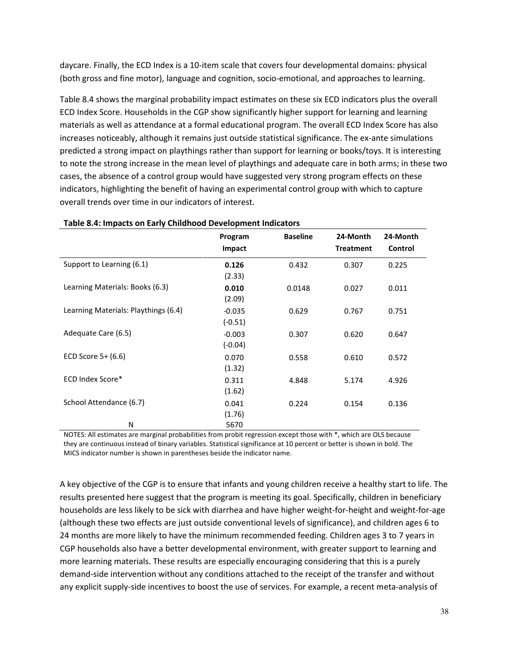daycare. Finally, the ECD Index is a 10-item scale that covers four developmental domains: physical (both gross and fine motor), language and cognition, socio-emotional, and approaches to learning.

Table 8.4 shows the marginal probability impact estimates on these six ECD indicators plus the overall ECD Index Score. Households in the CGP show significantly higher support for learning and learning materials as well as attendance at a formal educational program. The overall ECD Index Score has also increases noticeably, although it remains just outside statistical significance. The ex-ante simulations predicted a strong impact on playthings rather than support for learning or books/toys. It is interesting to note the strong increase in the mean level of playthings and adequate care in both arms; in these two cases, the absence of a control group would have suggested very strong program effects on these indicators, highlighting the benefit of having an experimental control group with which to capture overall trends over time in our indicators of interest.

|                                      | Program<br>Impact     | <b>Baseline</b> | 24-Month<br><b>Treatment</b> | 24-Month<br>Control |
|--------------------------------------|-----------------------|-----------------|------------------------------|---------------------|
| Support to Learning (6.1)            | 0.126<br>(2.33)       | 0.432           | 0.307                        | 0.225               |
| Learning Materials: Books (6.3)      | 0.010<br>(2.09)       | 0.0148          | 0.027                        | 0.011               |
| Learning Materials: Playthings (6.4) | $-0.035$<br>$(-0.51)$ | 0.629           | 0.767                        | 0.751               |
| Adequate Care (6.5)                  | $-0.003$<br>$(-0.04)$ | 0.307           | 0.620                        | 0.647               |
| ECD Score $5+ (6.6)$                 | 0.070<br>(1.32)       | 0.558           | 0.610                        | 0.572               |
| ECD Index Score*                     | 0.311<br>(1.62)       | 4.848           | 5.174                        | 4.926               |
| School Attendance (6.7)              | 0.041<br>(1.76)       | 0.224           | 0.154                        | 0.136               |
| N                                    | 5670                  |                 |                              |                     |

NOTES: All estimates are marginal probabilities from probit regression except those with \*, which are OLS because they are continuous instead of binary variables. Statistical significance at 10 percent or better is shown in bold. The MICS indicator number is shown in parentheses beside the indicator name.

A key objective of the CGP is to ensure that infants and young children receive a healthy start to life. The results presented here suggest that the program is meeting its goal. Specifically, children in beneficiary households are less likely to be sick with diarrhea and have higher weight-for-height and weight-for-age (although these two effects are just outside conventional levels of significance), and children ages 6 to 24 months are more likely to have the minimum recommended feeding. Children ages 3 to 7 years in CGP households also have a better developmental environment, with greater support to learning and more learning materials. These results are especially encouraging considering that this is a purely demand-side intervention without any conditions attached to the receipt of the transfer and without any explicit supply-side incentives to boost the use of services. For example, a recent meta-analysis of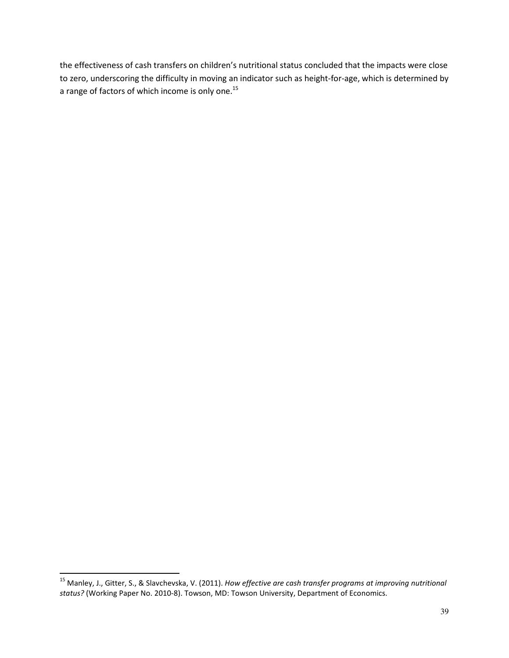the effectiveness of cash transfers on children's nutritional status concluded that the impacts were close to zero, underscoring the difficulty in moving an indicator such as height-for-age, which is determined by a range of factors of which income is only one.<sup>15</sup>

l

<sup>&</sup>lt;sup>15</sup> Manley, J., Gitter, S., & Slavchevska, V. (2011). How effective are cash transfer programs at improving nutritional status? (Working Paper No. 2010-8). Towson, MD: Towson University, Department of Economics.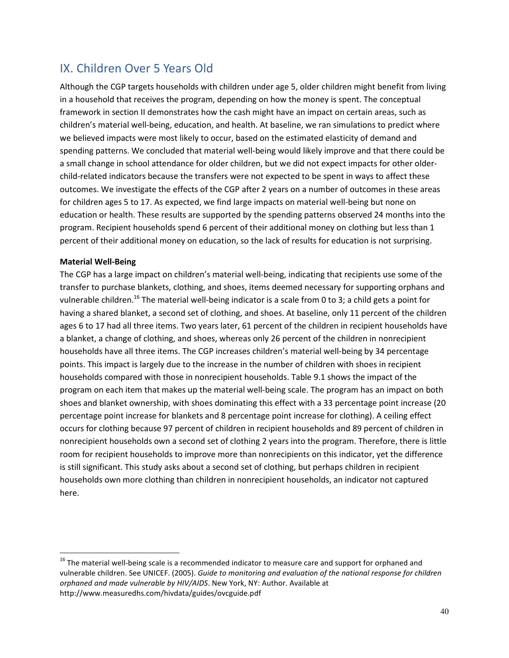## IX. Children Over 5 Years Old

Although the CGP targets households with children under age 5, older children might benefit from living in a household that receives the program, depending on how the money is spent. The conceptual framework in section II demonstrates how the cash might have an impact on certain areas, such as children's material well-being, education, and health. At baseline, we ran simulations to predict where we believed impacts were most likely to occur, based on the estimated elasticity of demand and spending patterns. We concluded that material well-being would likely improve and that there could be a small change in school attendance for older children, but we did not expect impacts for other olderchild-related indicators because the transfers were not expected to be spent in ways to affect these outcomes. We investigate the effects of the CGP after 2 years on a number of outcomes in these areas for children ages 5 to 17. As expected, we find large impacts on material well-being but none on education or health. These results are supported by the spending patterns observed 24 months into the program. Recipient households spend 6 percent of their additional money on clothing but less than 1 percent of their additional money on education, so the lack of results for education is not surprising.

#### Material Well-Being

 $\overline{a}$ 

The CGP has a large impact on children's material well-being, indicating that recipients use some of the transfer to purchase blankets, clothing, and shoes, items deemed necessary for supporting orphans and vulnerable children.<sup>16</sup> The material well-being indicator is a scale from 0 to 3; a child gets a point for having a shared blanket, a second set of clothing, and shoes. At baseline, only 11 percent of the children ages 6 to 17 had all three items. Two years later, 61 percent of the children in recipient households have a blanket, a change of clothing, and shoes, whereas only 26 percent of the children in nonrecipient households have all three items. The CGP increases children's material well-being by 34 percentage points. This impact is largely due to the increase in the number of children with shoes in recipient households compared with those in nonrecipient households. Table 9.1 shows the impact of the program on each item that makes up the material well-being scale. The program has an impact on both shoes and blanket ownership, with shoes dominating this effect with a 33 percentage point increase (20 percentage point increase for blankets and 8 percentage point increase for clothing). A ceiling effect occurs for clothing because 97 percent of children in recipient households and 89 percent of children in nonrecipient households own a second set of clothing 2 years into the program. Therefore, there is little room for recipient households to improve more than nonrecipients on this indicator, yet the difference is still significant. This study asks about a second set of clothing, but perhaps children in recipient households own more clothing than children in nonrecipient households, an indicator not captured here.

<sup>&</sup>lt;sup>16</sup> The material well-being scale is a recommended indicator to measure care and support for orphaned and vulnerable children. See UNICEF. (2005). Guide to monitoring and evaluation of the national response for children orphaned and made vulnerable by HIV/AIDS. New York, NY: Author. Available at http://www.measuredhs.com/hivdata/guides/ovcguide.pdf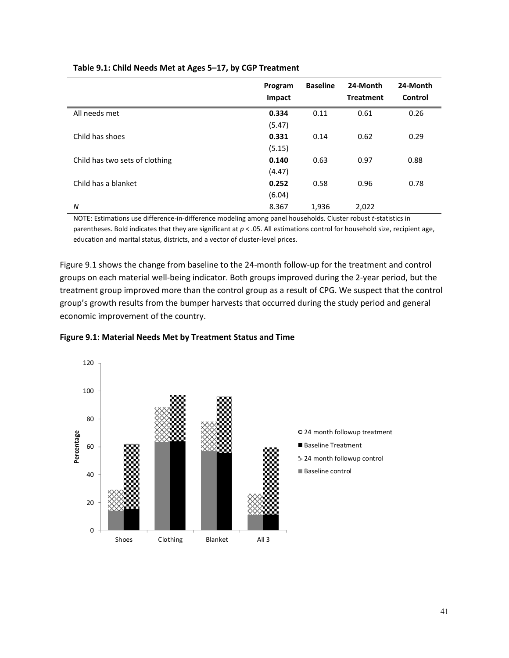|                                | Program<br>Impact | <b>Baseline</b> | 24-Month<br><b>Treatment</b> | 24-Month<br>Control |
|--------------------------------|-------------------|-----------------|------------------------------|---------------------|
| All needs met                  | 0.334             | 0.11            | 0.61                         | 0.26                |
|                                | (5.47)            |                 |                              |                     |
| Child has shoes                | 0.331             | 0.14            | 0.62                         | 0.29                |
|                                | (5.15)            |                 |                              |                     |
| Child has two sets of clothing | 0.140             | 0.63            | 0.97                         | 0.88                |
|                                | (4.47)            |                 |                              |                     |
| Child has a blanket            | 0.252             | 0.58            | 0.96                         | 0.78                |
|                                | (6.04)            |                 |                              |                     |
| N                              | 8.367             | 1,936           | 2,022                        |                     |

#### Table 9.1: Child Needs Met at Ages 5–17, by CGP Treatment

NOTE: Estimations use difference-in-difference modeling among panel households. Cluster robust t-statistics in parentheses. Bold indicates that they are significant at  $p < .05$ . All estimations control for household size, recipient age, education and marital status, districts, and a vector of cluster-level prices.

Figure 9.1 shows the change from baseline to the 24-month follow-up for the treatment and control groups on each material well-being indicator. Both groups improved during the 2-year period, but the treatment group improved more than the control group as a result of CPG. We suspect that the control group's growth results from the bumper harvests that occurred during the study period and general economic improvement of the country.

#### Figure 9.1: Material Needs Met by Treatment Status and Time



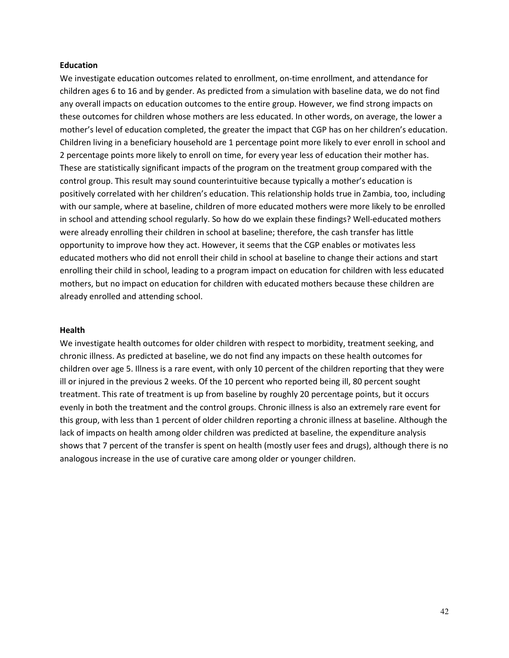#### **Education**

We investigate education outcomes related to enrollment, on-time enrollment, and attendance for children ages 6 to 16 and by gender. As predicted from a simulation with baseline data, we do not find any overall impacts on education outcomes to the entire group. However, we find strong impacts on these outcomes for children whose mothers are less educated. In other words, on average, the lower a mother's level of education completed, the greater the impact that CGP has on her children's education. Children living in a beneficiary household are 1 percentage point more likely to ever enroll in school and 2 percentage points more likely to enroll on time, for every year less of education their mother has. These are statistically significant impacts of the program on the treatment group compared with the control group. This result may sound counterintuitive because typically a mother's education is positively correlated with her children's education. This relationship holds true in Zambia, too, including with our sample, where at baseline, children of more educated mothers were more likely to be enrolled in school and attending school regularly. So how do we explain these findings? Well-educated mothers were already enrolling their children in school at baseline; therefore, the cash transfer has little opportunity to improve how they act. However, it seems that the CGP enables or motivates less educated mothers who did not enroll their child in school at baseline to change their actions and start enrolling their child in school, leading to a program impact on education for children with less educated mothers, but no impact on education for children with educated mothers because these children are already enrolled and attending school.

#### Health

We investigate health outcomes for older children with respect to morbidity, treatment seeking, and chronic illness. As predicted at baseline, we do not find any impacts on these health outcomes for children over age 5. Illness is a rare event, with only 10 percent of the children reporting that they were ill or injured in the previous 2 weeks. Of the 10 percent who reported being ill, 80 percent sought treatment. This rate of treatment is up from baseline by roughly 20 percentage points, but it occurs evenly in both the treatment and the control groups. Chronic illness is also an extremely rare event for this group, with less than 1 percent of older children reporting a chronic illness at baseline. Although the lack of impacts on health among older children was predicted at baseline, the expenditure analysis shows that 7 percent of the transfer is spent on health (mostly user fees and drugs), although there is no analogous increase in the use of curative care among older or younger children.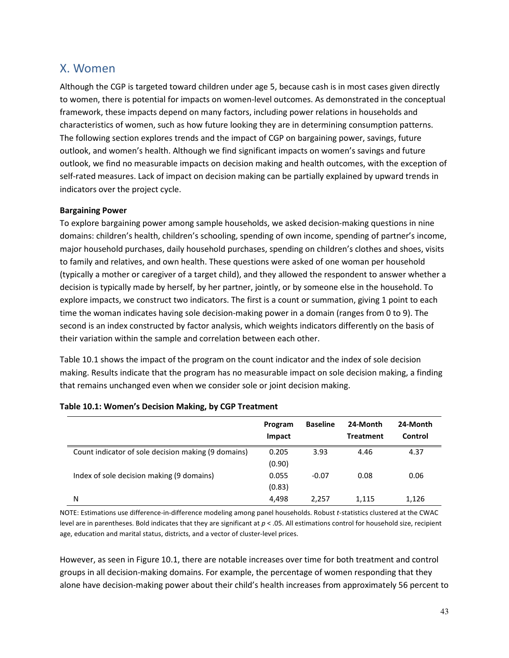## X. Women

Although the CGP is targeted toward children under age 5, because cash is in most cases given directly to women, there is potential for impacts on women-level outcomes. As demonstrated in the conceptual framework, these impacts depend on many factors, including power relations in households and characteristics of women, such as how future looking they are in determining consumption patterns. The following section explores trends and the impact of CGP on bargaining power, savings, future outlook, and women's health. Although we find significant impacts on women's savings and future outlook, we find no measurable impacts on decision making and health outcomes, with the exception of self-rated measures. Lack of impact on decision making can be partially explained by upward trends in indicators over the project cycle.

## Bargaining Power

To explore bargaining power among sample households, we asked decision-making questions in nine domains: children's health, children's schooling, spending of own income, spending of partner's income, major household purchases, daily household purchases, spending on children's clothes and shoes, visits to family and relatives, and own health. These questions were asked of one woman per household (typically a mother or caregiver of a target child), and they allowed the respondent to answer whether a decision is typically made by herself, by her partner, jointly, or by someone else in the household. To explore impacts, we construct two indicators. The first is a count or summation, giving 1 point to each time the woman indicates having sole decision-making power in a domain (ranges from 0 to 9). The second is an index constructed by factor analysis, which weights indicators differently on the basis of their variation within the sample and correlation between each other.

Table 10.1 shows the impact of the program on the count indicator and the index of sole decision making. Results indicate that the program has no measurable impact on sole decision making, a finding that remains unchanged even when we consider sole or joint decision making.

|                                                     | Program<br>Impact | <b>Baseline</b> | 24-Month<br><b>Treatment</b> | 24-Month<br>Control |
|-----------------------------------------------------|-------------------|-----------------|------------------------------|---------------------|
| Count indicator of sole decision making (9 domains) | 0.205             | 3.93            | 4.46                         | 4.37                |
|                                                     | (0.90)            |                 |                              |                     |
| Index of sole decision making (9 domains)           | 0.055             | $-0.07$         | 0.08                         | 0.06                |
|                                                     | (0.83)            |                 |                              |                     |
| Ν                                                   | 4,498             | 2.257           | 1.115                        | 1,126               |

#### Table 10.1: Women's Decision Making, by CGP Treatment

NOTE: Estimations use difference-in-difference modeling among panel households. Robust t-statistics clustered at the CWAC level are in parentheses. Bold indicates that they are significant at  $p < 0.05$ . All estimations control for household size, recipient age, education and marital status, districts, and a vector of cluster-level prices.

However, as seen in Figure 10.1, there are notable increases over time for both treatment and control groups in all decision-making domains. For example, the percentage of women responding that they alone have decision-making power about their child's health increases from approximately 56 percent to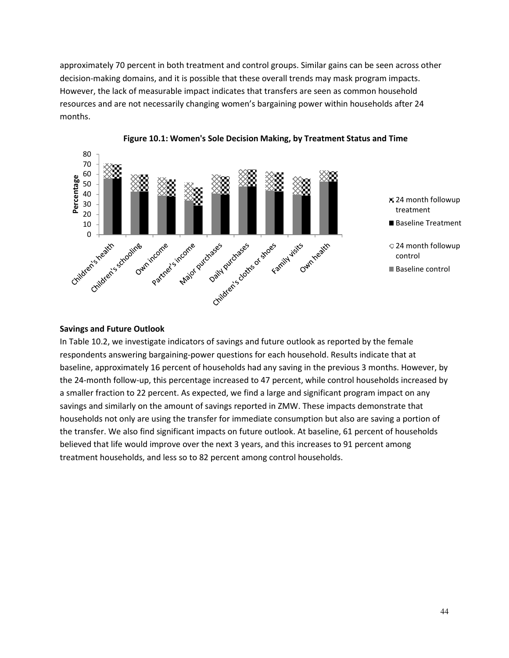approximately 70 percent in both treatment and control groups. Similar gains can be seen across other decision-making domains, and it is possible that these overall trends may mask program impacts. However, the lack of measurable impact indicates that transfers are seen as common household resources and are not necessarily changing women's bargaining power within households after 24 months.





#### Savings and Future Outlook

In Table 10.2, we investigate indicators of savings and future outlook as reported by the female respondents answering bargaining-power questions for each household. Results indicate that at baseline, approximately 16 percent of households had any saving in the previous 3 months. However, by the 24-month follow-up, this percentage increased to 47 percent, while control households increased by a smaller fraction to 22 percent. As expected, we find a large and significant program impact on any savings and similarly on the amount of savings reported in ZMW. These impacts demonstrate that households not only are using the transfer for immediate consumption but also are saving a portion of the transfer. We also find significant impacts on future outlook. At baseline, 61 percent of households believed that life would improve over the next 3 years, and this increases to 91 percent among treatment households, and less so to 82 percent among control households.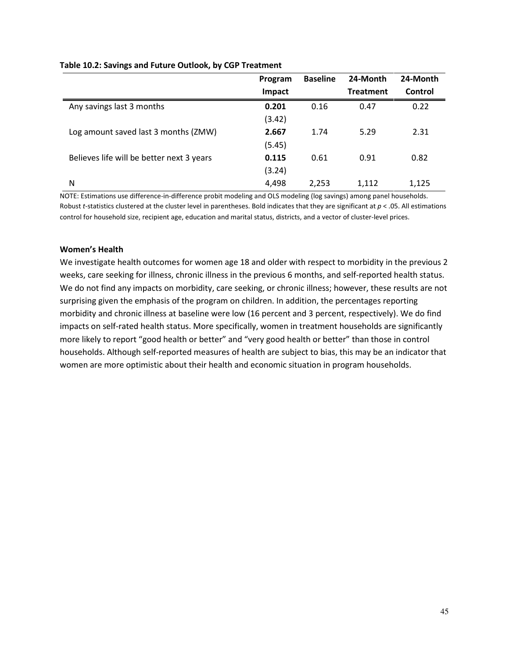|                                           | Program | <b>Baseline</b> | 24-Month         | 24-Month |
|-------------------------------------------|---------|-----------------|------------------|----------|
|                                           | Impact  |                 | <b>Treatment</b> | Control  |
| Any savings last 3 months                 | 0.201   | 0.16            | 0.47             | 0.22     |
|                                           | (3.42)  |                 |                  |          |
| Log amount saved last 3 months (ZMW)      | 2.667   | 1.74            | 5.29             | 2.31     |
|                                           | (5.45)  |                 |                  |          |
| Believes life will be better next 3 years | 0.115   | 0.61            | 0.91             | 0.82     |
|                                           | (3.24)  |                 |                  |          |
| N                                         | 4,498   | 2,253           | 1.112            | 1,125    |

#### Table 10.2: Savings and Future Outlook, by CGP Treatment

NOTE: Estimations use difference-in-difference probit modeling and OLS modeling (log savings) among panel households. Robust t-statistics clustered at the cluster level in parentheses. Bold indicates that they are significant at  $p < .05$ . All estimations control for household size, recipient age, education and marital status, districts, and a vector of cluster-level prices.

#### Women's Health

We investigate health outcomes for women age 18 and older with respect to morbidity in the previous 2 weeks, care seeking for illness, chronic illness in the previous 6 months, and self-reported health status. We do not find any impacts on morbidity, care seeking, or chronic illness; however, these results are not surprising given the emphasis of the program on children. In addition, the percentages reporting morbidity and chronic illness at baseline were low (16 percent and 3 percent, respectively). We do find impacts on self-rated health status. More specifically, women in treatment households are significantly more likely to report "good health or better" and "very good health or better" than those in control households. Although self-reported measures of health are subject to bias, this may be an indicator that women are more optimistic about their health and economic situation in program households.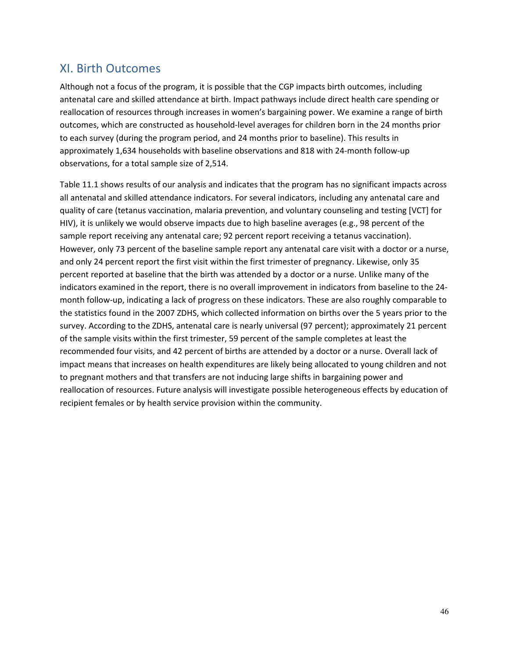## XI. Birth Outcomes

Although not a focus of the program, it is possible that the CGP impacts birth outcomes, including antenatal care and skilled attendance at birth. Impact pathways include direct health care spending or reallocation of resources through increases in women's bargaining power. We examine a range of birth outcomes, which are constructed as household-level averages for children born in the 24 months prior to each survey (during the program period, and 24 months prior to baseline). This results in approximately 1,634 households with baseline observations and 818 with 24-month follow-up observations, for a total sample size of 2,514.

Table 11.1 shows results of our analysis and indicates that the program has no significant impacts across all antenatal and skilled attendance indicators. For several indicators, including any antenatal care and quality of care (tetanus vaccination, malaria prevention, and voluntary counseling and testing [VCT] for HIV), it is unlikely we would observe impacts due to high baseline averages (e.g., 98 percent of the sample report receiving any antenatal care; 92 percent report receiving a tetanus vaccination). However, only 73 percent of the baseline sample report any antenatal care visit with a doctor or a nurse, and only 24 percent report the first visit within the first trimester of pregnancy. Likewise, only 35 percent reported at baseline that the birth was attended by a doctor or a nurse. Unlike many of the indicators examined in the report, there is no overall improvement in indicators from baseline to the 24 month follow-up, indicating a lack of progress on these indicators. These are also roughly comparable to the statistics found in the 2007 ZDHS, which collected information on births over the 5 years prior to the survey. According to the ZDHS, antenatal care is nearly universal (97 percent); approximately 21 percent of the sample visits within the first trimester, 59 percent of the sample completes at least the recommended four visits, and 42 percent of births are attended by a doctor or a nurse. Overall lack of impact means that increases on health expenditures are likely being allocated to young children and not to pregnant mothers and that transfers are not inducing large shifts in bargaining power and reallocation of resources. Future analysis will investigate possible heterogeneous effects by education of recipient females or by health service provision within the community.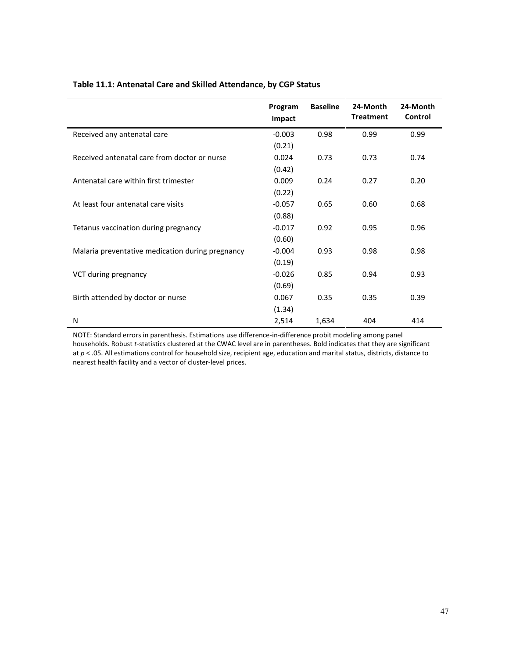## Table 11.1: Antenatal Care and Skilled Attendance, by CGP Status

|                                                  | Program<br>Impact | <b>Baseline</b> | 24-Month<br><b>Treatment</b> | 24-Month<br>Control |
|--------------------------------------------------|-------------------|-----------------|------------------------------|---------------------|
| Received any antenatal care                      | $-0.003$          | 0.98            | 0.99                         | 0.99                |
|                                                  | (0.21)            |                 |                              |                     |
| Received antenatal care from doctor or nurse     | 0.024             | 0.73            | 0.73                         | 0.74                |
|                                                  | (0.42)            |                 |                              |                     |
| Antenatal care within first trimester            | 0.009             | 0.24            | 0.27                         | 0.20                |
|                                                  | (0.22)            |                 |                              |                     |
| At least four antenatal care visits              | $-0.057$          | 0.65            | 0.60                         | 0.68                |
|                                                  | (0.88)            |                 |                              |                     |
| Tetanus vaccination during pregnancy             | $-0.017$          | 0.92            | 0.95                         | 0.96                |
|                                                  | (0.60)            |                 |                              |                     |
| Malaria preventative medication during pregnancy | $-0.004$          | 0.93            | 0.98                         | 0.98                |
|                                                  | (0.19)            |                 |                              |                     |
| VCT during pregnancy                             | $-0.026$          | 0.85            | 0.94                         | 0.93                |
|                                                  | (0.69)            |                 |                              |                     |
| Birth attended by doctor or nurse                | 0.067             | 0.35            | 0.35                         | 0.39                |
|                                                  | (1.34)            |                 |                              |                     |
| N                                                | 2,514             | 1,634           | 404                          | 414                 |

NOTE: Standard errors in parenthesis. Estimations use difference-in-difference probit modeling among panel households. Robust t-statistics clustered at the CWAC level are in parentheses. Bold indicates that they are significant at  $p <$  .05. All estimations control for household size, recipient age, education and marital status, districts, distance to nearest health facility and a vector of cluster-level prices.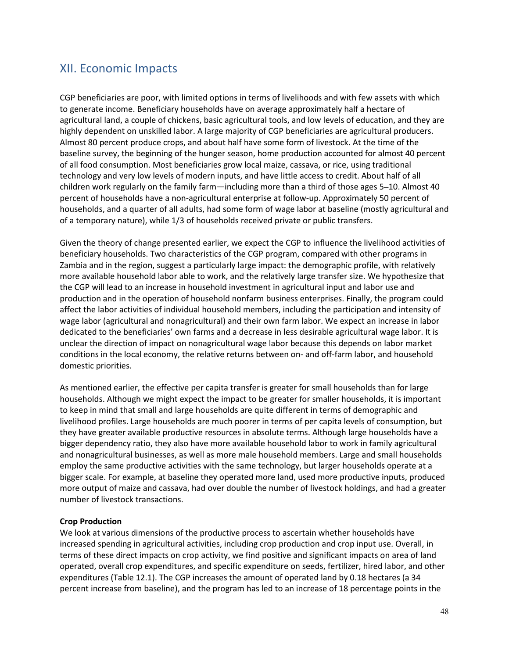## XII. Economic Impacts

CGP beneficiaries are poor, with limited options in terms of livelihoods and with few assets with which to generate income. Beneficiary households have on average approximately half a hectare of agricultural land, a couple of chickens, basic agricultural tools, and low levels of education, and they are highly dependent on unskilled labor. A large majority of CGP beneficiaries are agricultural producers. Almost 80 percent produce crops, and about half have some form of livestock. At the time of the baseline survey, the beginning of the hunger season, home production accounted for almost 40 percent of all food consumption. Most beneficiaries grow local maize, cassava, or rice, using traditional technology and very low levels of modern inputs, and have little access to credit. About half of all children work regularly on the family farm—including more than a third of those ages 5–10. Almost 40 percent of households have a non-agricultural enterprise at follow-up. Approximately 50 percent of households, and a quarter of all adults, had some form of wage labor at baseline (mostly agricultural and of a temporary nature), while 1/3 of households received private or public transfers.

Given the theory of change presented earlier, we expect the CGP to influence the livelihood activities of beneficiary households. Two characteristics of the CGP program, compared with other programs in Zambia and in the region, suggest a particularly large impact: the demographic profile, with relatively more available household labor able to work, and the relatively large transfer size. We hypothesize that the CGP will lead to an increase in household investment in agricultural input and labor use and production and in the operation of household nonfarm business enterprises. Finally, the program could affect the labor activities of individual household members, including the participation and intensity of wage labor (agricultural and nonagricultural) and their own farm labor. We expect an increase in labor dedicated to the beneficiaries' own farms and a decrease in less desirable agricultural wage labor. It is unclear the direction of impact on nonagricultural wage labor because this depends on labor market conditions in the local economy, the relative returns between on- and off-farm labor, and household domestic priorities.

As mentioned earlier, the effective per capita transfer is greater for small households than for large households. Although we might expect the impact to be greater for smaller households, it is important to keep in mind that small and large households are quite different in terms of demographic and livelihood profiles. Large households are much poorer in terms of per capita levels of consumption, but they have greater available productive resources in absolute terms. Although large households have a bigger dependency ratio, they also have more available household labor to work in family agricultural and nonagricultural businesses, as well as more male household members. Large and small households employ the same productive activities with the same technology, but larger households operate at a bigger scale. For example, at baseline they operated more land, used more productive inputs, produced more output of maize and cassava, had over double the number of livestock holdings, and had a greater number of livestock transactions.

#### Crop Production

We look at various dimensions of the productive process to ascertain whether households have increased spending in agricultural activities, including crop production and crop input use. Overall, in terms of these direct impacts on crop activity, we find positive and significant impacts on area of land operated, overall crop expenditures, and specific expenditure on seeds, fertilizer, hired labor, and other expenditures (Table 12.1). The CGP increases the amount of operated land by 0.18 hectares (a 34 percent increase from baseline), and the program has led to an increase of 18 percentage points in the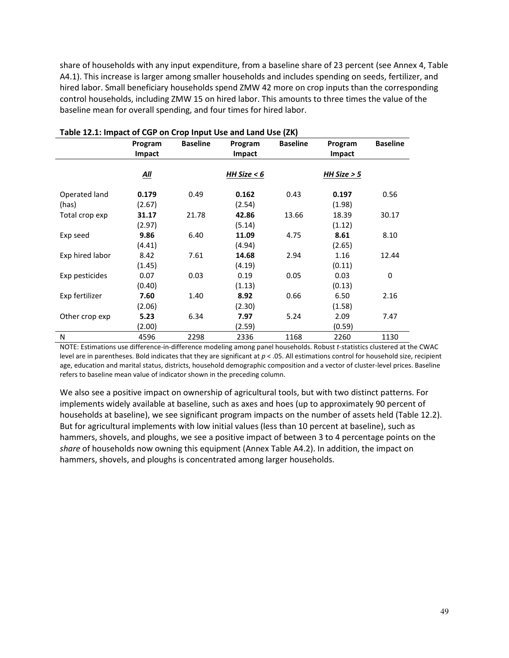share of households with any input expenditure, from a baseline share of 23 percent (see Annex 4, Table A4.1). This increase is larger among smaller households and includes spending on seeds, fertilizer, and hired labor. Small beneficiary households spend ZMW 42 more on crop inputs than the corresponding control households, including ZMW 15 on hired labor. This amounts to three times the value of the baseline mean for overall spending, and four times for hired labor.

| rapic IL.I. impact of corrollerop impactors and Land OSC (Liv) |         |                 |               |                 |               |                 |
|----------------------------------------------------------------|---------|-----------------|---------------|-----------------|---------------|-----------------|
|                                                                | Program | <b>Baseline</b> | Program       | <b>Baseline</b> | Program       | <b>Baseline</b> |
|                                                                | Impact  |                 | Impact        |                 | Impact        |                 |
|                                                                |         |                 |               |                 |               |                 |
|                                                                | All     |                 | HH Size $< 6$ |                 | HH Size $> 5$ |                 |
|                                                                |         |                 |               |                 |               |                 |
| Operated land                                                  | 0.179   | 0.49            | 0.162         | 0.43            | 0.197         | 0.56            |
| (has)                                                          | (2.67)  |                 | (2.54)        |                 | (1.98)        |                 |
| Total crop exp                                                 | 31.17   | 21.78           | 42.86         | 13.66           | 18.39         | 30.17           |
|                                                                | (2.97)  |                 | (5.14)        |                 | (1.12)        |                 |
| Exp seed                                                       | 9.86    | 6.40            | 11.09         | 4.75            | 8.61          | 8.10            |
|                                                                | (4.41)  |                 | (4.94)        |                 | (2.65)        |                 |
| Exp hired labor                                                | 8.42    | 7.61            | 14.68         | 2.94            | 1.16          | 12.44           |
|                                                                | (1.45)  |                 | (4.19)        |                 | (0.11)        |                 |
| Exp pesticides                                                 | 0.07    | 0.03            | 0.19          | 0.05            | 0.03          | 0               |
|                                                                | (0.40)  |                 | (1.13)        |                 | (0.13)        |                 |
| Exp fertilizer                                                 | 7.60    | 1.40            | 8.92          | 0.66            | 6.50          | 2.16            |
|                                                                | (2.06)  |                 | (2.30)        |                 | (1.58)        |                 |
| Other crop exp                                                 | 5.23    | 6.34            | 7.97          | 5.24            | 2.09          | 7.47            |
|                                                                | (2.00)  |                 | (2.59)        |                 | (0.59)        |                 |
| N                                                              | 4596    | 2298            | 2336          | 1168            | 2260          | 1130            |

|  |  |  | Table 12.1: Impact of CGP on Crop Input Use and Land Use (ZK) |
|--|--|--|---------------------------------------------------------------|
|--|--|--|---------------------------------------------------------------|

NOTE: Estimations use difference-in-difference modeling among panel households. Robust t-statistics clustered at the CWAC level are in parentheses. Bold indicates that they are significant at  $p < .05$ . All estimations control for household size, recipient age, education and marital status, districts, household demographic composition and a vector of cluster-level prices. Baseline refers to baseline mean value of indicator shown in the preceding column.

We also see a positive impact on ownership of agricultural tools, but with two distinct patterns. For implements widely available at baseline, such as axes and hoes (up to approximately 90 percent of households at baseline), we see significant program impacts on the number of assets held (Table 12.2). But for agricultural implements with low initial values (less than 10 percent at baseline), such as hammers, shovels, and ploughs, we see a positive impact of between 3 to 4 percentage points on the share of households now owning this equipment (Annex Table A4.2). In addition, the impact on hammers, shovels, and ploughs is concentrated among larger households.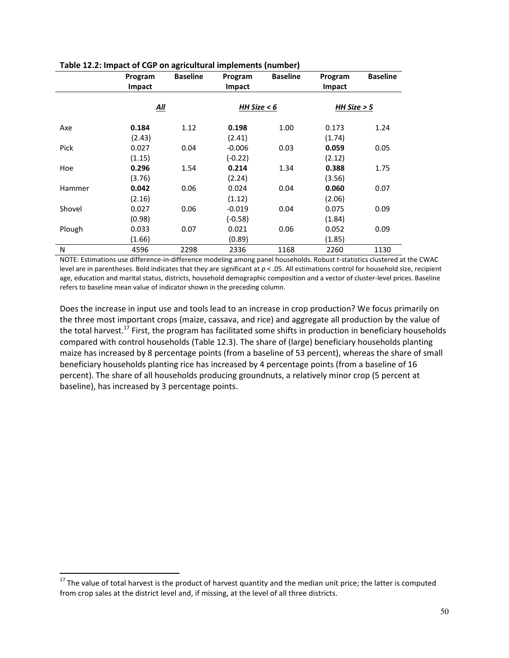|        | Program    | o<br><b>Baseline</b> | Program       | <b>Baseline</b> | Program       | <b>Baseline</b> |
|--------|------------|----------------------|---------------|-----------------|---------------|-----------------|
|        | Impact     |                      | <b>Impact</b> |                 | Impact        |                 |
|        |            |                      |               |                 |               |                 |
|        | <u>All</u> |                      | HH Size $< 6$ |                 | HH Size $> 5$ |                 |
| Axe    | 0.184      | 1.12                 | 0.198         | 1.00            | 0.173         | 1.24            |
|        | (2.43)     |                      | (2.41)        |                 | (1.74)        |                 |
| Pick   | 0.027      | 0.04                 | $-0.006$      | 0.03            | 0.059         | 0.05            |
|        | (1.15)     |                      | (-0.22)       |                 | (2.12)        |                 |
| Hoe    | 0.296      | 1.54                 | 0.214         | 1.34            | 0.388         | 1.75            |
|        | (3.76)     |                      | (2.24)        |                 | (3.56)        |                 |
| Hammer | 0.042      | 0.06                 | 0.024         | 0.04            | 0.060         | 0.07            |
|        | (2.16)     |                      | (1.12)        |                 | (2.06)        |                 |
| Shovel | 0.027      | 0.06                 | $-0.019$      | 0.04            | 0.075         | 0.09            |
|        | (0.98)     |                      | (-0.58)       |                 | (1.84)        |                 |
| Plough | 0.033      | 0.07                 | 0.021         | 0.06            | 0.052         | 0.09            |
|        | (1.66)     |                      | (0.89)        |                 | (1.85)        |                 |
| N      | 4596       | 2298                 | 2336          | 1168            | 2260          | 1130            |

#### Table 12.2: Impact of CGP on agricultural implements (number)

NOTE: Estimations use difference-in-difference modeling among panel households. Robust t-statistics clustered at the CWAC level are in parentheses. Bold indicates that they are significant at p < .05. All estimations control for household size, recipient age, education and marital status, districts, household demographic composition and a vector of cluster-level prices. Baseline refers to baseline mean value of indicator shown in the preceding column.

Does the increase in input use and tools lead to an increase in crop production? We focus primarily on the three most important crops (maize, cassava, and rice) and aggregate all production by the value of the total harvest.<sup>17</sup> First, the program has facilitated some shifts in production in beneficiary households compared with control households (Table 12.3). The share of (large) beneficiary households planting maize has increased by 8 percentage points (from a baseline of 53 percent), whereas the share of small beneficiary households planting rice has increased by 4 percentage points (from a baseline of 16 percent). The share of all households producing groundnuts, a relatively minor crop (5 percent at baseline), has increased by 3 percentage points.

l

 $17$  The value of total harvest is the product of harvest quantity and the median unit price; the latter is computed from crop sales at the district level and, if missing, at the level of all three districts.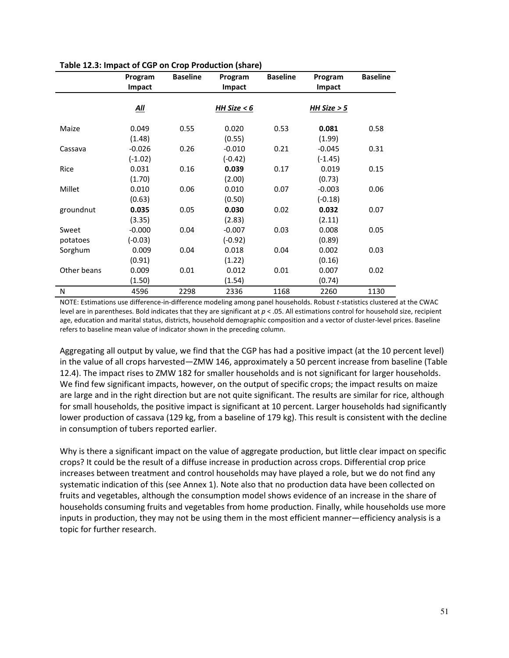|             | Program<br>Impact | <b>Baseline</b> | Program<br>Impact | <b>Baseline</b> | Program<br>Impact | <b>Baseline</b> |
|-------------|-------------------|-----------------|-------------------|-----------------|-------------------|-----------------|
|             | <u>All</u>        |                 | HH Size $< 6$     |                 | HH Size $> 5$     |                 |
| Maize       | 0.049             | 0.55            | 0.020             | 0.53            | 0.081             | 0.58            |
|             | (1.48)            |                 | (0.55)            |                 | (1.99)            |                 |
| Cassava     | $-0.026$          | 0.26            | $-0.010$          | 0.21            | $-0.045$          | 0.31            |
|             | $(-1.02)$         |                 | $(-0.42)$         |                 | $(-1.45)$         |                 |
| Rice        | 0.031             | 0.16            | 0.039             | 0.17            | 0.019             | 0.15            |
|             | (1.70)            |                 | (2.00)            |                 | (0.73)            |                 |
| Millet      | 0.010             | 0.06            | 0.010             | 0.07            | $-0.003$          | 0.06            |
|             | (0.63)            |                 | (0.50)            |                 | (-0.18)           |                 |
| groundnut   | 0.035             | 0.05            | 0.030             | 0.02            | 0.032             | 0.07            |
|             | (3.35)            |                 | (2.83)            |                 | (2.11)            |                 |
| Sweet       | $-0.000$          | 0.04            | $-0.007$          | 0.03            | 0.008             | 0.05            |
| potatoes    | $(-0.03)$         |                 | $(-0.92)$         |                 | (0.89)            |                 |
| Sorghum     | 0.009             | 0.04            | 0.018             | 0.04            | 0.002             | 0.03            |
|             | (0.91)            |                 | (1.22)            |                 | (0.16)            |                 |
| Other beans | 0.009             | 0.01            | 0.012             | 0.01            | 0.007             | 0.02            |
|             | (1.50)            |                 | (1.54)            |                 | (0.74)            |                 |
| N           | 4596              | 2298            | 2336              | 1168            | 2260              | 1130            |

#### Table 12.3: Impact of CGP on Crop Production (share)

NOTE: Estimations use difference-in-difference modeling among panel households. Robust t-statistics clustered at the CWAC level are in parentheses. Bold indicates that they are significant at p < .05. All estimations control for household size, recipient age, education and marital status, districts, household demographic composition and a vector of cluster-level prices. Baseline refers to baseline mean value of indicator shown in the preceding column.

Aggregating all output by value, we find that the CGP has had a positive impact (at the 10 percent level) in the value of all crops harvested—ZMW 146, approximately a 50 percent increase from baseline (Table 12.4). The impact rises to ZMW 182 for smaller households and is not significant for larger households. We find few significant impacts, however, on the output of specific crops; the impact results on maize are large and in the right direction but are not quite significant. The results are similar for rice, although for small households, the positive impact is significant at 10 percent. Larger households had significantly lower production of cassava (129 kg, from a baseline of 179 kg). This result is consistent with the decline in consumption of tubers reported earlier.

Why is there a significant impact on the value of aggregate production, but little clear impact on specific crops? It could be the result of a diffuse increase in production across crops. Differential crop price increases between treatment and control households may have played a role, but we do not find any systematic indication of this (see Annex 1). Note also that no production data have been collected on fruits and vegetables, although the consumption model shows evidence of an increase in the share of households consuming fruits and vegetables from home production. Finally, while households use more inputs in production, they may not be using them in the most efficient manner—efficiency analysis is a topic for further research.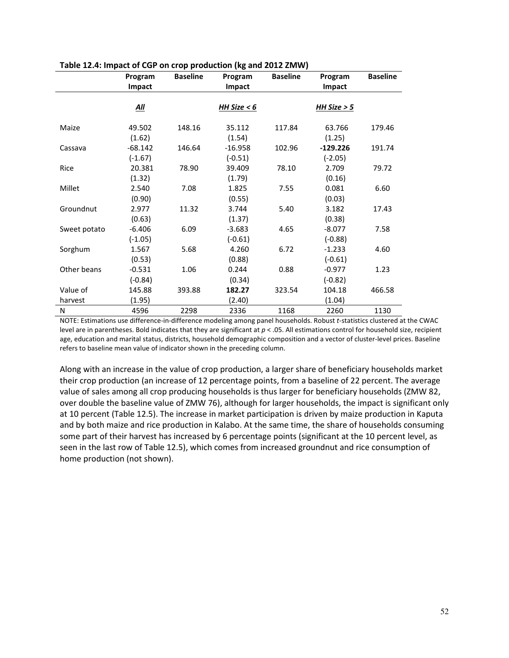|              | Program   | <b>Baseline</b> | $1.5$ and $2.5$ and $2.5$ and $2.5$ and $2.5$ and $2.5$ and $2.5$<br>Program | <b>Baseline</b> | Program       | <b>Baseline</b> |
|--------------|-----------|-----------------|------------------------------------------------------------------------------|-----------------|---------------|-----------------|
|              | Impact    |                 | Impact                                                                       |                 | Impact        |                 |
|              |           |                 |                                                                              |                 |               |                 |
|              | All       |                 | HH Size $< 6$                                                                |                 | HH Size $> 5$ |                 |
|              |           |                 |                                                                              |                 |               |                 |
| Maize        | 49.502    | 148.16          | 35.112                                                                       | 117.84          | 63.766        | 179.46          |
|              | (1.62)    |                 | (1.54)                                                                       |                 | (1.25)        |                 |
| Cassava      | $-68.142$ | 146.64          | $-16.958$                                                                    | 102.96          | $-129.226$    | 191.74          |
|              | $(-1.67)$ |                 | $(-0.51)$                                                                    |                 | $(-2.05)$     |                 |
| Rice         | 20.381    | 78.90           | 39.409                                                                       | 78.10           | 2.709         | 79.72           |
|              | (1.32)    |                 | (1.79)                                                                       |                 | (0.16)        |                 |
| Millet       | 2.540     | 7.08            | 1.825                                                                        | 7.55            | 0.081         | 6.60            |
|              | (0.90)    |                 | (0.55)                                                                       |                 | (0.03)        |                 |
| Groundnut    | 2.977     | 11.32           | 3.744                                                                        | 5.40            | 3.182         | 17.43           |
|              | (0.63)    |                 | (1.37)                                                                       |                 | (0.38)        |                 |
| Sweet potato | $-6.406$  | 6.09            | $-3.683$                                                                     | 4.65            | $-8.077$      | 7.58            |
|              | $(-1.05)$ |                 | $(-0.61)$                                                                    |                 | $(-0.88)$     |                 |
| Sorghum      | 1.567     | 5.68            | 4.260                                                                        | 6.72            | $-1.233$      | 4.60            |
|              | (0.53)    |                 | (0.88)                                                                       |                 | $(-0.61)$     |                 |
| Other beans  | $-0.531$  | 1.06            | 0.244                                                                        | 0.88            | $-0.977$      | 1.23            |
|              | $(-0.84)$ |                 | (0.34)                                                                       |                 | $(-0.82)$     |                 |
| Value of     | 145.88    | 393.88          | 182.27                                                                       | 323.54          | 104.18        | 466.58          |
| harvest      | (1.95)    |                 | (2.40)                                                                       |                 | (1.04)        |                 |
| N            | 4596      | 2298            | 2336                                                                         | 1168            | 2260          | 1130            |

#### Table 12.4: Impact of CGP on crop production (kg and 2012 ZMW)

NOTE: Estimations use difference-in-difference modeling among panel households. Robust t-statistics clustered at the CWAC level are in parentheses. Bold indicates that they are significant at  $p < 0.05$ . All estimations control for household size, recipient age, education and marital status, districts, household demographic composition and a vector of cluster-level prices. Baseline refers to baseline mean value of indicator shown in the preceding column.

Along with an increase in the value of crop production, a larger share of beneficiary households market their crop production (an increase of 12 percentage points, from a baseline of 22 percent. The average value of sales among all crop producing households is thus larger for beneficiary households (ZMW 82, over double the baseline value of ZMW 76), although for larger households, the impact is significant only at 10 percent (Table 12.5). The increase in market participation is driven by maize production in Kaputa and by both maize and rice production in Kalabo. At the same time, the share of households consuming some part of their harvest has increased by 6 percentage points (significant at the 10 percent level, as seen in the last row of Table 12.5), which comes from increased groundnut and rice consumption of home production (not shown).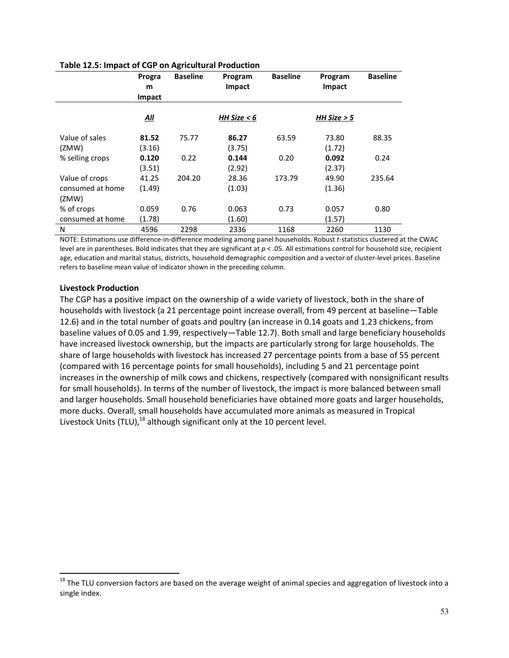|                                             | Progra<br>m<br>Impact | <b>Baseline</b> | Program<br>Impact | <b>Baseline</b> | Program<br>Impact | <b>Baseline</b> |
|---------------------------------------------|-----------------------|-----------------|-------------------|-----------------|-------------------|-----------------|
|                                             | All                   |                 | HH Size $< 6$     |                 | HH Size $> 5$     |                 |
| Value of sales<br>(ZMW)                     | 81.52<br>(3.16)       | 75.77           | 86.27<br>(3.75)   | 63.59           | 73.80<br>(1.72)   | 88.35           |
| % selling crops                             | 0.120<br>(3.51)       | 0.22            | 0.144<br>(2.92)   | 0.20            | 0.092<br>(2.37)   | 0.24            |
| Value of crops<br>consumed at home<br>(ZMW) | 41.25<br>(1.49)       | 204.20          | 28.36<br>(1.03)   | 173.79          | 49.90<br>(1.36)   | 235.64          |
| % of crops<br>consumed at home              | 0.059<br>(1.78)       | 0.76            | 0.063<br>(1.60)   | 0.73            | 0.057<br>(1.57)   | 0.80            |
| N                                           | 4596                  | 2298            | 2336              | 1168            | 2260              | 1130            |

#### Table 12.5: Impact of CGP on Agricultural Production

NOTE: Estimations use difference-in-difference modeling among panel households. Robust t-statistics clustered at the CWAC level are in parentheses. Bold indicates that they are significant at  $p < .05$ . All estimations control for household size, recipient age, education and marital status, districts, household demographic composition and a vector of cluster-level prices. Baseline refers to baseline mean value of indicator shown in the preceding column.

#### Livestock Production

l

The CGP has a positive impact on the ownership of a wide variety of livestock, both in the share of households with livestock (a 21 percentage point increase overall, from 49 percent at baseline—Table 12.6) and in the total number of goats and poultry (an increase in 0.14 goats and 1.23 chickens, from baseline values of 0.05 and 1.99, respectively—Table 12.7). Both small and large beneficiary households have increased livestock ownership, but the impacts are particularly strong for large households. The share of large households with livestock has increased 27 percentage points from a base of 55 percent (compared with 16 percentage points for small households), including 5 and 21 percentage point increases in the ownership of milk cows and chickens, respectively (compared with nonsignificant results for small households). In terms of the number of livestock, the impact is more balanced between small and larger households. Small household beneficiaries have obtained more goats and larger households, more ducks. Overall, small households have accumulated more animals as measured in Tropical Livestock Units (TLU), $^{18}$  although significant only at the 10 percent level.

<sup>&</sup>lt;sup>18</sup> The TLU conversion factors are based on the average weight of animal species and aggregation of livestock into a single index.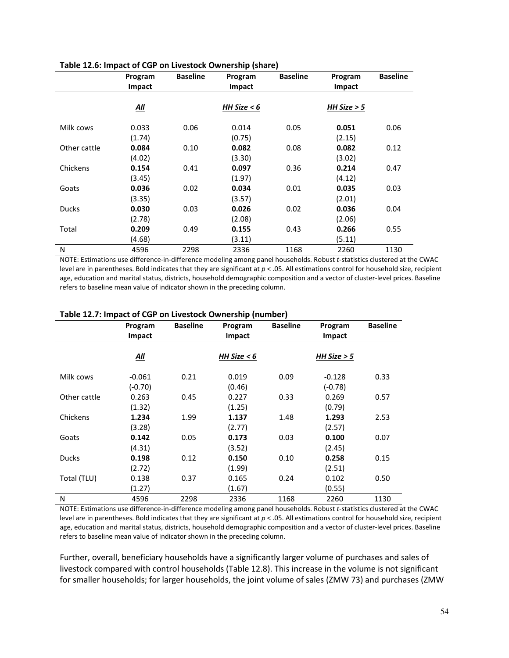|              | Program<br>Impact | <b>Baseline</b> | Program<br>Impact | <b>Baseline</b> | Program<br>Impact | <b>Baseline</b> |
|--------------|-------------------|-----------------|-------------------|-----------------|-------------------|-----------------|
|              | $\underline{All}$ |                 | HH Size $< 6$     |                 | HH Size $> 5$     |                 |
| Milk cows    | 0.033<br>(1.74)   | 0.06            | 0.014<br>(0.75)   | 0.05            | 0.051<br>(2.15)   | 0.06            |
| Other cattle | 0.084<br>(4.02)   | 0.10            | 0.082<br>(3.30)   | 0.08            | 0.082<br>(3.02)   | 0.12            |
| Chickens     | 0.154<br>(3.45)   | 0.41            | 0.097<br>(1.97)   | 0.36            | 0.214<br>(4.12)   | 0.47            |
| Goats        | 0.036<br>(3.35)   | 0.02            | 0.034<br>(3.57)   | 0.01            | 0.035<br>(2.01)   | 0.03            |
| <b>Ducks</b> | 0.030<br>(2.78)   | 0.03            | 0.026<br>(2.08)   | 0.02            | 0.036<br>(2.06)   | 0.04            |
| Total        | 0.209<br>(4.68)   | 0.49            | 0.155<br>(3.11)   | 0.43            | 0.266<br>(5.11)   | 0.55            |
| N            | 4596              | 2298            | 2336              | 1168            | 2260              | 1130            |

#### Table 12.6: Impact of CGP on Livestock Ownership (share)

NOTE: Estimations use difference-in-difference modeling among panel households. Robust t-statistics clustered at the CWAC level are in parentheses. Bold indicates that they are significant at p < .05. All estimations control for household size, recipient age, education and marital status, districts, household demographic composition and a vector of cluster-level prices. Baseline refers to baseline mean value of indicator shown in the preceding column.

|              | Program   | <b>Baseline</b> | Program       | <b>Baseline</b> | Program     | <b>Baseline</b> |
|--------------|-----------|-----------------|---------------|-----------------|-------------|-----------------|
|              | Impact    |                 | Impact        |                 | Impact      |                 |
|              |           |                 |               |                 |             |                 |
|              | All       |                 | HH Size $< 6$ |                 | HH Size > 5 |                 |
| Milk cows    | $-0.061$  | 0.21            | 0.019         | 0.09            | $-0.128$    | 0.33            |
|              | $(-0.70)$ |                 | (0.46)        |                 | $(-0.78)$   |                 |
| Other cattle | 0.263     | 0.45            | 0.227         | 0.33            | 0.269       | 0.57            |
|              | (1.32)    |                 | (1.25)        |                 | (0.79)      |                 |
| Chickens     | 1.234     | 1.99            | 1.137         | 1.48            | 1.293       | 2.53            |
|              | (3.28)    |                 | (2.77)        |                 | (2.57)      |                 |
| Goats        | 0.142     | 0.05            | 0.173         | 0.03            | 0.100       | 0.07            |
|              | (4.31)    |                 | (3.52)        |                 | (2.45)      |                 |
| <b>Ducks</b> | 0.198     | 0.12            | 0.150         | 0.10            | 0.258       | 0.15            |
|              | (2.72)    |                 | (1.99)        |                 | (2.51)      |                 |
| Total (TLU)  | 0.138     | 0.37            | 0.165         | 0.24            | 0.102       | 0.50            |
|              | (1.27)    |                 | (1.67)        |                 | (0.55)      |                 |
| N            | 4596      | 2298            | 2336          | 1168            | 2260        | 1130            |

#### Table 12.7: Impact of CGP on Livestock Ownership (number)

NOTE: Estimations use difference-in-difference modeling among panel households. Robust t-statistics clustered at the CWAC level are in parentheses. Bold indicates that they are significant at  $p < 0.05$ . All estimations control for household size, recipient age, education and marital status, districts, household demographic composition and a vector of cluster-level prices. Baseline refers to baseline mean value of indicator shown in the preceding column.

Further, overall, beneficiary households have a significantly larger volume of purchases and sales of livestock compared with control households (Table 12.8). This increase in the volume is not significant for smaller households; for larger households, the joint volume of sales (ZMW 73) and purchases (ZMW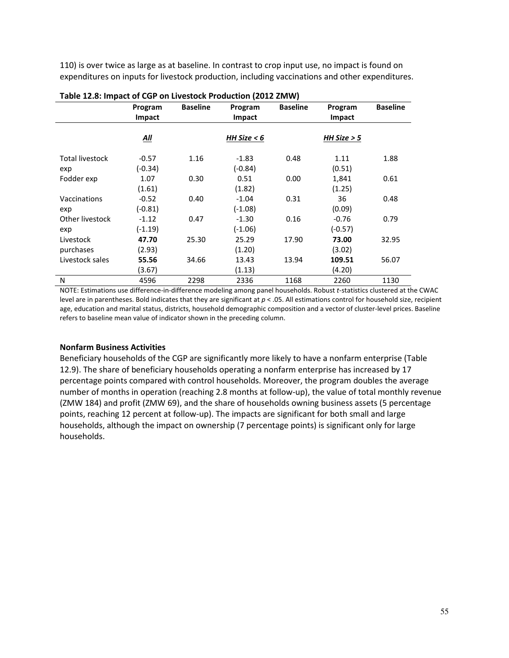110) is over twice as large as at baseline. In contrast to crop input use, no impact is found on expenditures on inputs for livestock production, including vaccinations and other expenditures.

| Table 12.0. Milpact of Curl of Elvestock Froudction (2012 Zivity) |            |                 |               |                 |               |                 |
|-------------------------------------------------------------------|------------|-----------------|---------------|-----------------|---------------|-----------------|
|                                                                   | Program    | <b>Baseline</b> | Program       | <b>Baseline</b> | Program       | <b>Baseline</b> |
|                                                                   | Impact     |                 | Impact        |                 | Impact        |                 |
|                                                                   |            |                 |               |                 |               |                 |
|                                                                   | <u>All</u> |                 | HH Size $< 6$ |                 | HH Size $> 5$ |                 |
|                                                                   |            |                 |               |                 |               |                 |
| <b>Total livestock</b>                                            | $-0.57$    | 1.16            | $-1.83$       | 0.48            | 1.11          | 1.88            |
| exp                                                               | (-0.34)    |                 | (-0.84)       |                 | (0.51)        |                 |
| Fodder exp                                                        | 1.07       | 0.30            | 0.51          | 0.00            | 1,841         | 0.61            |
|                                                                   | (1.61)     |                 | (1.82)        |                 | (1.25)        |                 |
| Vaccinations                                                      | $-0.52$    | 0.40            | $-1.04$       | 0.31            | 36            | 0.48            |
| exp                                                               | (-0.81)    |                 | (-1.08)       |                 | (0.09)        |                 |
| Other livestock                                                   | $-1.12$    | 0.47            | $-1.30$       | 0.16            | $-0.76$       | 0.79            |
| exp                                                               | (-1.19)    |                 | (-1.06)       |                 | $(-0.57)$     |                 |
| Livestock                                                         | 47.70      | 25.30           | 25.29         | 17.90           | 73.00         | 32.95           |
| purchases                                                         | (2.93)     |                 | (1.20)        |                 | (3.02)        |                 |
| Livestock sales                                                   | 55.56      | 34.66           | 13.43         | 13.94           | 109.51        | 56.07           |
|                                                                   | (3.67)     |                 | (1.13)        |                 | (4.20)        |                 |
| N                                                                 | 4596       | 2298            | 2336          | 1168            | 2260          | 1130            |

#### Table 12.8: Impact of CGP on Livestock Production (2012 ZMW)

NOTE: Estimations use difference-in-difference modeling among panel households. Robust t-statistics clustered at the CWAC level are in parentheses. Bold indicates that they are significant at p < .05. All estimations control for household size, recipient age, education and marital status, districts, household demographic composition and a vector of cluster-level prices. Baseline refers to baseline mean value of indicator shown in the preceding column.

#### Nonfarm Business Activities

Beneficiary households of the CGP are significantly more likely to have a nonfarm enterprise (Table 12.9). The share of beneficiary households operating a nonfarm enterprise has increased by 17 percentage points compared with control households. Moreover, the program doubles the average number of months in operation (reaching 2.8 months at follow-up), the value of total monthly revenue (ZMW 184) and profit (ZMW 69), and the share of households owning business assets (5 percentage points, reaching 12 percent at follow-up). The impacts are significant for both small and large households, although the impact on ownership (7 percentage points) is significant only for large households.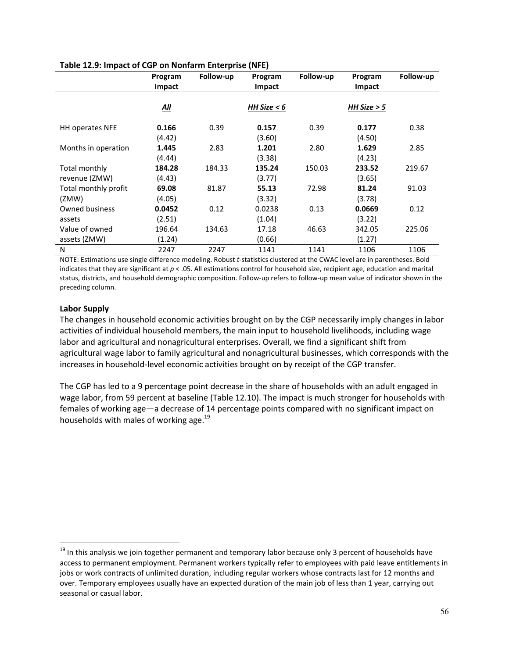|                                 | Program<br><b>Impact</b> | Follow-up | Program<br>Impact | Follow-up | Program<br>Impact | Follow-up |
|---------------------------------|--------------------------|-----------|-------------------|-----------|-------------------|-----------|
|                                 | <u>All</u>               |           | HH Size $< 6$     |           | HH Size > 5       |           |
| <b>HH operates NFE</b>          | 0.166<br>(4.42)          | 0.39      | 0.157<br>(3.60)   | 0.39      | 0.177<br>(4.50)   | 0.38      |
| Months in operation             | 1.445<br>(4.44)          | 2.83      | 1.201<br>(3.38)   | 2.80      | 1.629<br>(4.23)   | 2.85      |
| Total monthly<br>revenue (ZMW)  | 184.28<br>(4.43)         | 184.33    | 135.24<br>(3.77)  | 150.03    | 233.52<br>(3.65)  | 219.67    |
| Total monthly profit<br>(ZMW)   | 69.08<br>(4.05)          | 81.87     | 55.13<br>(3.32)   | 72.98     | 81.24<br>(3.78)   | 91.03     |
| <b>Owned business</b><br>assets | 0.0452<br>(2.51)         | 0.12      | 0.0238<br>(1.04)  | 0.13      | 0.0669<br>(3.22)  | 0.12      |
| Value of owned<br>assets (ZMW)  | 196.64<br>(1.24)         | 134.63    | 17.18<br>(0.66)   | 46.63     | 342.05<br>(1.27)  | 225.06    |
| N                               | 2247                     | 2247      | 1141              | 1141      | 1106              | 1106      |

#### Table 12.9: Impact of CGP on Nonfarm Enterprise (NFE)

NOTE: Estimations use single difference modeling. Robust t-statistics clustered at the CWAC level are in parentheses. Bold indicates that they are significant at  $p <$  .05. All estimations control for household size, recipient age, education and marital status, districts, and household demographic composition. Follow-up refers to follow-up mean value of indicator shown in the preceding column.

#### Labor Supply

 $\overline{a}$ 

The changes in household economic activities brought on by the CGP necessarily imply changes in labor activities of individual household members, the main input to household livelihoods, including wage labor and agricultural and nonagricultural enterprises. Overall, we find a significant shift from agricultural wage labor to family agricultural and nonagricultural businesses, which corresponds with the increases in household-level economic activities brought on by receipt of the CGP transfer.

The CGP has led to a 9 percentage point decrease in the share of households with an adult engaged in wage labor, from 59 percent at baseline (Table 12.10). The impact is much stronger for households with females of working age—a decrease of 14 percentage points compared with no significant impact on households with males of working age.<sup>19</sup>

<sup>&</sup>lt;sup>19</sup> In this analysis we join together permanent and temporary labor because only 3 percent of households have access to permanent employment. Permanent workers typically refer to employees with paid leave entitlements in jobs or work contracts of unlimited duration, including regular workers whose contracts last for 12 months and over. Temporary employees usually have an expected duration of the main job of less than 1 year, carrying out seasonal or casual labor.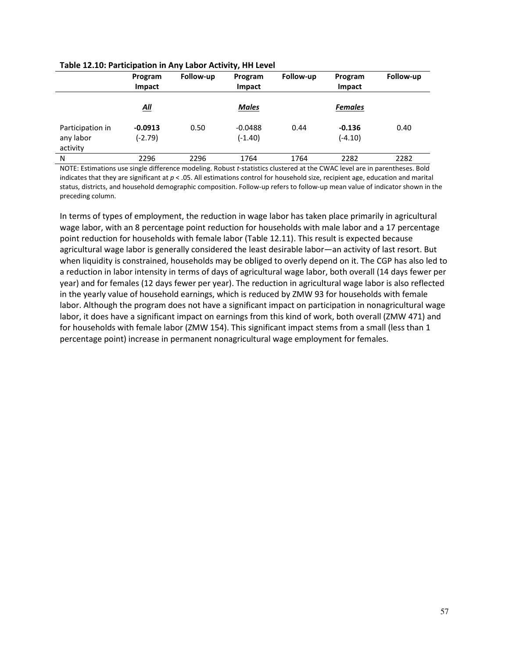|                                           | Program<br>Impact    | Follow-up | Program<br>Impact      | Follow-up | Program<br>Impact     | Follow-up |
|-------------------------------------------|----------------------|-----------|------------------------|-----------|-----------------------|-----------|
|                                           | <u>All</u>           |           | <b>Males</b>           |           | <b>Females</b>        |           |
| Participation in<br>any labor<br>activity | $-0.0913$<br>(-2.79) | 0.50      | $-0.0488$<br>$(-1.40)$ | 0.44      | $-0.136$<br>$(-4.10)$ | 0.40      |
| N                                         | 2296                 | 2296      | 1764                   | 1764      | 2282                  | 2282      |

Table 12.10: Participation in Any Labor Activity, HH Level

NOTE: Estimations use single difference modeling. Robust t-statistics clustered at the CWAC level are in parentheses. Bold indicates that they are significant at  $p < 0.05$ . All estimations control for household size, recipient age, education and marital status, districts, and household demographic composition. Follow-up refers to follow-up mean value of indicator shown in the preceding column.

In terms of types of employment, the reduction in wage labor has taken place primarily in agricultural wage labor, with an 8 percentage point reduction for households with male labor and a 17 percentage point reduction for households with female labor (Table 12.11). This result is expected because agricultural wage labor is generally considered the least desirable labor—an activity of last resort. But when liquidity is constrained, households may be obliged to overly depend on it. The CGP has also led to a reduction in labor intensity in terms of days of agricultural wage labor, both overall (14 days fewer per year) and for females (12 days fewer per year). The reduction in agricultural wage labor is also reflected in the yearly value of household earnings, which is reduced by ZMW 93 for households with female labor. Although the program does not have a significant impact on participation in nonagricultural wage labor, it does have a significant impact on earnings from this kind of work, both overall (ZMW 471) and for households with female labor (ZMW 154). This significant impact stems from a small (less than 1 percentage point) increase in permanent nonagricultural wage employment for females.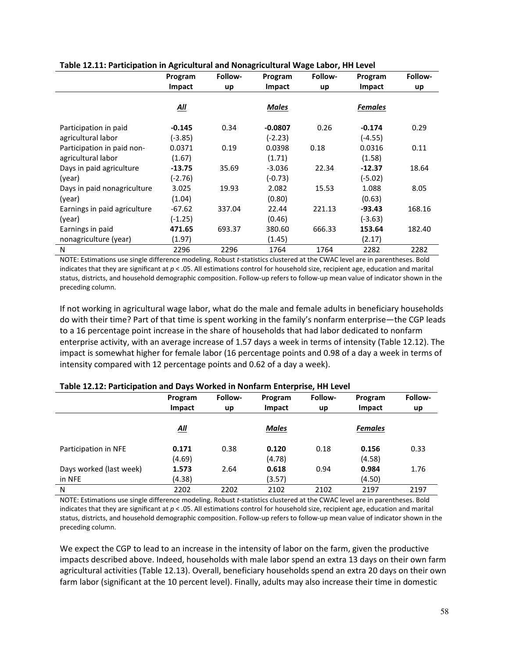|                              | Program    | Follow- | Program   | Follow- | Program        | Follow- |
|------------------------------|------------|---------|-----------|---------|----------------|---------|
|                              | Impact     | up      | Impact    | up      | Impact         | up      |
|                              | <u>All</u> |         | Males     |         | <b>Females</b> |         |
|                              |            |         |           |         |                |         |
| Participation in paid        | $-0.145$   | 0.34    | $-0.0807$ | 0.26    | $-0.174$       | 0.29    |
| agricultural labor           | (-3.85)    |         | $(-2.23)$ |         | $(-4.55)$      |         |
| Participation in paid non-   | 0.0371     | 0.19    | 0.0398    | 0.18    | 0.0316         | 0.11    |
| agricultural labor           | (1.67)     |         | (1.71)    |         | (1.58)         |         |
| Days in paid agriculture     | $-13.75$   | 35.69   | $-3.036$  | 22.34   | $-12.37$       | 18.64   |
| (year)                       | (-2.76)    |         | $(-0.73)$ |         | $(-5.02)$      |         |
| Days in paid nonagriculture  | 3.025      | 19.93   | 2.082     | 15.53   | 1.088          | 8.05    |
| (year)                       | (1.04)     |         | (0.80)    |         | (0.63)         |         |
| Earnings in paid agriculture | $-67.62$   | 337.04  | 22.44     | 221.13  | -93.43         | 168.16  |
| (year)                       | (-1.25)    |         | (0.46)    |         | (-3.63)        |         |
| Earnings in paid             | 471.65     | 693.37  | 380.60    | 666.33  | 153.64         | 182.40  |
| nonagriculture (year)        | (1.97)     |         | (1.45)    |         | (2.17)         |         |
| N                            | 2296       | 2296    | 1764      | 1764    | 2282           | 2282    |

NOTE: Estimations use single difference modeling. Robust t-statistics clustered at the CWAC level are in parentheses. Bold indicates that they are significant at  $p < .05$ . All estimations control for household size, recipient age, education and marital status, districts, and household demographic composition. Follow-up refers to follow-up mean value of indicator shown in the preceding column.

If not working in agricultural wage labor, what do the male and female adults in beneficiary households do with their time? Part of that time is spent working in the family's nonfarm enterprise—the CGP leads to a 16 percentage point increase in the share of households that had labor dedicated to nonfarm enterprise activity, with an average increase of 1.57 days a week in terms of intensity (Table 12.12). The impact is somewhat higher for female labor (16 percentage points and 0.98 of a day a week in terms of intensity compared with 12 percentage points and 0.62 of a day a week).

|                                   | Program<br>Impact | Follow-<br>up | Program<br>Impact | Follow-<br>up | Program<br>Impact | Follow-<br>up |
|-----------------------------------|-------------------|---------------|-------------------|---------------|-------------------|---------------|
|                                   | <u>All</u>        |               | <b>Males</b>      |               | <b>Females</b>    |               |
| Participation in NFE              | 0.171<br>(4.69)   | 0.38          | 0.120<br>(4.78)   | 0.18          | 0.156<br>(4.58)   | 0.33          |
| Days worked (last week)<br>in NFE | 1.573<br>(4.38)   | 2.64          | 0.618<br>(3.57)   | 0.94          | 0.984<br>(4.50)   | 1.76          |
| N                                 | 2202              | 2202          | 2102              | 2102          | 2197              | 2197          |

#### Table 12.12: Participation and Days Worked in Nonfarm Enterprise, HH Level

NOTE: Estimations use single difference modeling. Robust t-statistics clustered at the CWAC level are in parentheses. Bold indicates that they are significant at  $p < 0.05$ . All estimations control for household size, recipient age, education and marital status, districts, and household demographic composition. Follow-up refers to follow-up mean value of indicator shown in the preceding column.

We expect the CGP to lead to an increase in the intensity of labor on the farm, given the productive impacts described above. Indeed, households with male labor spend an extra 13 days on their own farm agricultural activities (Table 12.13). Overall, beneficiary households spend an extra 20 days on their own farm labor (significant at the 10 percent level). Finally, adults may also increase their time in domestic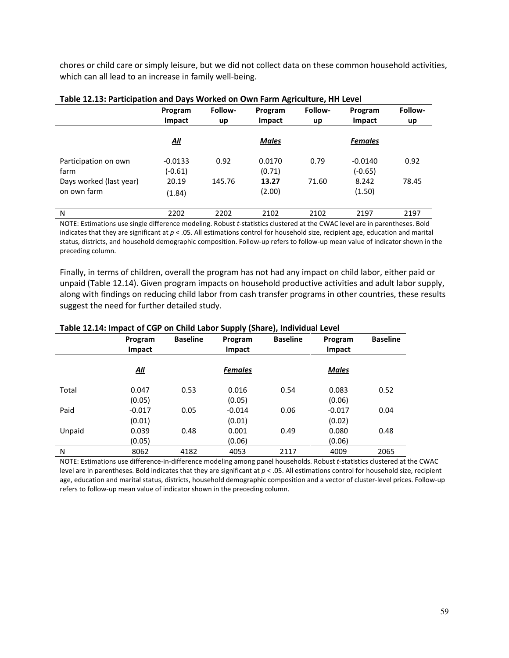chores or child care or simply leisure, but we did not collect data on these common household activities, which can all lead to an increase in family well-being.

|                                        | Program<br>Impact    | Follow-<br>up | Program<br>Impact | Follow-<br>up | Program<br>Impact      | Follow-<br>up |  |
|----------------------------------------|----------------------|---------------|-------------------|---------------|------------------------|---------------|--|
|                                        |                      |               |                   |               |                        |               |  |
|                                        | <u>All</u>           |               | <b>Males</b>      |               | <b>Females</b>         |               |  |
| Participation on own<br>farm           | $-0.0133$<br>(-0.61) | 0.92          | 0.0170<br>(0.71)  | 0.79          | $-0.0140$<br>$(-0.65)$ | 0.92          |  |
| Days worked (last year)<br>on own farm | 20.19<br>(1.84)      | 145.76        | 13.27<br>(2.00)   | 71.60         | 8.242<br>(1.50)        | 78.45         |  |
| N                                      | 2202                 | 2202          | 2102              | 2102          | 2197                   | 2197          |  |

NOTE: Estimations use single difference modeling. Robust t-statistics clustered at the CWAC level are in parentheses. Bold indicates that they are significant at  $p < 0.05$ . All estimations control for household size, recipient age, education and marital status, districts, and household demographic composition. Follow-up refers to follow-up mean value of indicator shown in the preceding column.

Finally, in terms of children, overall the program has not had any impact on child labor, either paid or unpaid (Table 12.14). Given program impacts on household productive activities and adult labor supply, along with findings on reducing child labor from cash transfer programs in other countries, these results suggest the need for further detailed study.

|        | Program<br>Impact         | <b>Baseline</b> | Program<br>Impact         | <b>Baseline</b> | Program<br>Impact         | <b>Baseline</b> |
|--------|---------------------------|-----------------|---------------------------|-----------------|---------------------------|-----------------|
|        | $\underline{All}$         |                 | <b>Females</b>            |                 | <b>Males</b>              |                 |
| Total  | 0.047<br>(0.05)           | 0.53            | 0.016<br>(0.05)           | 0.54            | 0.083<br>(0.06)           | 0.52            |
| Paid   | $-0.017$                  | 0.05            | $-0.014$                  | 0.06            | $-0.017$                  | 0.04            |
| Unpaid | (0.01)<br>0.039<br>(0.05) | 0.48            | (0.01)<br>0.001<br>(0.06) | 0.49            | (0.02)<br>0.080<br>(0.06) | 0.48            |
| N      | 8062                      | 4182            | 4053                      | 2117            | 4009                      | 2065            |

#### Table 12.14: Impact of CGP on Child Labor Supply (Share), Individual Level

NOTE: Estimations use difference-in-difference modeling among panel households. Robust t-statistics clustered at the CWAC level are in parentheses. Bold indicates that they are significant at p < .05. All estimations control for household size, recipient age, education and marital status, districts, household demographic composition and a vector of cluster-level prices. Follow-up refers to follow-up mean value of indicator shown in the preceding column.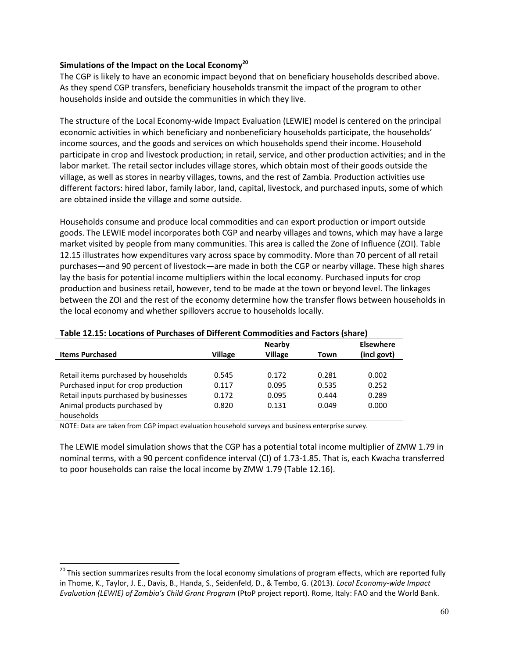## Simulations of the Impact on the Local Economy<sup>20</sup>

The CGP is likely to have an economic impact beyond that on beneficiary households described above. As they spend CGP transfers, beneficiary households transmit the impact of the program to other households inside and outside the communities in which they live.

The structure of the Local Economy-wide Impact Evaluation (LEWIE) model is centered on the principal economic activities in which beneficiary and nonbeneficiary households participate, the households' income sources, and the goods and services on which households spend their income. Household participate in crop and livestock production; in retail, service, and other production activities; and in the labor market. The retail sector includes village stores, which obtain most of their goods outside the village, as well as stores in nearby villages, towns, and the rest of Zambia. Production activities use different factors: hired labor, family labor, land, capital, livestock, and purchased inputs, some of which are obtained inside the village and some outside.

Households consume and produce local commodities and can export production or import outside goods. The LEWIE model incorporates both CGP and nearby villages and towns, which may have a large market visited by people from many communities. This area is called the Zone of Influence (ZOI). Table 12.15 illustrates how expenditures vary across space by commodity. More than 70 percent of all retail purchases—and 90 percent of livestock—are made in both the CGP or nearby village. These high shares lay the basis for potential income multipliers within the local economy. Purchased inputs for crop production and business retail, however, tend to be made at the town or beyond level. The linkages between the ZOI and the rest of the economy determine how the transfer flows between households in the local economy and whether spillovers accrue to households locally.

| Table 12.15. Locations of Funchases of Different Commodities and Factors (share) |                |                |       |                  |  |  |  |
|----------------------------------------------------------------------------------|----------------|----------------|-------|------------------|--|--|--|
|                                                                                  |                | <b>Nearby</b>  |       | <b>Elsewhere</b> |  |  |  |
| <b>Items Purchased</b>                                                           | <b>Village</b> | <b>Village</b> | Town  | (incl govt)      |  |  |  |
|                                                                                  |                |                |       |                  |  |  |  |
| Retail items purchased by households                                             | 0.545          | 0.172          | 0.281 | 0.002            |  |  |  |
| Purchased input for crop production                                              | 0.117          | 0.095          | 0.535 | 0.252            |  |  |  |
| Retail inputs purchased by businesses                                            | 0.172          | 0.095          | 0.444 | 0.289            |  |  |  |
| Animal products purchased by                                                     | 0.820          | 0.131          | 0.049 | 0.000            |  |  |  |
| households                                                                       |                |                |       |                  |  |  |  |

## Table 12.15: Locations of Purchases of Different Commodities and Factors (share)

NOTE: Data are taken from CGP impact evaluation household surveys and business enterprise survey.

The LEWIE model simulation shows that the CGP has a potential total income multiplier of ZMW 1.79 in nominal terms, with a 90 percent confidence interval (CI) of 1.73-1.85. That is, each Kwacha transferred to poor households can raise the local income by ZMW 1.79 (Table 12.16).

<sup>&</sup>lt;sup>20</sup> This section summarizes results from the local economy simulations of program effects, which are reported fully in Thome, K., Taylor, J. E., Davis, B., Handa, S., Seidenfeld, D., & Tembo, G. (2013). Local Economy-wide Impact Evaluation (LEWIE) of Zambia's Child Grant Program (PtoP project report). Rome, Italy: FAO and the World Bank.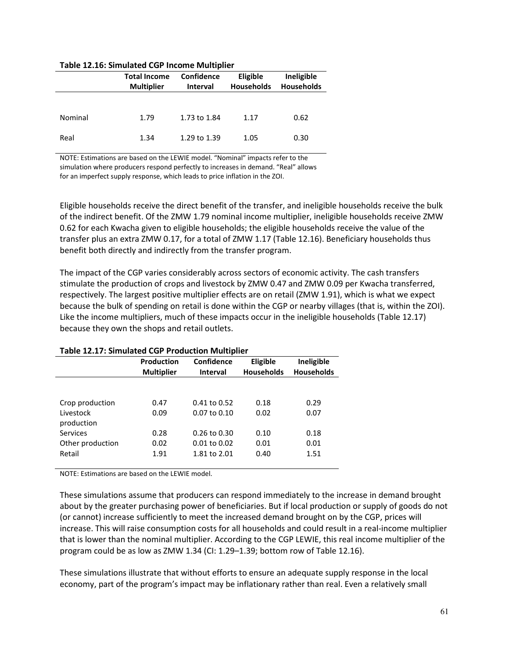| <b>Multiplier</b> | <b>Interval</b> | <b>Households</b><br><b>Households</b> |
|-------------------|-----------------|----------------------------------------|
|                   |                 | 0.62                                   |
|                   | 1.05            | 0.30                                   |
|                   | 1.79<br>1.34    | 1.73 to 1.84<br>1.17<br>1.29 to 1.39   |

#### Table 12.16: Simulated CGP Income Multiplier

NOTE: Estimations are based on the LEWIE model. "Nominal" impacts refer to the simulation where producers respond perfectly to increases in demand. "Real" allows for an imperfect supply response, which leads to price inflation in the ZOI.

Eligible households receive the direct benefit of the transfer, and ineligible households receive the bulk of the indirect benefit. Of the ZMW 1.79 nominal income multiplier, ineligible households receive ZMW 0.62 for each Kwacha given to eligible households; the eligible households receive the value of the transfer plus an extra ZMW 0.17, for a total of ZMW 1.17 (Table 12.16). Beneficiary households thus benefit both directly and indirectly from the transfer program.

The impact of the CGP varies considerably across sectors of economic activity. The cash transfers stimulate the production of crops and livestock by ZMW 0.47 and ZMW 0.09 per Kwacha transferred, respectively. The largest positive multiplier effects are on retail (ZMW 1.91), which is what we expect because the bulk of spending on retail is done within the CGP or nearby villages (that is, within the ZOI). Like the income multipliers, much of these impacts occur in the ineligible households (Table 12.17) because they own the shops and retail outlets.

|                  | <b>Production</b><br><b>Multiplier</b> | <b>Confidence</b><br><b>Interval</b> | Eligible<br><b>Households</b> | Ineligible<br><b>Households</b> |
|------------------|----------------------------------------|--------------------------------------|-------------------------------|---------------------------------|
|                  |                                        |                                      |                               |                                 |
| Crop production  | 0.47                                   | $0.41$ to $0.52$                     | 0.18                          | 0.29                            |
| Livestock        | 0.09                                   | $0.07$ to $0.10$                     | 0.02                          | 0.07                            |
| production       |                                        |                                      |                               |                                 |
| <b>Services</b>  | 0.28                                   | $0.26$ to $0.30$                     | 0.10                          | 0.18                            |
| Other production | 0.02                                   | $0.01$ to $0.02$                     | 0.01                          | 0.01                            |
| Retail           | 1.91                                   | 1.81 to 2.01                         | 0.40                          | 1.51                            |
|                  |                                        |                                      |                               |                                 |

#### Table 12.17: Simulated CGP Production Multiplier

NOTE: Estimations are based on the LEWIE model.

These simulations assume that producers can respond immediately to the increase in demand brought about by the greater purchasing power of beneficiaries. But if local production or supply of goods do not (or cannot) increase sufficiently to meet the increased demand brought on by the CGP, prices will increase. This will raise consumption costs for all households and could result in a real-income multiplier that is lower than the nominal multiplier. According to the CGP LEWIE, this real income multiplier of the program could be as low as ZMW 1.34 (CI: 1.29–1.39; bottom row of Table 12.16).

These simulations illustrate that without efforts to ensure an adequate supply response in the local economy, part of the program's impact may be inflationary rather than real. Even a relatively small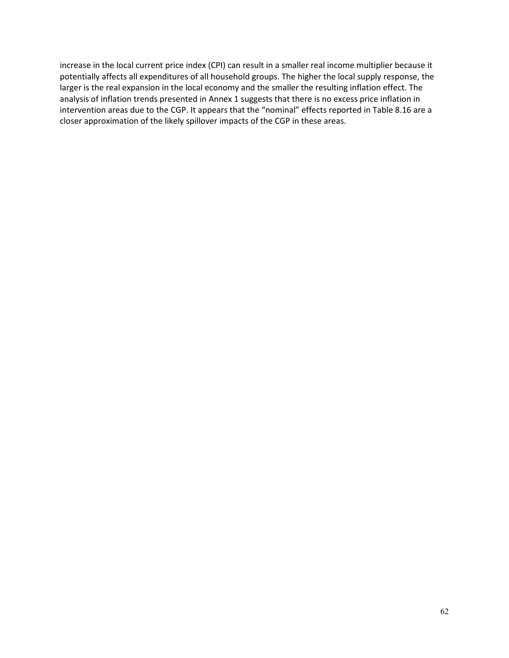increase in the local current price index (CPI) can result in a smaller real income multiplier because it potentially affects all expenditures of all household groups. The higher the local supply response, the larger is the real expansion in the local economy and the smaller the resulting inflation effect. The analysis of inflation trends presented in Annex 1 suggests that there is no excess price inflation in intervention areas due to the CGP. It appears that the "nominal" effects reported in Table 8.16 are a closer approximation of the likely spillover impacts of the CGP in these areas.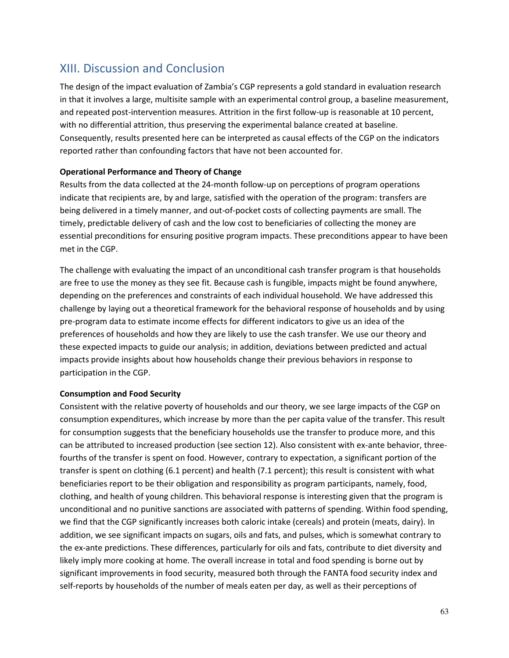## XIII. Discussion and Conclusion

The design of the impact evaluation of Zambia's CGP represents a gold standard in evaluation research in that it involves a large, multisite sample with an experimental control group, a baseline measurement, and repeated post-intervention measures. Attrition in the first follow-up is reasonable at 10 percent, with no differential attrition, thus preserving the experimental balance created at baseline. Consequently, results presented here can be interpreted as causal effects of the CGP on the indicators reported rather than confounding factors that have not been accounted for.

## Operational Performance and Theory of Change

Results from the data collected at the 24-month follow-up on perceptions of program operations indicate that recipients are, by and large, satisfied with the operation of the program: transfers are being delivered in a timely manner, and out-of-pocket costs of collecting payments are small. The timely, predictable delivery of cash and the low cost to beneficiaries of collecting the money are essential preconditions for ensuring positive program impacts. These preconditions appear to have been met in the CGP.

The challenge with evaluating the impact of an unconditional cash transfer program is that households are free to use the money as they see fit. Because cash is fungible, impacts might be found anywhere, depending on the preferences and constraints of each individual household. We have addressed this challenge by laying out a theoretical framework for the behavioral response of households and by using pre-program data to estimate income effects for different indicators to give us an idea of the preferences of households and how they are likely to use the cash transfer. We use our theory and these expected impacts to guide our analysis; in addition, deviations between predicted and actual impacts provide insights about how households change their previous behaviors in response to participation in the CGP.

#### Consumption and Food Security

Consistent with the relative poverty of households and our theory, we see large impacts of the CGP on consumption expenditures, which increase by more than the per capita value of the transfer. This result for consumption suggests that the beneficiary households use the transfer to produce more, and this can be attributed to increased production (see section 12). Also consistent with ex-ante behavior, threefourths of the transfer is spent on food. However, contrary to expectation, a significant portion of the transfer is spent on clothing (6.1 percent) and health (7.1 percent); this result is consistent with what beneficiaries report to be their obligation and responsibility as program participants, namely, food, clothing, and health of young children. This behavioral response is interesting given that the program is unconditional and no punitive sanctions are associated with patterns of spending. Within food spending, we find that the CGP significantly increases both caloric intake (cereals) and protein (meats, dairy). In addition, we see significant impacts on sugars, oils and fats, and pulses, which is somewhat contrary to the ex-ante predictions. These differences, particularly for oils and fats, contribute to diet diversity and likely imply more cooking at home. The overall increase in total and food spending is borne out by significant improvements in food security, measured both through the FANTA food security index and self-reports by households of the number of meals eaten per day, as well as their perceptions of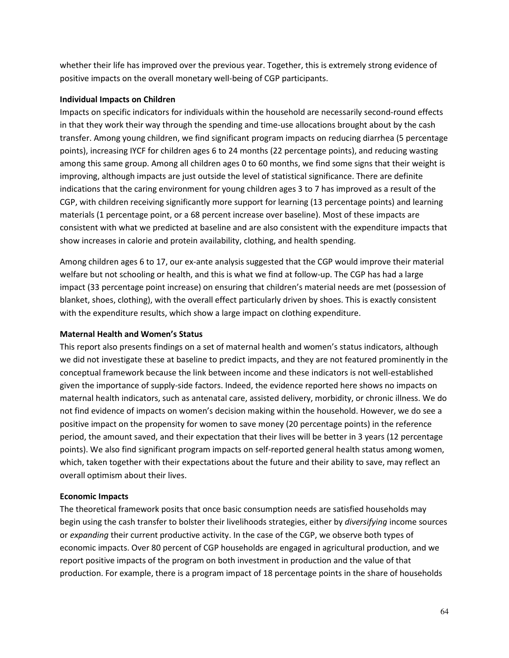whether their life has improved over the previous year. Together, this is extremely strong evidence of positive impacts on the overall monetary well-being of CGP participants.

### Individual Impacts on Children

Impacts on specific indicators for individuals within the household are necessarily second-round effects in that they work their way through the spending and time-use allocations brought about by the cash transfer. Among young children, we find significant program impacts on reducing diarrhea (5 percentage points), increasing IYCF for children ages 6 to 24 months (22 percentage points), and reducing wasting among this same group. Among all children ages 0 to 60 months, we find some signs that their weight is improving, although impacts are just outside the level of statistical significance. There are definite indications that the caring environment for young children ages 3 to 7 has improved as a result of the CGP, with children receiving significantly more support for learning (13 percentage points) and learning materials (1 percentage point, or a 68 percent increase over baseline). Most of these impacts are consistent with what we predicted at baseline and are also consistent with the expenditure impacts that show increases in calorie and protein availability, clothing, and health spending.

Among children ages 6 to 17, our ex-ante analysis suggested that the CGP would improve their material welfare but not schooling or health, and this is what we find at follow-up. The CGP has had a large impact (33 percentage point increase) on ensuring that children's material needs are met (possession of blanket, shoes, clothing), with the overall effect particularly driven by shoes. This is exactly consistent with the expenditure results, which show a large impact on clothing expenditure.

## Maternal Health and Women's Status

This report also presents findings on a set of maternal health and women's status indicators, although we did not investigate these at baseline to predict impacts, and they are not featured prominently in the conceptual framework because the link between income and these indicators is not well-established given the importance of supply-side factors. Indeed, the evidence reported here shows no impacts on maternal health indicators, such as antenatal care, assisted delivery, morbidity, or chronic illness. We do not find evidence of impacts on women's decision making within the household. However, we do see a positive impact on the propensity for women to save money (20 percentage points) in the reference period, the amount saved, and their expectation that their lives will be better in 3 years (12 percentage points). We also find significant program impacts on self-reported general health status among women, which, taken together with their expectations about the future and their ability to save, may reflect an overall optimism about their lives.

#### Economic Impacts

The theoretical framework posits that once basic consumption needs are satisfied households may begin using the cash transfer to bolster their livelihoods strategies, either by *diversifying* income sources or expanding their current productive activity. In the case of the CGP, we observe both types of economic impacts. Over 80 percent of CGP households are engaged in agricultural production, and we report positive impacts of the program on both investment in production and the value of that production. For example, there is a program impact of 18 percentage points in the share of households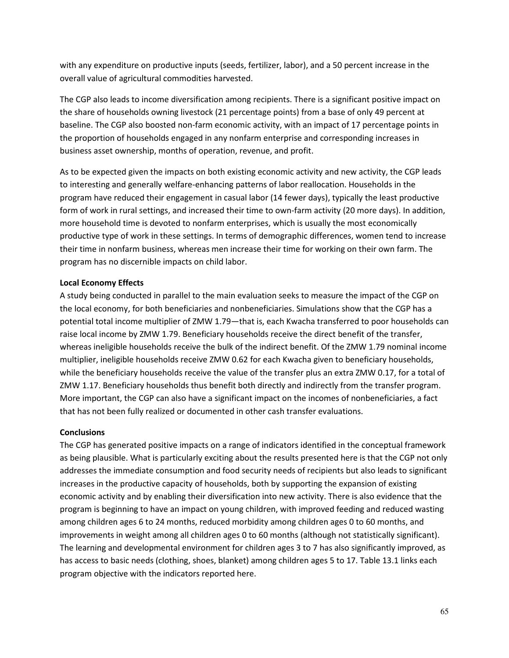with any expenditure on productive inputs (seeds, fertilizer, labor), and a 50 percent increase in the overall value of agricultural commodities harvested.

The CGP also leads to income diversification among recipients. There is a significant positive impact on the share of households owning livestock (21 percentage points) from a base of only 49 percent at baseline. The CGP also boosted non-farm economic activity, with an impact of 17 percentage points in the proportion of households engaged in any nonfarm enterprise and corresponding increases in business asset ownership, months of operation, revenue, and profit.

As to be expected given the impacts on both existing economic activity and new activity, the CGP leads to interesting and generally welfare-enhancing patterns of labor reallocation. Households in the program have reduced their engagement in casual labor (14 fewer days), typically the least productive form of work in rural settings, and increased their time to own-farm activity (20 more days). In addition, more household time is devoted to nonfarm enterprises, which is usually the most economically productive type of work in these settings. In terms of demographic differences, women tend to increase their time in nonfarm business, whereas men increase their time for working on their own farm. The program has no discernible impacts on child labor.

## Local Economy Effects

A study being conducted in parallel to the main evaluation seeks to measure the impact of the CGP on the local economy, for both beneficiaries and nonbeneficiaries. Simulations show that the CGP has a potential total income multiplier of ZMW 1.79—that is, each Kwacha transferred to poor households can raise local income by ZMW 1.79. Beneficiary households receive the direct benefit of the transfer, whereas ineligible households receive the bulk of the indirect benefit. Of the ZMW 1.79 nominal income multiplier, ineligible households receive ZMW 0.62 for each Kwacha given to beneficiary households, while the beneficiary households receive the value of the transfer plus an extra ZMW 0.17, for a total of ZMW 1.17. Beneficiary households thus benefit both directly and indirectly from the transfer program. More important, the CGP can also have a significant impact on the incomes of nonbeneficiaries, a fact that has not been fully realized or documented in other cash transfer evaluations.

#### **Conclusions**

The CGP has generated positive impacts on a range of indicators identified in the conceptual framework as being plausible. What is particularly exciting about the results presented here is that the CGP not only addresses the immediate consumption and food security needs of recipients but also leads to significant increases in the productive capacity of households, both by supporting the expansion of existing economic activity and by enabling their diversification into new activity. There is also evidence that the program is beginning to have an impact on young children, with improved feeding and reduced wasting among children ages 6 to 24 months, reduced morbidity among children ages 0 to 60 months, and improvements in weight among all children ages 0 to 60 months (although not statistically significant). The learning and developmental environment for children ages 3 to 7 has also significantly improved, as has access to basic needs (clothing, shoes, blanket) among children ages 5 to 17. Table 13.1 links each program objective with the indicators reported here.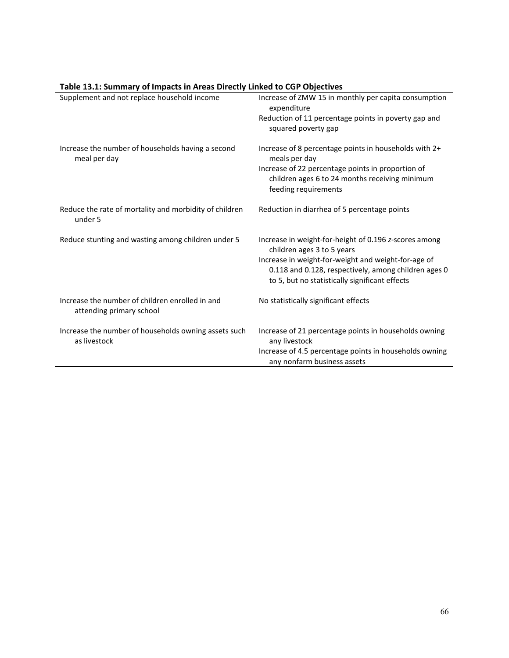| Supplement and not replace household income                                 | Increase of ZMW 15 in monthly per capita consumption<br>expenditure                                                                                           |
|-----------------------------------------------------------------------------|---------------------------------------------------------------------------------------------------------------------------------------------------------------|
|                                                                             | Reduction of 11 percentage points in poverty gap and<br>squared poverty gap                                                                                   |
| Increase the number of households having a second<br>meal per day           | Increase of 8 percentage points in households with 2+<br>meals per day                                                                                        |
|                                                                             | Increase of 22 percentage points in proportion of<br>children ages 6 to 24 months receiving minimum<br>feeding requirements                                   |
| Reduce the rate of mortality and morbidity of children<br>under 5           | Reduction in diarrhea of 5 percentage points                                                                                                                  |
| Reduce stunting and wasting among children under 5                          | Increase in weight-for-height of 0.196 z-scores among<br>children ages 3 to 5 years                                                                           |
|                                                                             | Increase in weight-for-weight and weight-for-age of<br>0.118 and 0.128, respectively, among children ages 0<br>to 5, but no statistically significant effects |
| Increase the number of children enrolled in and<br>attending primary school | No statistically significant effects                                                                                                                          |
| Increase the number of households owning assets such<br>as livestock        | Increase of 21 percentage points in households owning<br>any livestock                                                                                        |
|                                                                             | Increase of 4.5 percentage points in households owning<br>any nonfarm business assets                                                                         |

## Table 13.1: Summary of Impacts in Areas Directly Linked to CGP Objectives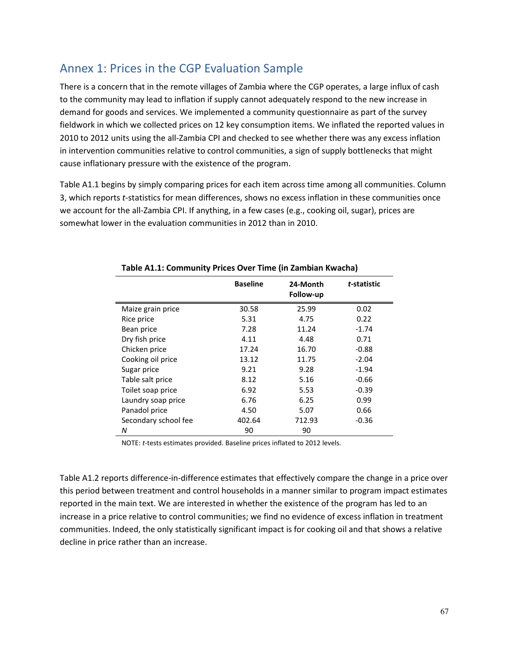# Annex 1: Prices in the CGP Evaluation Sample

There is a concern that in the remote villages of Zambia where the CGP operates, a large influx of cash to the community may lead to inflation if supply cannot adequately respond to the new increase in demand for goods and services. We implemented a community questionnaire as part of the survey fieldwork in which we collected prices on 12 key consumption items. We inflated the reported values in 2010 to 2012 units using the all-Zambia CPI and checked to see whether there was any excess inflation in intervention communities relative to control communities, a sign of supply bottlenecks that might cause inflationary pressure with the existence of the program.

Table A1.1 begins by simply comparing prices for each item across time among all communities. Column 3, which reports t-statistics for mean differences, shows no excess inflation in these communities once we account for the all-Zambia CPI. If anything, in a few cases (e.g., cooking oil, sugar), prices are somewhat lower in the evaluation communities in 2012 than in 2010.

|                      | <b>Baseline</b> | 24-Month<br>Follow-up | t-statistic |
|----------------------|-----------------|-----------------------|-------------|
| Maize grain price    | 30.58           | 25.99                 | 0.02        |
| Rice price           | 5.31            | 4.75                  | 0.22        |
| Bean price           | 7.28            | 11.24                 | $-1.74$     |
| Dry fish price       | 4.11            | 4.48                  | 0.71        |
| Chicken price        | 17.24           | 16.70                 | $-0.88$     |
| Cooking oil price    | 13.12           | 11.75                 | $-2.04$     |
| Sugar price          | 9.21            | 9.28                  | $-1.94$     |
| Table salt price     | 8.12            | 5.16                  | $-0.66$     |
| Toilet soap price    | 6.92            | 5.53                  | $-0.39$     |
| Laundry soap price   | 6.76            | 6.25                  | 0.99        |
| Panadol price        | 4.50            | 5.07                  | 0.66        |
| Secondary school fee | 402.64          | 712.93                | $-0.36$     |
| N                    | 90              | 90                    |             |

#### Table A1.1: Community Prices Over Time (in Zambian Kwacha)

NOTE: t-tests estimates provided. Baseline prices inflated to 2012 levels.

Table A1.2 reports difference-in-difference estimates that effectively compare the change in a price over this period between treatment and control households in a manner similar to program impact estimates reported in the main text. We are interested in whether the existence of the program has led to an increase in a price relative to control communities; we find no evidence of excess inflation in treatment communities. Indeed, the only statistically significant impact is for cooking oil and that shows a relative decline in price rather than an increase.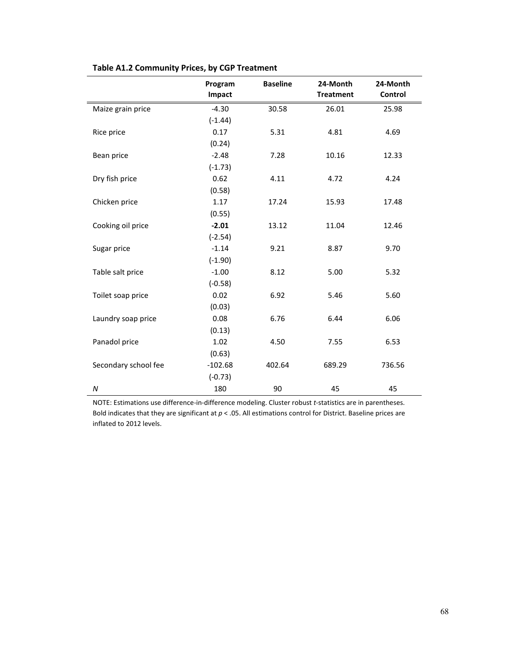|                      | Program<br>Impact | <b>Baseline</b> | 24-Month<br><b>Treatment</b> | 24-Month<br>Control |
|----------------------|-------------------|-----------------|------------------------------|---------------------|
| Maize grain price    | $-4.30$           | 30.58           | 26.01                        | 25.98               |
|                      | $(-1.44)$         |                 |                              |                     |
| Rice price           | 0.17              | 5.31            | 4.81                         | 4.69                |
|                      | (0.24)            |                 |                              |                     |
| Bean price           | $-2.48$           | 7.28            | 10.16                        | 12.33               |
|                      | $(-1.73)$         |                 |                              |                     |
| Dry fish price       | 0.62              | 4.11            | 4.72                         | 4.24                |
|                      | (0.58)            |                 |                              |                     |
| Chicken price        | 1.17              | 17.24           | 15.93                        | 17.48               |
|                      | (0.55)            |                 |                              |                     |
| Cooking oil price    | $-2.01$           | 13.12           | 11.04                        | 12.46               |
|                      | $(-2.54)$         |                 |                              |                     |
| Sugar price          | $-1.14$           | 9.21            | 8.87                         | 9.70                |
|                      | $(-1.90)$         |                 |                              |                     |
| Table salt price     | $-1.00$           | 8.12            | 5.00                         | 5.32                |
|                      | $(-0.58)$         |                 |                              |                     |
| Toilet soap price    | 0.02              | 6.92            | 5.46                         | 5.60                |
|                      | (0.03)            |                 |                              |                     |
| Laundry soap price   | 0.08              | 6.76            | 6.44                         | 6.06                |
|                      | (0.13)            |                 |                              |                     |
| Panadol price        | 1.02              | 4.50            | 7.55                         | 6.53                |
|                      | (0.63)            |                 |                              |                     |
| Secondary school fee | $-102.68$         | 402.64          | 689.29                       | 736.56              |
|                      | $(-0.73)$         |                 |                              |                     |
| ${\cal N}$           | 180               | 90              | 45                           | 45                  |

## Table A1.2 Community Prices, by CGP Treatment

NOTE: Estimations use difference-in-difference modeling. Cluster robust t-statistics are in parentheses. Bold indicates that they are significant at  $p < 0.05$ . All estimations control for District. Baseline prices are inflated to 2012 levels.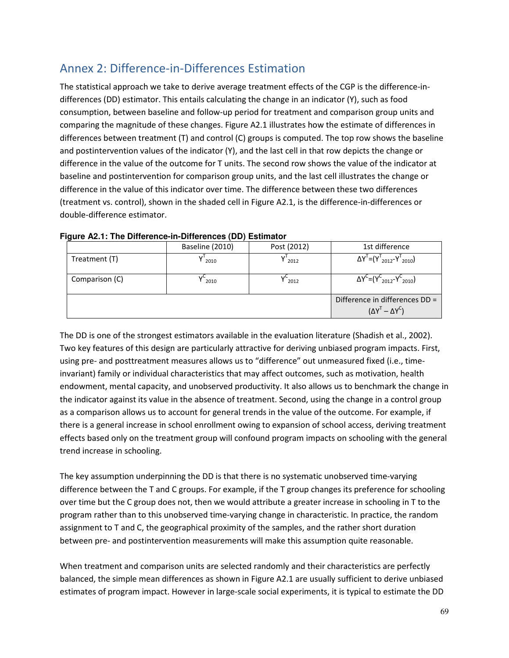# Annex 2: Difference-in-Differences Estimation

The statistical approach we take to derive average treatment effects of the CGP is the difference-indifferences (DD) estimator. This entails calculating the change in an indicator (Y), such as food consumption, between baseline and follow-up period for treatment and comparison group units and comparing the magnitude of these changes. Figure A2.1 illustrates how the estimate of differences in differences between treatment (T) and control (C) groups is computed. The top row shows the baseline and postintervention values of the indicator (Y), and the last cell in that row depicts the change or difference in the value of the outcome for T units. The second row shows the value of the indicator at baseline and postintervention for comparison group units, and the last cell illustrates the change or difference in the value of this indicator over time. The difference between these two differences (treatment vs. control), shown in the shaded cell in Figure A2.1, is the difference-in-differences or double-difference estimator.

|                | Baseline (2010) | Post (2012) | 1st difference                                                |
|----------------|-----------------|-------------|---------------------------------------------------------------|
| Treatment (T)  | 2010            | 2012        | $\Delta Y^{T} = (Y^{T}_{2012} - Y^{T}_{2010})$                |
| Comparison (C) | 2010            | 2012        | $\Delta Y^{C} = (Y^{C}_{2012} - Y^{C}_{2010})$                |
|                |                 |             | Difference in differences DD =<br>$(\Delta Y^T - \Delta Y^C)$ |

|  | Figure A2.1: The Difference-in-Differences (DD) Estimator |  |  |
|--|-----------------------------------------------------------|--|--|
|  |                                                           |  |  |

The DD is one of the strongest estimators available in the evaluation literature (Shadish et al., 2002). Two key features of this design are particularly attractive for deriving unbiased program impacts. First, using pre- and posttreatment measures allows us to "difference" out unmeasured fixed (i.e., timeinvariant) family or individual characteristics that may affect outcomes, such as motivation, health endowment, mental capacity, and unobserved productivity. It also allows us to benchmark the change in the indicator against its value in the absence of treatment. Second, using the change in a control group as a comparison allows us to account for general trends in the value of the outcome. For example, if there is a general increase in school enrollment owing to expansion of school access, deriving treatment effects based only on the treatment group will confound program impacts on schooling with the general trend increase in schooling.

The key assumption underpinning the DD is that there is no systematic unobserved time-varying difference between the T and C groups. For example, if the T group changes its preference for schooling over time but the C group does not, then we would attribute a greater increase in schooling in T to the program rather than to this unobserved time-varying change in characteristic. In practice, the random assignment to T and C, the geographical proximity of the samples, and the rather short duration between pre- and postintervention measurements will make this assumption quite reasonable.

When treatment and comparison units are selected randomly and their characteristics are perfectly balanced, the simple mean differences as shown in Figure A2.1 are usually sufficient to derive unbiased estimates of program impact. However in large-scale social experiments, it is typical to estimate the DD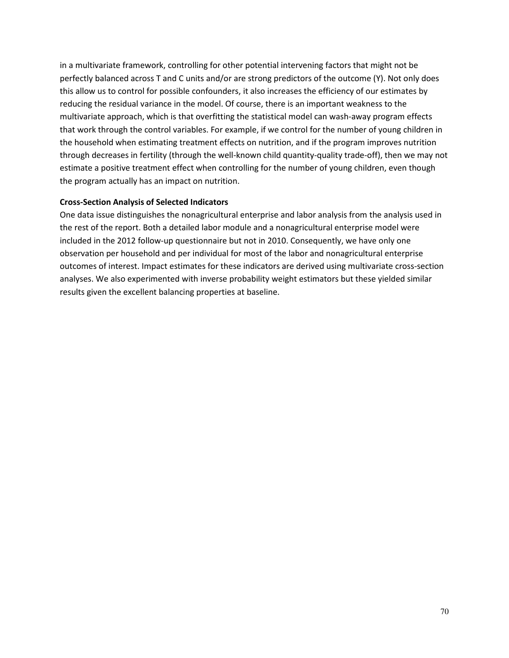in a multivariate framework, controlling for other potential intervening factors that might not be perfectly balanced across T and C units and/or are strong predictors of the outcome (Y). Not only does this allow us to control for possible confounders, it also increases the efficiency of our estimates by reducing the residual variance in the model. Of course, there is an important weakness to the multivariate approach, which is that overfitting the statistical model can wash-away program effects that work through the control variables. For example, if we control for the number of young children in the household when estimating treatment effects on nutrition, and if the program improves nutrition through decreases in fertility (through the well-known child quantity-quality trade-off), then we may not estimate a positive treatment effect when controlling for the number of young children, even though the program actually has an impact on nutrition.

## Cross-Section Analysis of Selected Indicators

One data issue distinguishes the nonagricultural enterprise and labor analysis from the analysis used in the rest of the report. Both a detailed labor module and a nonagricultural enterprise model were included in the 2012 follow-up questionnaire but not in 2010. Consequently, we have only one observation per household and per individual for most of the labor and nonagricultural enterprise outcomes of interest. Impact estimates for these indicators are derived using multivariate cross-section analyses. We also experimented with inverse probability weight estimators but these yielded similar results given the excellent balancing properties at baseline.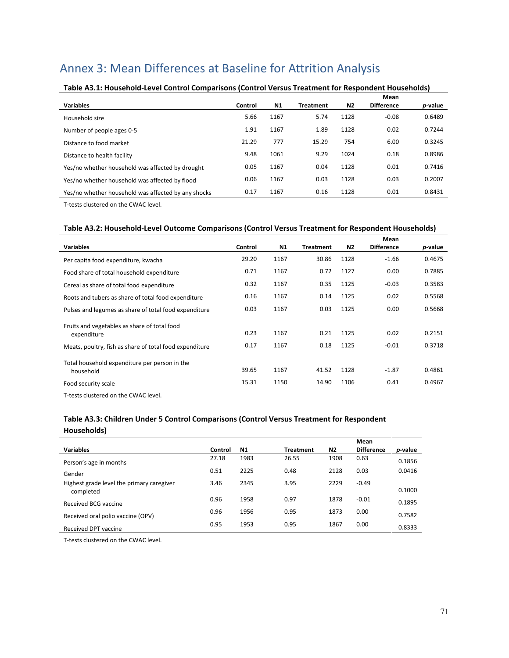# Annex 3: Mean Differences at Baseline for Attrition Analysis

|                                                     |         |           |                  |      | Mean              |         |
|-----------------------------------------------------|---------|-----------|------------------|------|-------------------|---------|
| <b>Variables</b>                                    | Control | <b>N1</b> | <b>Treatment</b> | N2   | <b>Difference</b> | p-value |
| Household size                                      | 5.66    | 1167      | 5.74             | 1128 | $-0.08$           | 0.6489  |
| Number of people ages 0-5                           | 1.91    | 1167      | 1.89             | 1128 | 0.02              | 0.7244  |
| Distance to food market                             | 21.29   | 777       | 15.29            | 754  | 6.00              | 0.3245  |
| Distance to health facility                         | 9.48    | 1061      | 9.29             | 1024 | 0.18              | 0.8986  |
| Yes/no whether household was affected by drought    | 0.05    | 1167      | 0.04             | 1128 | 0.01              | 0.7416  |
| Yes/no whether household was affected by flood      | 0.06    | 1167      | 0.03             | 1128 | 0.03              | 0.2007  |
| Yes/no whether household was affected by any shocks | 0.17    | 1167      | 0.16             | 1128 | 0.01              | 0.8431  |

#### Table A3.1: Household-Level Control Comparisons (Control Versus Treatment for Respondent Households)

T-tests clustered on the CWAC level.

#### Table A3.2: Household-Level Outcome Comparisons (Control Versus Treatment for Respondent Households)

|                                                         |         |           |                  |      | Mean              |         |
|---------------------------------------------------------|---------|-----------|------------------|------|-------------------|---------|
| <b>Variables</b>                                        | Control | <b>N1</b> | <b>Treatment</b> | N2   | <b>Difference</b> | p-value |
| Per capita food expenditure, kwacha                     | 29.20   | 1167      | 30.86            | 1128 | $-1.66$           | 0.4675  |
| Food share of total household expenditure               | 0.71    | 1167      | 0.72             | 1127 | 0.00              | 0.7885  |
| Cereal as share of total food expenditure               | 0.32    | 1167      | 0.35             | 1125 | $-0.03$           | 0.3583  |
| Roots and tubers as share of total food expenditure     | 0.16    | 1167      | 0.14             | 1125 | 0.02              | 0.5568  |
| Pulses and legumes as share of total food expenditure   | 0.03    | 1167      | 0.03             | 1125 | 0.00              | 0.5668  |
| Fruits and vegetables as share of total food            |         |           |                  |      |                   |         |
| expenditure                                             | 0.23    | 1167      | 0.21             | 1125 | 0.02              | 0.2151  |
| Meats, poultry, fish as share of total food expenditure | 0.17    | 1167      | 0.18             | 1125 | $-0.01$           | 0.3718  |
| Total household expenditure per person in the           |         |           |                  |      |                   |         |
| household                                               | 39.65   | 1167      | 41.52            | 1128 | $-1.87$           | 0.4861  |
| Food security scale                                     | 15.31   | 1150      | 14.90            | 1106 | 0.41              | 0.4967  |

T-tests clustered on the CWAC level.

#### Table A3.3: Children Under 5 Control Comparisons (Control Versus Treatment for Respondent Households)

|                                                        |         |           |                  |                | Mean              |         |
|--------------------------------------------------------|---------|-----------|------------------|----------------|-------------------|---------|
| <b>Variables</b>                                       | Control | <b>N1</b> | <b>Treatment</b> | N <sub>2</sub> | <b>Difference</b> | p-value |
| Person's age in months                                 | 27.18   | 1983      | 26.55            | 1908           | 0.63              | 0.1856  |
| Gender                                                 | 0.51    | 2225      | 0.48             | 2128           | 0.03              | 0.0416  |
| Highest grade level the primary caregiver<br>completed | 3.46    | 2345      | 3.95             | 2229           | $-0.49$           | 0.1000  |
| Received BCG vaccine                                   | 0.96    | 1958      | 0.97             | 1878           | $-0.01$           | 0.1895  |
| Received oral polio vaccine (OPV)                      | 0.96    | 1956      | 0.95             | 1873           | 0.00              | 0.7582  |
| Received DPT vaccine                                   | 0.95    | 1953      | 0.95             | 1867           | 0.00              | 0.8333  |

T-tests clustered on the CWAC level.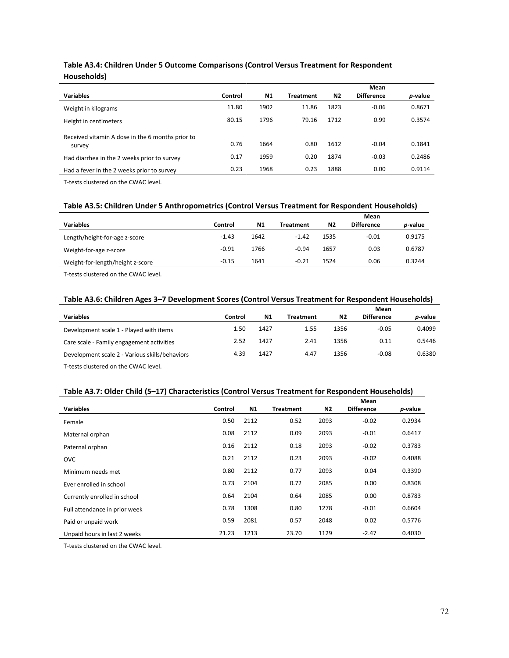|                                                  |         |           |           |                | Mean              |         |
|--------------------------------------------------|---------|-----------|-----------|----------------|-------------------|---------|
| <b>Variables</b>                                 | Control | <b>N1</b> | Treatment | N <sub>2</sub> | <b>Difference</b> | p-value |
| Weight in kilograms                              | 11.80   | 1902      | 11.86     | 1823           | $-0.06$           | 0.8671  |
| Height in centimeters                            | 80.15   | 1796      | 79.16     | 1712           | 0.99              | 0.3574  |
| Received vitamin A dose in the 6 months prior to |         |           |           |                |                   |         |
| survey                                           | 0.76    | 1664      | 0.80      | 1612           | $-0.04$           | 0.1841  |
| Had diarrhea in the 2 weeks prior to survey      | 0.17    | 1959      | 0.20      | 1874           | $-0.03$           | 0.2486  |
| Had a fever in the 2 weeks prior to survey       | 0.23    | 1968      | 0.23      | 1888           | 0.00              | 0.9114  |

## Table A3.4: Children Under 5 Outcome Comparisons (Control Versus Treatment for Respondent Households)

T-tests clustered on the CWAC level.

## Table A3.5: Children Under 5 Anthropometrics (Control Versus Treatment for Respondent Households)

|                                  |         |      |           |           | Mean              |                 |
|----------------------------------|---------|------|-----------|-----------|-------------------|-----------------|
| <b>Variables</b>                 | Control | N1   | Treatment | <b>N2</b> | <b>Difference</b> | <i>p</i> -value |
| Length/height-for-age z-score    | $-1.43$ | 1642 | $-1.42$   | 1535      | $-0.01$           | 0.9175          |
| Weight-for-age z-score           | $-0.91$ | 1766 | $-0.94$   | 1657      | 0.03              | 0.6787          |
| Weight-for-length/height z-score | $-0.15$ | 1641 | $-0.21$   | 1524      | 0.06              | 0.3244          |

T-tests clustered on the CWAC level.

## Table A3.6: Children Ages 3–7 Development Scores (Control Versus Treatment for Respondent Households)

|                                                |         |                |                  |      | Mean              |                 |
|------------------------------------------------|---------|----------------|------------------|------|-------------------|-----------------|
| <b>Variables</b>                               | Control | N <sub>1</sub> | <b>Treatment</b> | N2   | <b>Difference</b> | <i>p</i> -value |
| Development scale 1 - Played with items        | 1.50    | 1427           | 1.55             | 1356 | $-0.05$           | 0.4099          |
| Care scale - Family engagement activities      | 2.52    | 1427           | 2.41             | 1356 | 0.11              | 0.5446          |
| Development scale 2 - Various skills/behaviors | 4.39    | 1427           | 4.47             | 1356 | $-0.08$           | 0.6380          |

T-tests clustered on the CWAC level.

# Table A3.7: Older Child (5–17) Characteristics (Control Versus Treatment for Respondent Households)

|                               |         |           |                  |      | Mean              |         |
|-------------------------------|---------|-----------|------------------|------|-------------------|---------|
| <b>Variables</b>              | Control | <b>N1</b> | <b>Treatment</b> | N2   | <b>Difference</b> | p-value |
| Female                        | 0.50    | 2112      | 0.52             | 2093 | $-0.02$           | 0.2934  |
| Maternal orphan               | 0.08    | 2112      | 0.09             | 2093 | $-0.01$           | 0.6417  |
| Paternal orphan               | 0.16    | 2112      | 0.18             | 2093 | $-0.02$           | 0.3783  |
| <b>OVC</b>                    | 0.21    | 2112      | 0.23             | 2093 | $-0.02$           | 0.4088  |
| Minimum needs met             | 0.80    | 2112      | 0.77             | 2093 | 0.04              | 0.3390  |
| Ever enrolled in school       | 0.73    | 2104      | 0.72             | 2085 | 0.00              | 0.8308  |
| Currently enrolled in school  | 0.64    | 2104      | 0.64             | 2085 | 0.00              | 0.8783  |
| Full attendance in prior week | 0.78    | 1308      | 0.80             | 1278 | $-0.01$           | 0.6604  |
| Paid or unpaid work           | 0.59    | 2081      | 0.57             | 2048 | 0.02              | 0.5776  |
| Unpaid hours in last 2 weeks  | 21.23   | 1213      | 23.70            | 1129 | $-2.47$           | 0.4030  |

T-tests clustered on the CWAC level.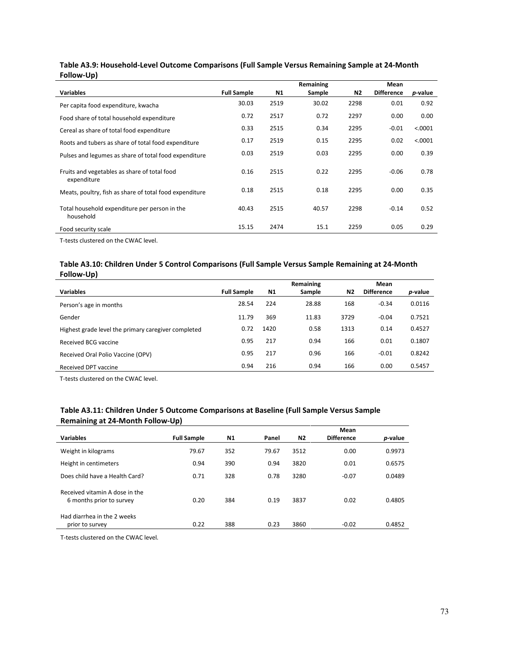| - 17                                                        |                    |      | Remaining |                | Mean              |         |
|-------------------------------------------------------------|--------------------|------|-----------|----------------|-------------------|---------|
| <b>Variables</b>                                            | <b>Full Sample</b> | N1   | Sample    | N <sub>2</sub> | <b>Difference</b> | p-value |
| Per capita food expenditure, kwacha                         | 30.03              | 2519 | 30.02     | 2298           | 0.01              | 0.92    |
| Food share of total household expenditure                   | 0.72               | 2517 | 0.72      | 2297           | 0.00              | 0.00    |
| Cereal as share of total food expenditure                   | 0.33               | 2515 | 0.34      | 2295           | $-0.01$           | < .0001 |
| Roots and tubers as share of total food expenditure         | 0.17               | 2519 | 0.15      | 2295           | 0.02              | < .0001 |
| Pulses and legumes as share of total food expenditure       | 0.03               | 2519 | 0.03      | 2295           | 0.00              | 0.39    |
| Fruits and vegetables as share of total food<br>expenditure | 0.16               | 2515 | 0.22      | 2295           | $-0.06$           | 0.78    |
| Meats, poultry, fish as share of total food expenditure     | 0.18               | 2515 | 0.18      | 2295           | 0.00              | 0.35    |
| Total household expenditure per person in the<br>household  | 40.43              | 2515 | 40.57     | 2298           | $-0.14$           | 0.52    |
| Food security scale                                         | 15.15              | 2474 | 15.1      | 2259           | 0.05              | 0.29    |

## Table A3.9: Household-Level Outcome Comparisons (Full Sample Versus Remaining Sample at 24-Month Follow-Up)

T-tests clustered on the CWAC level.

## Table A3.10: Children Under 5 Control Comparisons (Full Sample Versus Sample Remaining at 24-Month Follow-Up)

|                                                     |                    |           | Remaining |      | Mean              |         |
|-----------------------------------------------------|--------------------|-----------|-----------|------|-------------------|---------|
| <b>Variables</b>                                    | <b>Full Sample</b> | <b>N1</b> | Sample    | N2   | <b>Difference</b> | p-value |
| Person's age in months                              | 28.54              | 224       | 28.88     | 168  | $-0.34$           | 0.0116  |
| Gender                                              | 11.79              | 369       | 11.83     | 3729 | $-0.04$           | 0.7521  |
| Highest grade level the primary caregiver completed | 0.72               | 1420      | 0.58      | 1313 | 0.14              | 0.4527  |
| Received BCG vaccine                                | 0.95               | 217       | 0.94      | 166  | 0.01              | 0.1807  |
| Received Oral Polio Vaccine (OPV)                   | 0.95               | 217       | 0.96      | 166  | $-0.01$           | 0.8242  |
| Received DPT vaccine                                | 0.94               | 216       | 0.94      | 166  | 0.00              | 0.5457  |

T-tests clustered on the CWAC level.

## Table A3.11: Children Under 5 Outcome Comparisons at Baseline (Full Sample Versus Sample Remaining at 24-Month Follow-Up)

|                                                            |                    |                |       |                | Mean              |         |
|------------------------------------------------------------|--------------------|----------------|-------|----------------|-------------------|---------|
| <b>Variables</b>                                           | <b>Full Sample</b> | N <sub>1</sub> | Panel | N <sub>2</sub> | <b>Difference</b> | p-value |
| Weight in kilograms                                        | 79.67              | 352            | 79.67 | 3512           | 0.00              | 0.9973  |
| Height in centimeters                                      | 0.94               | 390            | 0.94  | 3820           | 0.01              | 0.6575  |
| Does child have a Health Card?                             | 0.71               | 328            | 0.78  | 3280           | $-0.07$           | 0.0489  |
| Received vitamin A dose in the<br>6 months prior to survey | 0.20               | 384            | 0.19  | 3837           | 0.02              | 0.4805  |
| Had diarrhea in the 2 weeks<br>prior to survey             | 0.22               | 388            | 0.23  | 3860           | $-0.02$           | 0.4852  |

T-tests clustered on the CWAC level.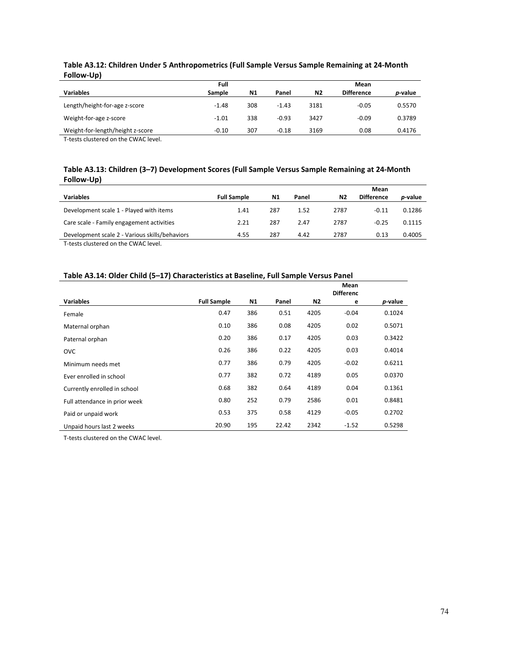| .                                |         |           |         |      |                   |                 |
|----------------------------------|---------|-----------|---------|------|-------------------|-----------------|
|                                  | Full    |           |         |      | Mean              |                 |
| <b>Variables</b>                 | Sample  | <b>N1</b> | Panel   | N2   | <b>Difference</b> | <i>p</i> -value |
| Length/height-for-age z-score    | $-1.48$ | 308       | $-1.43$ | 3181 | $-0.05$           | 0.5570          |
| Weight-for-age z-score           | $-1.01$ | 338       | $-0.93$ | 3427 | $-0.09$           | 0.3789          |
| Weight-for-length/height z-score | $-0.10$ | 307       | $-0.18$ | 3169 | 0.08              | 0.4176          |

## Table A3.12: Children Under 5 Anthropometrics (Full Sample Versus Sample Remaining at 24-Month Follow-Up)

T-tests clustered on the CWAC level.

## Table A3.13: Children (3–7) Development Scores (Full Sample Versus Sample Remaining at 24-Month Follow-Up)

|                                                |                    |           |       |                | Mean              |                 |
|------------------------------------------------|--------------------|-----------|-------|----------------|-------------------|-----------------|
| <b>Variables</b>                               | <b>Full Sample</b> | <b>N1</b> | Panel | N <sub>2</sub> | <b>Difference</b> | <i>p</i> -value |
| Development scale 1 - Played with items        | 1.41               | 287       | 1.52  | 2787           | $-0.11$           | 0.1286          |
| Care scale - Family engagement activities      | 2.21               | 287       | 2.47  | 2787           | $-0.25$           | 0.1115          |
| Development scale 2 - Various skills/behaviors | 4.55               | 287       | 4.42  | 2787           | 0.13              | 0.4005          |

T-tests clustered on the CWAC level.

## Table A3.14: Older Child (5–17) Characteristics at Baseline, Full Sample Versus Panel

|                               |                    |     |       |      | Mean<br><b>Differenc</b> |         |
|-------------------------------|--------------------|-----|-------|------|--------------------------|---------|
| <b>Variables</b>              | <b>Full Sample</b> | N1  | Panel | N2   | e                        | p-value |
| Female                        | 0.47               | 386 | 0.51  | 4205 | $-0.04$                  | 0.1024  |
| Maternal orphan               | 0.10               | 386 | 0.08  | 4205 | 0.02                     | 0.5071  |
| Paternal orphan               | 0.20               | 386 | 0.17  | 4205 | 0.03                     | 0.3422  |
| ovc                           | 0.26               | 386 | 0.22  | 4205 | 0.03                     | 0.4014  |
| Minimum needs met             | 0.77               | 386 | 0.79  | 4205 | $-0.02$                  | 0.6211  |
| Ever enrolled in school       | 0.77               | 382 | 0.72  | 4189 | 0.05                     | 0.0370  |
| Currently enrolled in school  | 0.68               | 382 | 0.64  | 4189 | 0.04                     | 0.1361  |
| Full attendance in prior week | 0.80               | 252 | 0.79  | 2586 | 0.01                     | 0.8481  |
| Paid or unpaid work           | 0.53               | 375 | 0.58  | 4129 | $-0.05$                  | 0.2702  |
| Unpaid hours last 2 weeks     | 20.90              | 195 | 22.42 | 2342 | $-1.52$                  | 0.5298  |

T-tests clustered on the CWAC level.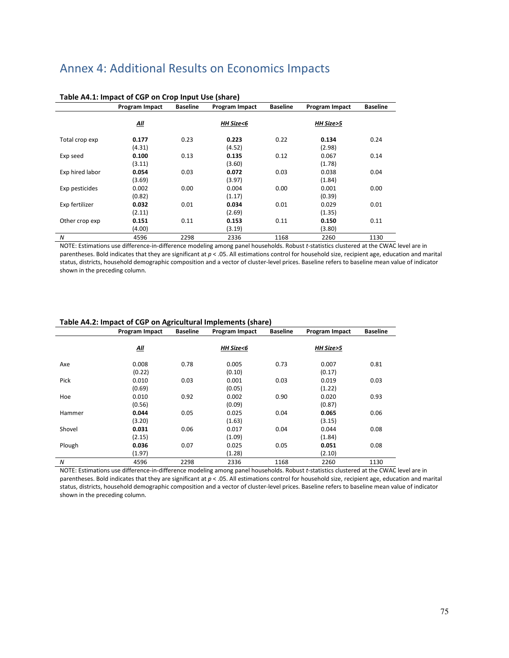# Annex 4: Additional Results on Economics Impacts

| Table Afric. Impact of CGI on Crop input OSC (Share) |                 |                 |                 |                 |                 |                 |  |  |  |
|------------------------------------------------------|-----------------|-----------------|-----------------|-----------------|-----------------|-----------------|--|--|--|
|                                                      | Program Impact  | <b>Baseline</b> | Program Impact  | <b>Baseline</b> | Program Impact  | <b>Baseline</b> |  |  |  |
|                                                      | <u>АШ</u>       |                 | HH Size<6       |                 | HH Size>5       |                 |  |  |  |
| Total crop exp                                       | 0.177<br>(4.31) | 0.23            | 0.223<br>(4.52) | 0.22            | 0.134<br>(2.98) | 0.24            |  |  |  |
| Exp seed                                             | 0.100<br>(3.11) | 0.13            | 0.135<br>(3.60) | 0.12            | 0.067<br>(1.78) | 0.14            |  |  |  |
| Exp hired labor                                      | 0.054<br>(3.69) | 0.03            | 0.072<br>(3.97) | 0.03            | 0.038<br>(1.84) | 0.04            |  |  |  |
| Exp pesticides                                       | 0.002<br>(0.82) | 0.00            | 0.004<br>(1.17) | 0.00            | 0.001<br>(0.39) | 0.00            |  |  |  |
| Exp fertilizer                                       | 0.032<br>(2.11) | 0.01            | 0.034<br>(2.69) | 0.01            | 0.029<br>(1.35) | 0.01            |  |  |  |
| Other crop exp                                       | 0.151<br>(4.00) | 0.11            | 0.153<br>(3.19) | 0.11            | 0.150<br>(3.80) | 0.11            |  |  |  |
| $\boldsymbol{N}$                                     | 4596            | 2298            | 2336            | 1168            | 2260            | 1130            |  |  |  |

#### Table A4.1: Impact of CGP on Crop Input Use (share)

NOTE: Estimations use difference-in-difference modeling among panel households. Robust t-statistics clustered at the CWAC level are in parentheses. Bold indicates that they are significant at  $p < 0.05$ . All estimations control for household size, recipient age, education and marital status, districts, household demographic composition and a vector of cluster-level prices. Baseline refers to baseline mean value of indicator shown in the preceding column.

|        | Program Impact  | <b>Baseline</b> | <b>Program Impact</b> | <b>Baseline</b> | <b>Program Impact</b> | <b>Baseline</b> |
|--------|-----------------|-----------------|-----------------------|-----------------|-----------------------|-----------------|
|        | <u>All</u>      |                 | HH Size<6             |                 | HH Size>5             |                 |
| Axe    | 0.008<br>(0.22) | 0.78            | 0.005<br>(0.10)       | 0.73            | 0.007<br>(0.17)       | 0.81            |
| Pick   | 0.010<br>(0.69) | 0.03            | 0.001<br>(0.05)       | 0.03            | 0.019<br>(1.22)       | 0.03            |
| Hoe    | 0.010<br>(0.56) | 0.92            | 0.002<br>(0.09)       | 0.90            | 0.020<br>(0.87)       | 0.93            |
| Hammer | 0.044<br>(3.20) | 0.05            | 0.025<br>(1.63)       | 0.04            | 0.065<br>(3.15)       | 0.06            |
| Shovel | 0.031<br>(2.15) | 0.06            | 0.017<br>(1.09)       | 0.04            | 0.044<br>(1.84)       | 0.08            |
| Plough | 0.036<br>(1.97) | 0.07            | 0.025<br>(1.28)       | 0.05            | 0.051<br>(2.10)       | 0.08            |
| N      | 4596            | 2298            | 2336                  | 1168            | 2260                  | 1130            |

#### Table A4.2: Impact of CGP on Agricultural Implements (share)

NOTE: Estimations use difference-in-difference modeling among panel households. Robust t-statistics clustered at the CWAC level are in parentheses. Bold indicates that they are significant at  $p < .05$ . All estimations control for household size, recipient age, education and marital status, districts, household demographic composition and a vector of cluster-level prices. Baseline refers to baseline mean value of indicator shown in the preceding column.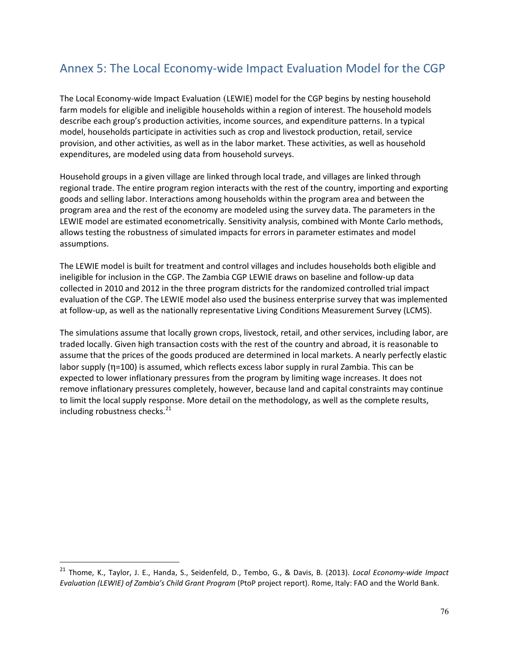# Annex 5: The Local Economy-wide Impact Evaluation Model for the CGP

The Local Economy-wide Impact Evaluation (LEWIE) model for the CGP begins by nesting household farm models for eligible and ineligible households within a region of interest. The household models describe each group's production activities, income sources, and expenditure patterns. In a typical model, households participate in activities such as crop and livestock production, retail, service provision, and other activities, as well as in the labor market. These activities, as well as household expenditures, are modeled using data from household surveys.

Household groups in a given village are linked through local trade, and villages are linked through regional trade. The entire program region interacts with the rest of the country, importing and exporting goods and selling labor. Interactions among households within the program area and between the program area and the rest of the economy are modeled using the survey data. The parameters in the LEWIE model are estimated econometrically. Sensitivity analysis, combined with Monte Carlo methods, allows testing the robustness of simulated impacts for errors in parameter estimates and model assumptions.

The LEWIE model is built for treatment and control villages and includes households both eligible and ineligible for inclusion in the CGP. The Zambia CGP LEWIE draws on baseline and follow-up data collected in 2010 and 2012 in the three program districts for the randomized controlled trial impact evaluation of the CGP. The LEWIE model also used the business enterprise survey that was implemented at follow-up, as well as the nationally representative Living Conditions Measurement Survey (LCMS).

The simulations assume that locally grown crops, livestock, retail, and other services, including labor, are traded locally. Given high transaction costs with the rest of the country and abroad, it is reasonable to assume that the prices of the goods produced are determined in local markets. A nearly perfectly elastic labor supply (η=100) is assumed, which reflects excess labor supply in rural Zambia. This can be expected to lower inflationary pressures from the program by limiting wage increases. It does not remove inflationary pressures completely, however, because land and capital constraints may continue to limit the local supply response. More detail on the methodology, as well as the complete results, including robustness checks. $^{21}$ 

 $\overline{a}$ 

<sup>&</sup>lt;sup>21</sup> Thome, K., Taylor, J. E., Handa, S., Seidenfeld, D., Tembo, G., & Davis, B. (2013). Local Economy-wide Impact Evaluation (LEWIE) of Zambia's Child Grant Program (PtoP project report). Rome, Italy: FAO and the World Bank.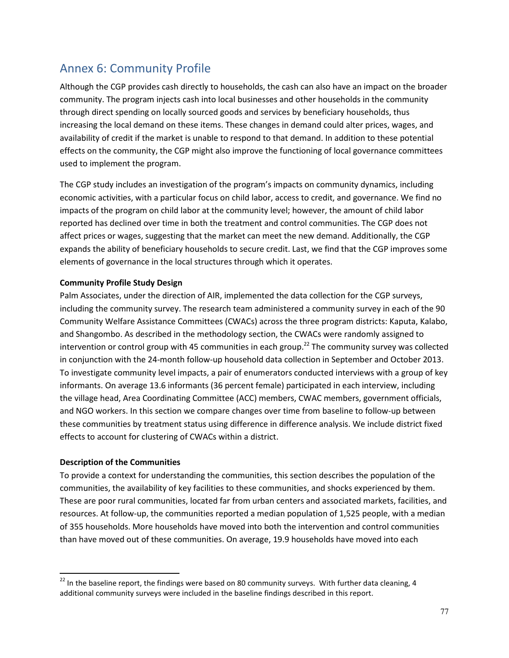# Annex 6: Community Profile

Although the CGP provides cash directly to households, the cash can also have an impact on the broader community. The program injects cash into local businesses and other households in the community through direct spending on locally sourced goods and services by beneficiary households, thus increasing the local demand on these items. These changes in demand could alter prices, wages, and availability of credit if the market is unable to respond to that demand. In addition to these potential effects on the community, the CGP might also improve the functioning of local governance committees used to implement the program.

The CGP study includes an investigation of the program's impacts on community dynamics, including economic activities, with a particular focus on child labor, access to credit, and governance. We find no impacts of the program on child labor at the community level; however, the amount of child labor reported has declined over time in both the treatment and control communities. The CGP does not affect prices or wages, suggesting that the market can meet the new demand. Additionally, the CGP expands the ability of beneficiary households to secure credit. Last, we find that the CGP improves some elements of governance in the local structures through which it operates.

# Community Profile Study Design

Palm Associates, under the direction of AIR, implemented the data collection for the CGP surveys, including the community survey. The research team administered a community survey in each of the 90 Community Welfare Assistance Committees (CWACs) across the three program districts: Kaputa, Kalabo, and Shangombo. As described in the methodology section, the CWACs were randomly assigned to intervention or control group with 45 communities in each group.<sup>22</sup> The community survey was collected in conjunction with the 24-month follow-up household data collection in September and October 2013. To investigate community level impacts, a pair of enumerators conducted interviews with a group of key informants. On average 13.6 informants (36 percent female) participated in each interview, including the village head, Area Coordinating Committee (ACC) members, CWAC members, government officials, and NGO workers. In this section we compare changes over time from baseline to follow-up between these communities by treatment status using difference in difference analysis. We include district fixed effects to account for clustering of CWACs within a district.

## Description of the Communities

l

To provide a context for understanding the communities, this section describes the population of the communities, the availability of key facilities to these communities, and shocks experienced by them. These are poor rural communities, located far from urban centers and associated markets, facilities, and resources. At follow-up, the communities reported a median population of 1,525 people, with a median of 355 households. More households have moved into both the intervention and control communities than have moved out of these communities. On average, 19.9 households have moved into each

<sup>&</sup>lt;sup>22</sup> In the baseline report, the findings were based on 80 community surveys. With further data cleaning, 4 additional community surveys were included in the baseline findings described in this report.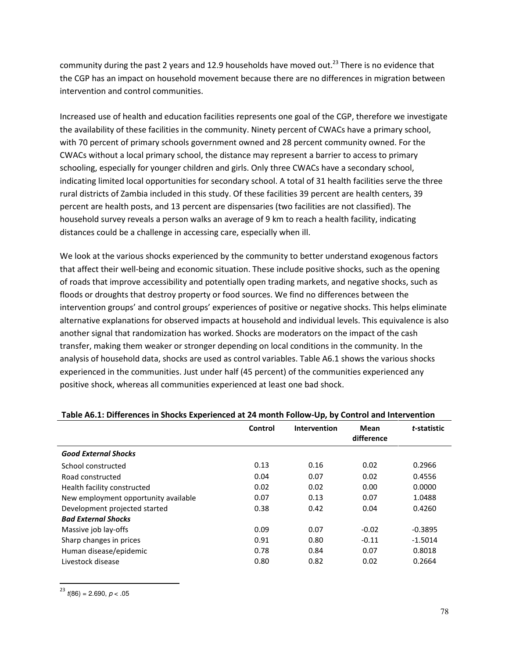community during the past 2 years and 12.9 households have moved out.<sup>23</sup> There is no evidence that the CGP has an impact on household movement because there are no differences in migration between intervention and control communities.

Increased use of health and education facilities represents one goal of the CGP, therefore we investigate the availability of these facilities in the community. Ninety percent of CWACs have a primary school, with 70 percent of primary schools government owned and 28 percent community owned. For the CWACs without a local primary school, the distance may represent a barrier to access to primary schooling, especially for younger children and girls. Only three CWACs have a secondary school, indicating limited local opportunities for secondary school. A total of 31 health facilities serve the three rural districts of Zambia included in this study. Of these facilities 39 percent are health centers, 39 percent are health posts, and 13 percent are dispensaries (two facilities are not classified). The household survey reveals a person walks an average of 9 km to reach a health facility, indicating distances could be a challenge in accessing care, especially when ill.

We look at the various shocks experienced by the community to better understand exogenous factors that affect their well-being and economic situation. These include positive shocks, such as the opening of roads that improve accessibility and potentially open trading markets, and negative shocks, such as floods or droughts that destroy property or food sources. We find no differences between the intervention groups' and control groups' experiences of positive or negative shocks. This helps eliminate alternative explanations for observed impacts at household and individual levels. This equivalence is also another signal that randomization has worked. Shocks are moderators on the impact of the cash transfer, making them weaker or stronger depending on local conditions in the community. In the analysis of household data, shocks are used as control variables. Table A6.1 shows the various shocks experienced in the communities. Just under half (45 percent) of the communities experienced any positive shock, whereas all communities experienced at least one bad shock.

|                                      | Control | Intervention | Mean<br>difference | t-statistic |
|--------------------------------------|---------|--------------|--------------------|-------------|
| <b>Good External Shocks</b>          |         |              |                    |             |
| School constructed                   | 0.13    | 0.16         | 0.02               | 0.2966      |
| Road constructed                     | 0.04    | 0.07         | 0.02               | 0.4556      |
| Health facility constructed          | 0.02    | 0.02         | 0.00               | 0.0000      |
| New employment opportunity available | 0.07    | 0.13         | 0.07               | 1.0488      |
| Development projected started        | 0.38    | 0.42         | 0.04               | 0.4260      |
| <b>Bad External Shocks</b>           |         |              |                    |             |
| Massive job lay-offs                 | 0.09    | 0.07         | $-0.02$            | $-0.3895$   |
| Sharp changes in prices              | 0.91    | 0.80         | $-0.11$            | $-1.5014$   |
| Human disease/epidemic               | 0.78    | 0.84         | 0.07               | 0.8018      |
| Livestock disease                    | 0.80    | 0.82         | 0.02               | 0.2664      |

## Table A6.1: Differences in Shocks Experienced at 24 month Follow-Up, by Control and Intervention

<sup>23</sup> t(86) = 2.690,  $p < .05$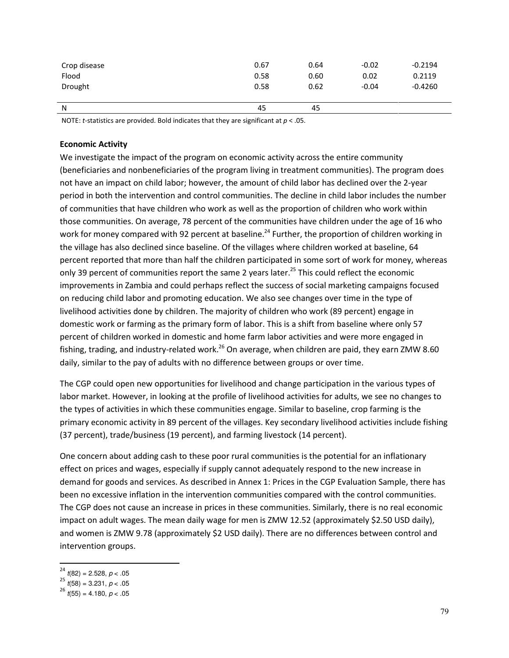| Crop disease<br>Flood<br>Drought | 0.67<br>0.58<br>0.58 | 0.64<br>0.60<br>0.62 | $-0.02$<br>0.02<br>$-0.04$ | $-0.2194$<br>0.2119<br>$-0.4260$ |
|----------------------------------|----------------------|----------------------|----------------------------|----------------------------------|
|                                  |                      |                      |                            |                                  |
| N                                | 45                   | 45                   |                            |                                  |

NOTE: t-statistics are provided. Bold indicates that they are significant at  $p < .05$ .

## Economic Activity

We investigate the impact of the program on economic activity across the entire community (beneficiaries and nonbeneficiaries of the program living in treatment communities). The program does not have an impact on child labor; however, the amount of child labor has declined over the 2-year period in both the intervention and control communities. The decline in child labor includes the number of communities that have children who work as well as the proportion of children who work within those communities. On average, 78 percent of the communities have children under the age of 16 who work for money compared with 92 percent at baseline.<sup>24</sup> Further, the proportion of children working in the village has also declined since baseline. Of the villages where children worked at baseline, 64 percent reported that more than half the children participated in some sort of work for money, whereas only 39 percent of communities report the same 2 years later.<sup>25</sup> This could reflect the economic improvements in Zambia and could perhaps reflect the success of social marketing campaigns focused on reducing child labor and promoting education. We also see changes over time in the type of livelihood activities done by children. The majority of children who work (89 percent) engage in domestic work or farming as the primary form of labor. This is a shift from baseline where only 57 percent of children worked in domestic and home farm labor activities and were more engaged in fishing, trading, and industry-related work.<sup>26</sup> On average, when children are paid, they earn ZMW 8.60 daily, similar to the pay of adults with no difference between groups or over time.

The CGP could open new opportunities for livelihood and change participation in the various types of labor market. However, in looking at the profile of livelihood activities for adults, we see no changes to the types of activities in which these communities engage. Similar to baseline, crop farming is the primary economic activity in 89 percent of the villages. Key secondary livelihood activities include fishing (37 percent), trade/business (19 percent), and farming livestock (14 percent).

One concern about adding cash to these poor rural communities is the potential for an inflationary effect on prices and wages, especially if supply cannot adequately respond to the new increase in demand for goods and services. As described in Annex 1: Prices in the CGP Evaluation Sample, there has been no excessive inflation in the intervention communities compared with the control communities. The CGP does not cause an increase in prices in these communities. Similarly, there is no real economic impact on adult wages. The mean daily wage for men is ZMW 12.52 (approximately \$2.50 USD daily), and women is ZMW 9.78 (approximately \$2 USD daily). There are no differences between control and intervention groups.

 $^{24}$  t(82) = 2.528,  $p < .05$ 

<sup>&</sup>lt;sup>25</sup>  $t(58) = 3.231, p < .05$ 

 $^{26}$  t(55) = 4.180, p < .05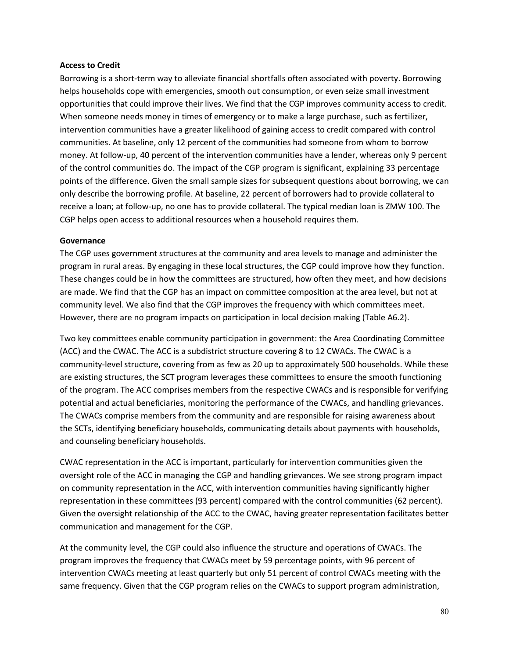## Access to Credit

Borrowing is a short-term way to alleviate financial shortfalls often associated with poverty. Borrowing helps households cope with emergencies, smooth out consumption, or even seize small investment opportunities that could improve their lives. We find that the CGP improves community access to credit. When someone needs money in times of emergency or to make a large purchase, such as fertilizer, intervention communities have a greater likelihood of gaining access to credit compared with control communities. At baseline, only 12 percent of the communities had someone from whom to borrow money. At follow-up, 40 percent of the intervention communities have a lender, whereas only 9 percent of the control communities do. The impact of the CGP program is significant, explaining 33 percentage points of the difference. Given the small sample sizes for subsequent questions about borrowing, we can only describe the borrowing profile. At baseline, 22 percent of borrowers had to provide collateral to receive a loan; at follow-up, no one has to provide collateral. The typical median loan is ZMW 100. The CGP helps open access to additional resources when a household requires them.

## **Governance**

The CGP uses government structures at the community and area levels to manage and administer the program in rural areas. By engaging in these local structures, the CGP could improve how they function. These changes could be in how the committees are structured, how often they meet, and how decisions are made. We find that the CGP has an impact on committee composition at the area level, but not at community level. We also find that the CGP improves the frequency with which committees meet. However, there are no program impacts on participation in local decision making (Table A6.2).

Two key committees enable community participation in government: the Area Coordinating Committee (ACC) and the CWAC. The ACC is a subdistrict structure covering 8 to 12 CWACs. The CWAC is a community-level structure, covering from as few as 20 up to approximately 500 households. While these are existing structures, the SCT program leverages these committees to ensure the smooth functioning of the program. The ACC comprises members from the respective CWACs and is responsible for verifying potential and actual beneficiaries, monitoring the performance of the CWACs, and handling grievances. The CWACs comprise members from the community and are responsible for raising awareness about the SCTs, identifying beneficiary households, communicating details about payments with households, and counseling beneficiary households.

CWAC representation in the ACC is important, particularly for intervention communities given the oversight role of the ACC in managing the CGP and handling grievances. We see strong program impact on community representation in the ACC, with intervention communities having significantly higher representation in these committees (93 percent) compared with the control communities (62 percent). Given the oversight relationship of the ACC to the CWAC, having greater representation facilitates better communication and management for the CGP.

At the community level, the CGP could also influence the structure and operations of CWACs. The program improves the frequency that CWACs meet by 59 percentage points, with 96 percent of intervention CWACs meeting at least quarterly but only 51 percent of control CWACs meeting with the same frequency. Given that the CGP program relies on the CWACs to support program administration,